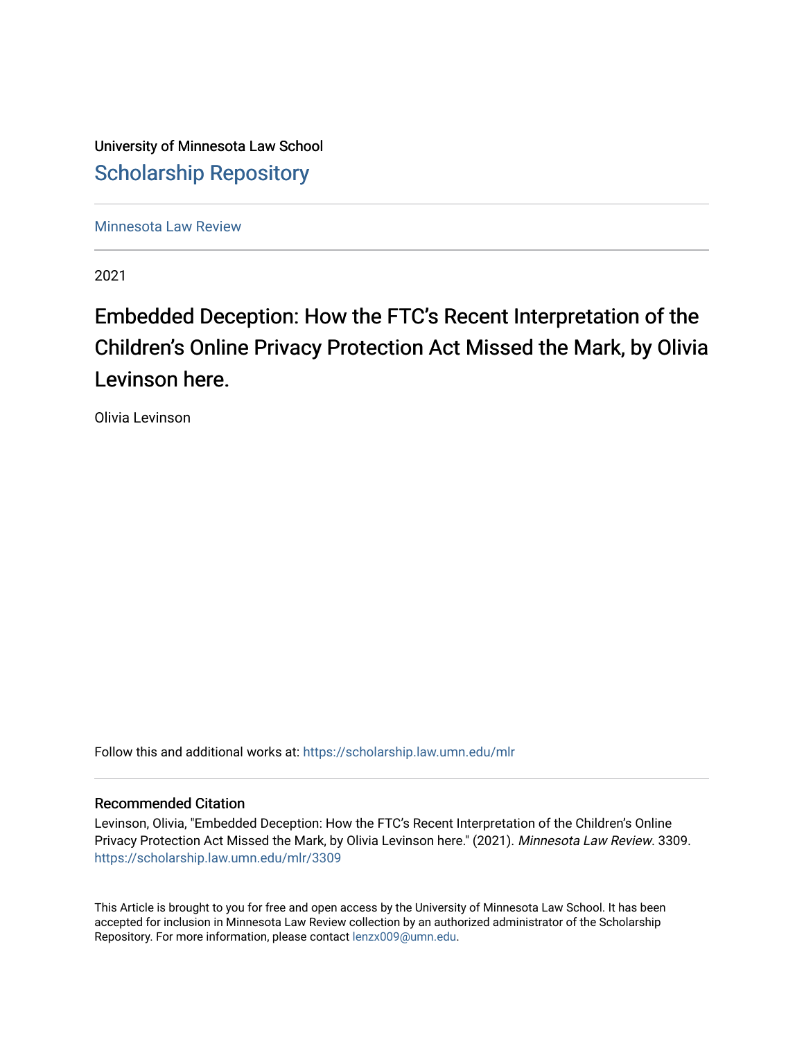University of Minnesota Law School [Scholarship Repository](https://scholarship.law.umn.edu/) 

[Minnesota Law Review](https://scholarship.law.umn.edu/mlr) 

2021

# Embedded Deception: How the FTC's Recent Interpretation of the Children's Online Privacy Protection Act Missed the Mark, by Olivia Levinson here.

Olivia Levinson

Follow this and additional works at: [https://scholarship.law.umn.edu/mlr](https://scholarship.law.umn.edu/mlr?utm_source=scholarship.law.umn.edu%2Fmlr%2F3309&utm_medium=PDF&utm_campaign=PDFCoverPages)

# Recommended Citation

Levinson, Olivia, "Embedded Deception: How the FTC's Recent Interpretation of the Children's Online Privacy Protection Act Missed the Mark, by Olivia Levinson here." (2021). Minnesota Law Review. 3309. [https://scholarship.law.umn.edu/mlr/3309](https://scholarship.law.umn.edu/mlr/3309?utm_source=scholarship.law.umn.edu%2Fmlr%2F3309&utm_medium=PDF&utm_campaign=PDFCoverPages)

This Article is brought to you for free and open access by the University of Minnesota Law School. It has been accepted for inclusion in Minnesota Law Review collection by an authorized administrator of the Scholarship Repository. For more information, please contact [lenzx009@umn.edu.](mailto:lenzx009@umn.edu)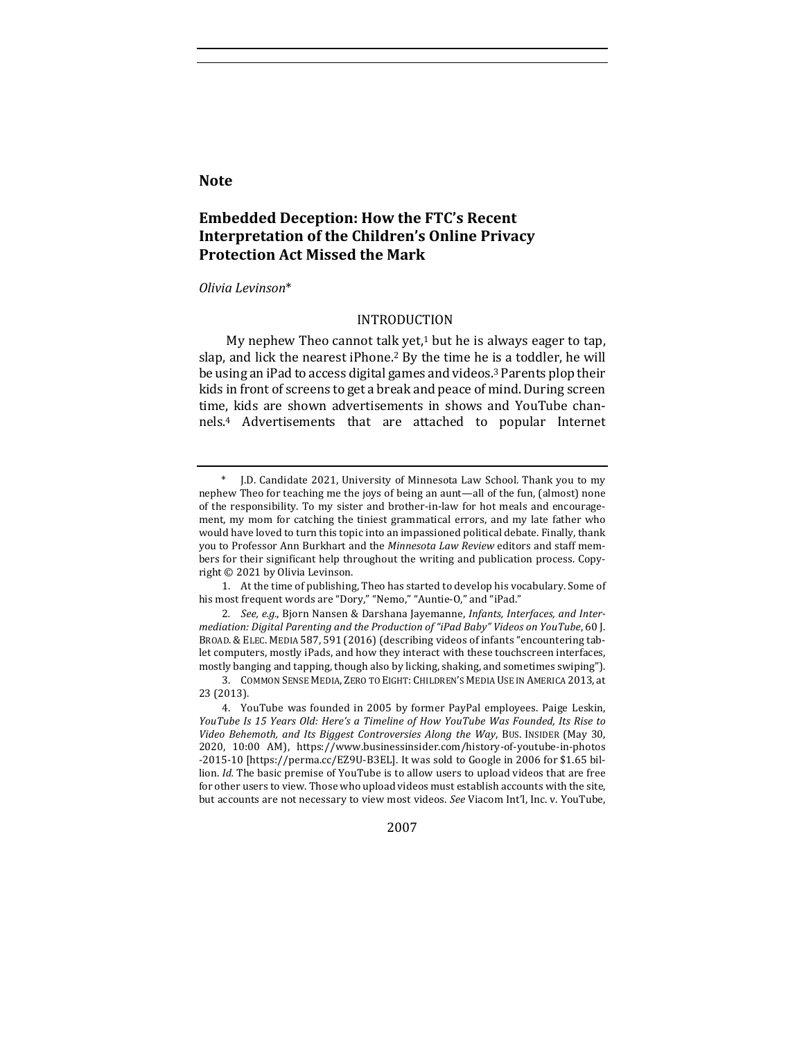# **Note**

# **Embedded Deception: How the FTC's Recent Interpretation of the Children's Online Privacy Protection Act Missed the Mark**

### *Olivia Levinson*\*

# INTRODUCTION

My nephew Theo cannot talk yet, $1$  but he is always eager to tap, slap, and lick the nearest iPhone.<sup>2</sup> By the time he is a toddler, he will be using an iPad to access digital games and videos.<sup>3</sup> Parents plop their kids in front of screens to get a break and peace of mind. During screen time, kids are shown advertisements in shows and YouTube channels.<sup>4</sup> Advertisements that are attached to popular Internet

1. At the time of publishing, Theo has started to develop his vocabulary. Some of his most frequent words are "Dory," "Nemo," "Auntie-O," and "iPad."

2. See, e.g., Bjorn Nansen & Darshana Jayemanne, *Infants, Interfaces, and Intermediation: Digital Parenting and the Production of "iPad Baby" Videos on YouTube*, 60 J. BROAD. & ELEC. MEDIA 587, 591 (2016) (describing videos of infants "encountering tablet computers, mostly iPads, and how they interact with these touchscreen interfaces, mostly banging and tapping, though also by licking, shaking, and sometimes swiping").

2007

J.D. Candidate 2021, University of Minnesota Law School. Thank you to my nephew Theo for teaching me the joys of being an aunt—all of the fun, (almost) none of the responsibility. To my sister and brother-in-law for hot meals and encouragement, my mom for catching the tiniest grammatical errors, and my late father who would have loved to turn this topic into an impassioned political debate. Finally, thank you to Professor Ann Burkhart and the *Minnesota Law Review* editors and staff members for their significant help throughout the writing and publication process. Copyright  $@$  2021 by Olivia Levinson.

<sup>3.</sup> COMMON SENSE MEDIA, ZERO TO EIGHT: CHILDREN'S MEDIA USE IN AMERICA 2013, at 23 (2013).

<sup>4.</sup> YouTube was founded in 2005 by former PayPal employees. Paige Leskin, *YouTube Is 15 Years Old: Here's a Timeline of How YouTube Was Founded, Its Rise to* Video Behemoth, and Its Biggest Controversies Along the Way, BUS. INSIDER (May 30, 2020, 10:00 AM), https://www.businessinsider.com/history-of-youtube-in-photos -2015-10 [https://perma.cc/EZ9U-B3EL]. It was sold to Google in 2006 for \$1.65 billion. *Id.* The basic premise of YouTube is to allow users to upload videos that are free for other users to view. Those who upload videos must establish accounts with the site, but accounts are not necessary to view most videos. See Viacom Int'l, Inc. v. YouTube,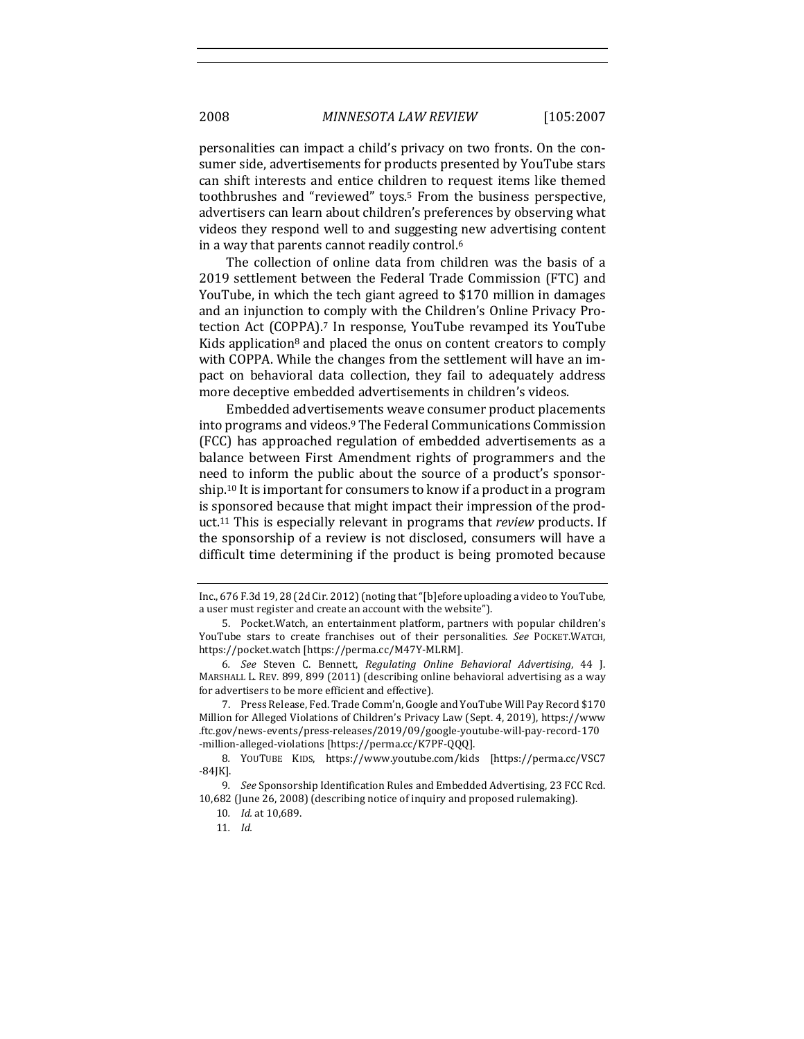personalities can impact a child's privacy on two fronts. On the consumer side, advertisements for products presented by YouTube stars can shift interests and entice children to request items like themed toothbrushes and "reviewed" toys.<sup>5</sup> From the business perspective, advertisers can learn about children's preferences by observing what videos they respond well to and suggesting new advertising content in a way that parents cannot readily control.<sup>6</sup>

The collection of online data from children was the basis of a 2019 settlement between the Federal Trade Commission (FTC) and YouTube, in which the tech giant agreed to \$170 million in damages and an injunction to comply with the Children's Online Privacy Protection Act (COPPA).<sup>7</sup> In response, YouTube revamped its YouTube Kids application<sup>8</sup> and placed the onus on content creators to comply with COPPA. While the changes from the settlement will have an impact on behavioral data collection, they fail to adequately address more deceptive embedded advertisements in children's videos.

Embedded advertisements weave consumer product placements into programs and videos.<sup>9</sup> The Federal Communications Commission (FCC) has approached regulation of embedded advertisements as a balance between First Amendment rights of programmers and the need to inform the public about the source of a product's sponsorship.<sup>10</sup> It is important for consumers to know if a product in a program is sponsored because that might impact their impression of the product.<sup>11</sup> This is especially relevant in programs that *review* products. If the sponsorship of a review is not disclosed, consumers will have a difficult time determining if the product is being promoted because

Inc., 676 F.3d 19, 28 (2d Cir. 2012) (noting that "[b]efore uploading a video to YouTube, a user must register and create an account with the website").

<sup>5.</sup> Pocket. Watch, an entertainment platform, partners with popular children's YouTube stars to create franchises out of their personalities. See POCKET.WATCH, https://pocket.watch [https://perma.cc/M47Y-MLRM].

<sup>6</sup>*. See* Steven C. Bennett, *Regulating Online Behavioral Advertising*, 44 J. MARSHALL L. REV. 899, 899 (2011) (describing online behavioral advertising as a way for advertisers to be more efficient and effective).

<sup>7.</sup> Press Release, Fed. Trade Comm'n, Google and YouTube Will Pay Record \$170 Million for Alleged Violations of Children's Privacy Law (Sept. 4, 2019), https://www .ftc.gov/news-events/press-releases/2019/09/google-youtube-will-pay-record-170 -million-alleged-violations [https://perma.cc/K7PF-QQQ].

<sup>8.</sup> YOUTUBE KIDS, https://www.youtube.com/kids [https://perma.cc/VSC7 -84JK]. 

<sup>9.</sup> *See* Sponsorship Identification Rules and Embedded Advertising, 23 FCC Rcd. 10,682 (June 26, 2008) (describing notice of inquiry and proposed rulemaking).

<sup>10</sup>*. Id.* at 10,689. 

<sup>11</sup>*. Id.*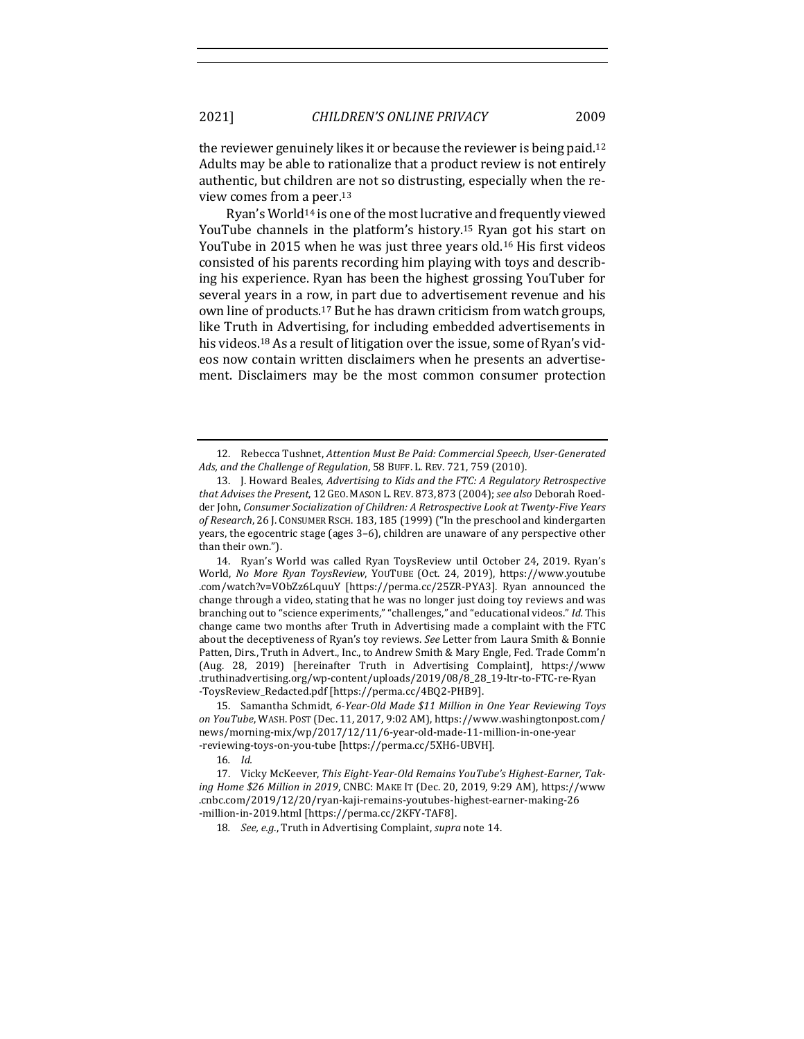the reviewer genuinely likes it or because the reviewer is being paid.<sup>12</sup> Adults may be able to rationalize that a product review is not entirely authentic, but children are not so distrusting, especially when the review comes from a peer.<sup>13</sup>

Ryan's World<sup>14</sup> is one of the most lucrative and frequently viewed YouTube channels in the platform's history.<sup>15</sup> Ryan got his start on YouTube in 2015 when he was just three years old.<sup>16</sup> His first videos consisted of his parents recording him playing with toys and describing his experience. Ryan has been the highest grossing YouTuber for several years in a row, in part due to advertisement revenue and his own line of products.<sup>17</sup> But he has drawn criticism from watch groups, like Truth in Advertising, for including embedded advertisements in his videos.<sup>18</sup> As a result of litigation over the issue, some of Ryan's videos now contain written disclaimers when he presents an advertisement. Disclaimers may be the most common consumer protection

15. Samantha Schmidt, 6-Year-Old Made \$11 Million in One Year Reviewing Toys on YouTube, WASH. POST (Dec. 11, 2017, 9:02 AM), https://www.washingtonpost.com/ news/morning-mix/wp/2017/12/11/6-year-old-made-11-million-in-one-year -reviewing-toys-on-you-tube [https://perma.cc/5XH6-UBVH]. 

16*. Id.*

17. Vicky McKeever, This Eight-Year-Old Remains YouTube's Highest-Earner, Taking Home \$26 Million in 2019, CNBC: MAKE IT (Dec. 20, 2019, 9:29 AM), https://www .cnbc.com/2019/12/20/ryan-kaji-remains-youtubes-highest-earner-making-26 -million-in-2019.html [https://perma.cc/2KFY-TAF8].

18. *See, e.g.*, Truth in Advertising Complaint, *supra* note 14.

<sup>12.</sup> Rebecca Tushnet, *Attention Must Be Paid: Commercial Speech, User-Generated* Ads, and the Challenge of Regulation, 58 BUFF. L. REV. 721, 759 (2010).

<sup>13.</sup> J. Howard Beales, *Advertising to Kids and the FTC: A Regulatory Retrospective that Advises the Present,* 12 GEO. MASON L. REV. 873, 873 (2004); *see also* Deborah Roedder John, Consumer Socialization of Children: A Retrospective Look at Twenty-Five Years of Research, 26 J. CONSUMER RSCH. 183, 185 (1999) ("In the preschool and kindergarten years, the egocentric stage (ages 3-6), children are unaware of any perspective other than their own.").

<sup>14.</sup> Ryan's World was called Ryan ToysReview until October 24, 2019. Ryan's World, *No More Ryan ToysReview*, YOUTUBE (Oct. 24, 2019), https://www.youtube .com/watch?v=VObZz6LquuY [https://perma.cc/25ZR-PYA3]. Ryan announced the change through a video, stating that he was no longer just doing toy reviews and was branching out to "science experiments," "challenges," and "educational videos." *Id.* This change came two months after Truth in Advertising made a complaint with the FTC about the deceptiveness of Ryan's toy reviews. See Letter from Laura Smith & Bonnie Patten, Dirs., Truth in Advert., Inc., to Andrew Smith & Mary Engle, Fed. Trade Comm'n (Aug. 28, 2019) [hereinafter Truth in Advertising Complaint], https://www .truthinadvertising.org/wp-content/uploads/2019/08/8\_28\_19-ltr-to-FTC-re-Ryan -ToysReview\_Redacted.pdf [https://perma.cc/4BQ2-PHB9].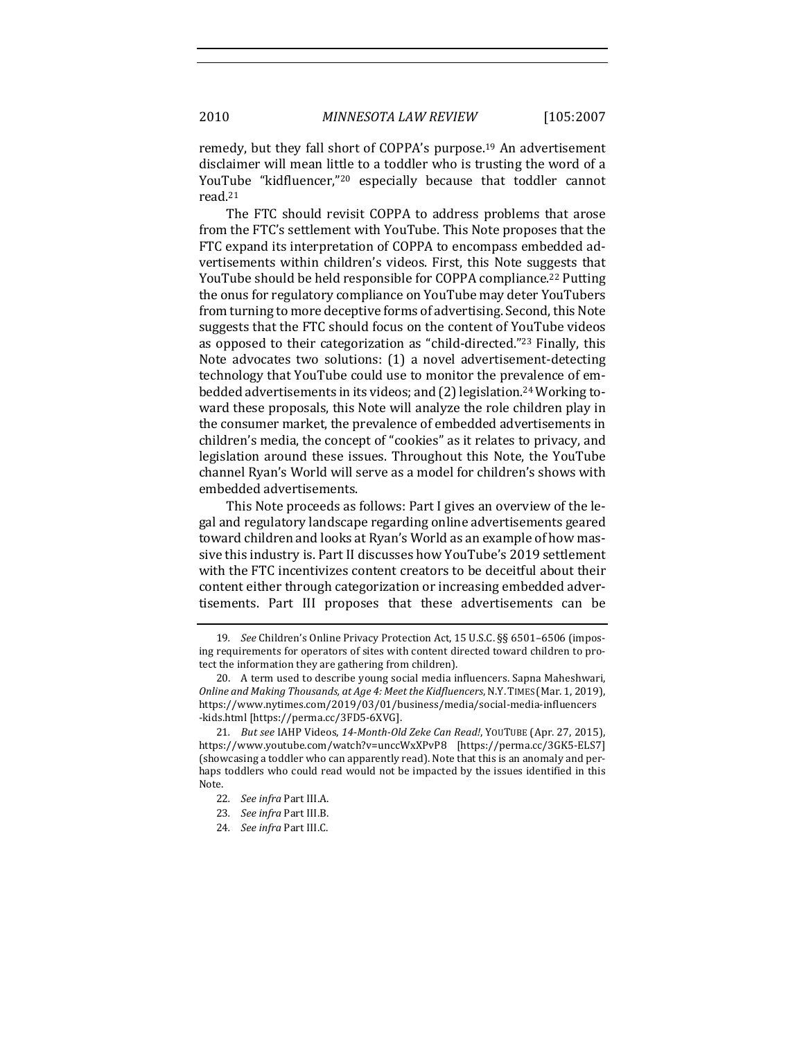remedy, but they fall short of COPPA's purpose.<sup>19</sup> An advertisement disclaimer will mean little to a toddler who is trusting the word of a YouTube "kidfluencer,"<sup>20</sup> especially because that toddler cannot read.21

The FTC should revisit COPPA to address problems that arose from the FTC's settlement with YouTube. This Note proposes that the FTC expand its interpretation of COPPA to encompass embedded advertisements within children's videos. First, this Note suggests that YouTube should be held responsible for COPPA compliance.<sup>22</sup> Putting the onus for regulatory compliance on YouTube may deter YouTubers from turning to more deceptive forms of advertising. Second, this Note suggests that the FTC should focus on the content of YouTube videos as opposed to their categorization as "child-directed."<sup>23</sup> Finally, this Note advocates two solutions: (1) a novel advertisement-detecting technology that YouTube could use to monitor the prevalence of embedded advertisements in its videos; and (2) legislation.<sup>24</sup> Working toward these proposals, this Note will analyze the role children play in the consumer market, the prevalence of embedded advertisements in children's media, the concept of "cookies" as it relates to privacy, and legislation around these issues. Throughout this Note, the YouTube channel Ryan's World will serve as a model for children's shows with embedded advertisements. 

This Note proceeds as follows: Part I gives an overview of the legal and regulatory landscape regarding online advertisements geared toward children and looks at Ryan's World as an example of how massive this industry is. Part II discusses how YouTube's 2019 settlement with the FTC incentivizes content creators to be deceitful about their content either through categorization or increasing embedded advertisements. Part III proposes that these advertisements can be 

<sup>19</sup>*. See* Children's Online Privacy Protection Act, 15 U.S.C. §§ 6501–6506 (imposing requirements for operators of sites with content directed toward children to protect the information they are gathering from children).

<sup>20.</sup> A term used to describe young social media influencers. Sapna Maheshwari, *Online and Making Thousands, at Age 4: Meet the Kidfluencers, N.Y. TIMES* (Mar. 1, 2019), https://www.nytimes.com/2019/03/01/business/media/social-media-influencers -kids.html [https://perma.cc/3FD5-6XVG]. 

<sup>21</sup>*. But see* IAHP Videos, *14-Month-Old Zeke Can Read!*, YOUTUBE (Apr. 27, 2015), https://www.youtube.com/watch?v=unccWxXPvP8 [https://perma.cc/3GK5-ELS7] (showcasing a toddler who can apparently read). Note that this is an anomaly and perhaps toddlers who could read would not be impacted by the issues identified in this Note. 

<sup>22</sup>*. See infra* Part III.A. 

<sup>23.</sup> See infra Part III.B.

<sup>24.</sup> *See infra Part III.C.*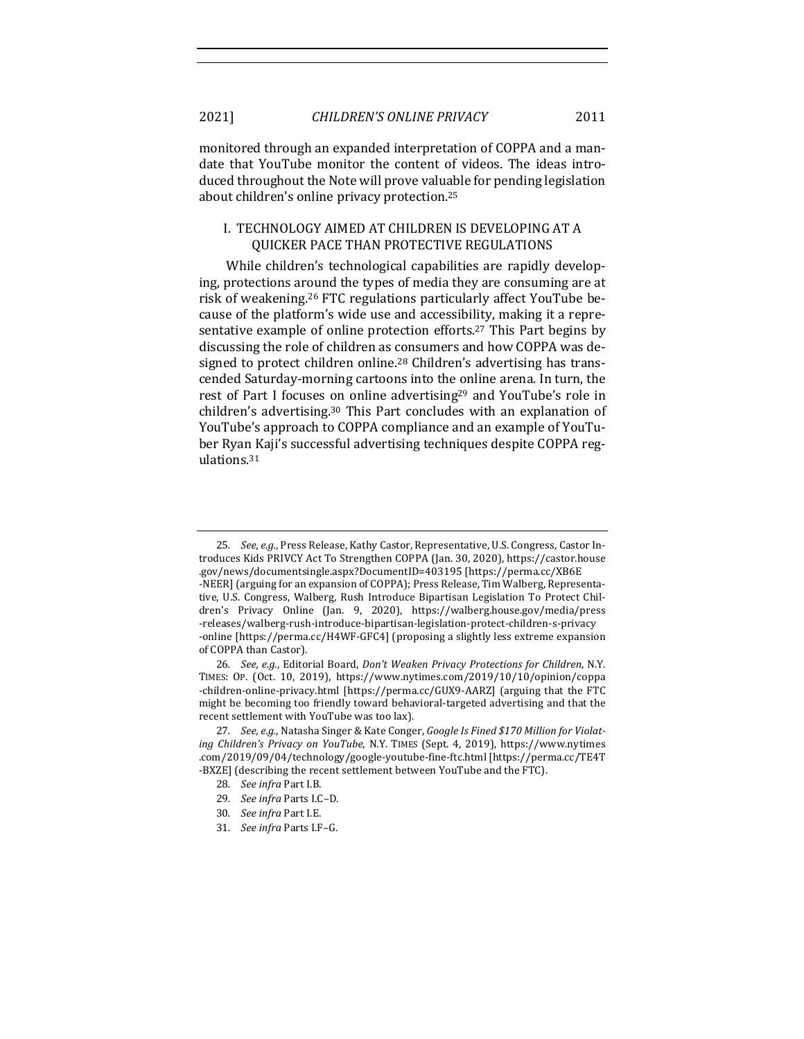monitored through an expanded interpretation of COPPA and a mandate that YouTube monitor the content of videos. The ideas introduced throughout the Note will prove valuable for pending legislation about children's online privacy protection.<sup>25</sup>

# I. TECHNOLOGY AIMED AT CHILDREN IS DEVELOPING AT A QUICKER PACE THAN PROTECTIVE REGULATIONS

While children's technological capabilities are rapidly developing, protections around the types of media they are consuming are at risk of weakening.<sup>26</sup> FTC regulations particularly affect YouTube because of the platform's wide use and accessibility, making it a representative example of online protection efforts.<sup>27</sup> This Part begins by discussing the role of children as consumers and how COPPA was designed to protect children online.<sup>28</sup> Children's advertising has transcended Saturday-morning cartoons into the online arena. In turn, the rest of Part I focuses on online advertising<sup>29</sup> and YouTube's role in children's advertising.<sup>30</sup> This Part concludes with an explanation of YouTube's approach to COPPA compliance and an example of YouTuber Ryan Kaji's successful advertising techniques despite COPPA regulations. 31

30*. See infra* Part I.E.

<sup>25.</sup> See, e.g., Press Release, Kathy Castor, Representative, U.S. Congress, Castor Introduces Kids PRIVCY Act To Strengthen COPPA (Jan. 30, 2020), https://castor.house .gov/news/documentsingle.aspx?DocumentID=403195 [https://perma.cc/XB6E -NEER] (arguing for an expansion of COPPA); Press Release, Tim Walberg, Representative, U.S. Congress, Walberg, Rush Introduce Bipartisan Legislation To Protect Children's Privacy Online (Jan. 9, 2020), https://walberg.house.gov/media/press -releases/walberg-rush-introduce-bipartisan-legislation-protect-children-s-privacy -online [https://perma.cc/H4WF-GFC4] (proposing a slightly less extreme expansion of COPPA than Castor).

<sup>26.</sup> *See, e.g.*, Editorial Board, *Don't Weaken Privacy Protections for Children*, N.Y. TIMES: OP. (Oct. 10, 2019), https://www.nytimes.com/2019/10/10/opinion/coppa -children-online-privacy.html [https://perma.cc/GUX9-AARZ] (arguing that the FTC might be becoming too friendly toward behavioral-targeted advertising and that the recent settlement with YouTube was too lax).

<sup>27.</sup> See, e.g., Natasha Singer & Kate Conger, *Google Is Fined \$170 Million for Violat*ing Children's Privacy on YouTube, N.Y. TIMES (Sept. 4, 2019), https://www.nytimes .com/2019/09/04/technology/google-youtube-fine-ftc.html [https://perma.cc/TE4T -BXZE] (describing the recent settlement between YouTube and the FTC).

<sup>28.</sup> *See infra* Part I.B.

<sup>29</sup>*. See infra* Parts I.C–D. 

<sup>31</sup>*. See infra* Parts I.F–G.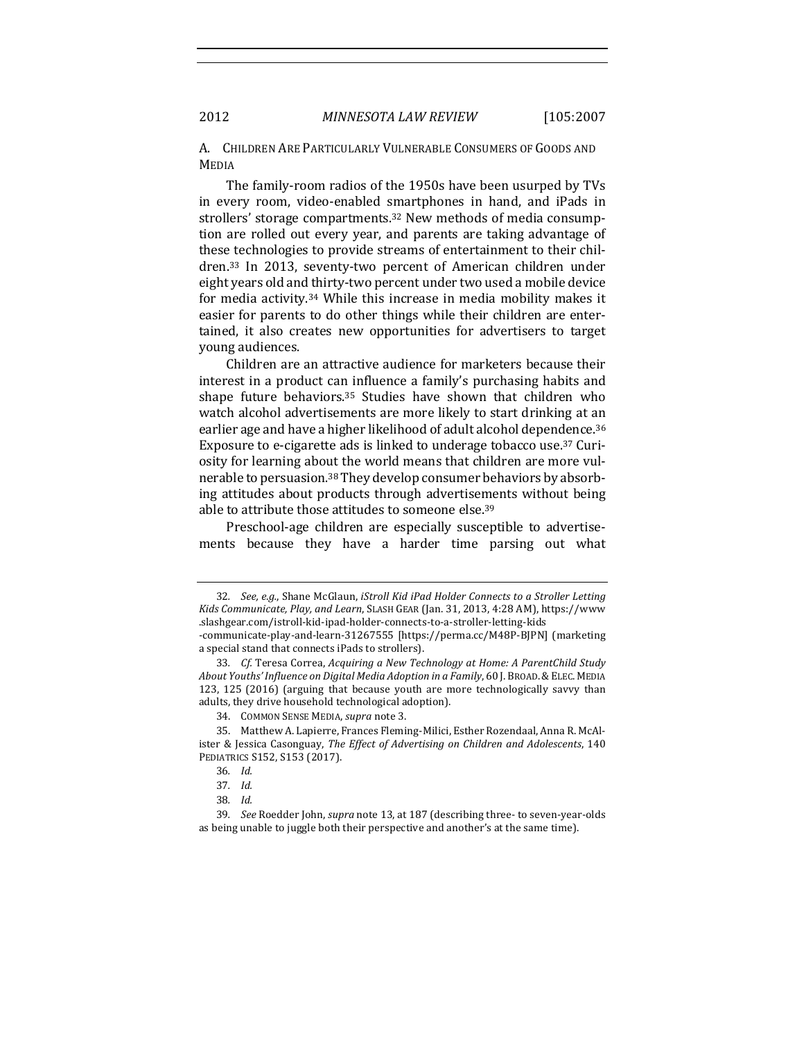A. CHILDREN ARE PARTICULARLY VULNERABLE CONSUMERS OF GOODS AND MEDIA

The family-room radios of the 1950s have been usurped by TVs in every room, video-enabled smartphones in hand, and iPads in strollers' storage compartments.<sup>32</sup> New methods of media consumption are rolled out every year, and parents are taking advantage of these technologies to provide streams of entertainment to their children.<sup>33</sup> In 2013, seventy-two percent of American children under eight years old and thirty-two percent under two used a mobile device for media activity. $34$  While this increase in media mobility makes it easier for parents to do other things while their children are entertained, it also creates new opportunities for advertisers to target young audiences.

Children are an attractive audience for marketers because their interest in a product can influence a family's purchasing habits and shape future behaviors.<sup>35</sup> Studies have shown that children who watch alcohol advertisements are more likely to start drinking at an earlier age and have a higher likelihood of adult alcohol dependence.<sup>36</sup> Exposure to e-cigarette ads is linked to underage tobacco use.<sup>37</sup> Curiosity for learning about the world means that children are more vulnerable to persuasion.<sup>38</sup> They develop consumer behaviors by absorbing attitudes about products through advertisements without being able to attribute those attitudes to someone else.<sup>39</sup>

Preschool-age children are especially susceptible to advertisements because they have a harder time parsing out what

a special stand that connects iPads to strollers).

<sup>32.</sup> *See, e.g.,* Shane McGlaun, *iStroll Kid iPad Holder Connects to a Stroller Letting Kids Communicate, Play, and Learn*, SLASH GEAR (Jan. 31, 2013, 4:28 AM), https://www .slashgear.com/istroll-kid-ipad-holder-connects-to-a-stroller-letting-kids -communicate-play-and-learn-31267555 [https://perma.cc/M48P-BJPN] (marketing

<sup>33.</sup> Cf. Teresa Correa, Acquiring a New Technology at Home: A ParentChild Study About Youths' *Influence on Digital Media Adoption* in a Family, 60 J. BROAD. & ELEC. MEDIA 123, 125  $(2016)$  (arguing that because youth are more technologically savvy than adults, they drive household technological adoption).

<sup>34.</sup> COMMON SENSE MEDIA, *supra* note 3.

<sup>35.</sup> Matthew A. Lapierre, Frances Fleming-Milici, Esther Rozendaal, Anna R. McAlister & Jessica Casonguay, *The Effect of Advertising on Children and Adolescents*, 140 PEDIATRICS S152, S153 (2017).

<sup>36</sup>*. Id.*

<sup>37</sup>*. Id.*

<sup>38</sup>*. Id.*

<sup>39.</sup> *See* Roedder John, *supra* note 13, at 187 (describing three- to seven-year-olds as being unable to juggle both their perspective and another's at the same time).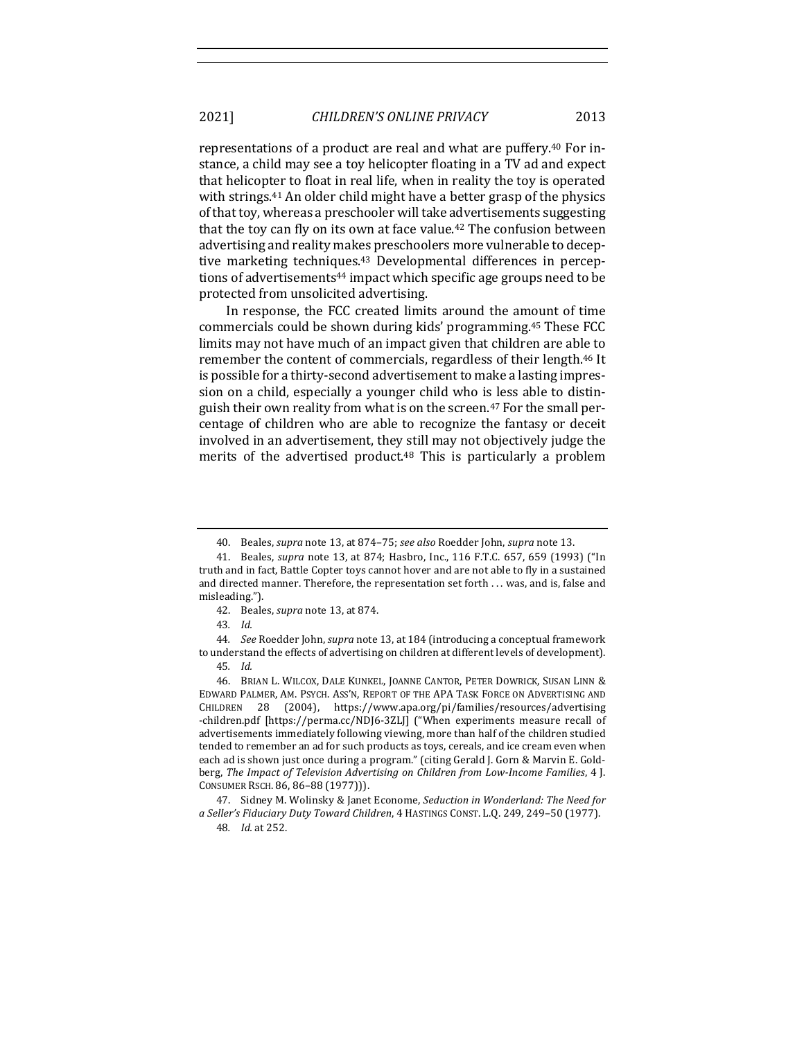representations of a product are real and what are puffery.<sup>40</sup> For instance, a child may see a toy helicopter floating in a TV ad and expect that helicopter to float in real life, when in reality the toy is operated with strings.<sup>41</sup> An older child might have a better grasp of the physics of that toy, whereas a preschooler will take advertisements suggesting that the toy can fly on its own at face value.<sup>42</sup> The confusion between advertising and reality makes preschoolers more vulnerable to deceptive marketing techniques.<sup>43</sup> Developmental differences in perceptions of advertisements<sup>44</sup> impact which specific age groups need to be protected from unsolicited advertising.

In response, the FCC created limits around the amount of time commercials could be shown during kids' programming.<sup>45</sup> These FCC limits may not have much of an impact given that children are able to remember the content of commercials, regardless of their length.<sup>46</sup> It is possible for a thirty-second advertisement to make a lasting impression on a child, especially a younger child who is less able to distinguish their own reality from what is on the screen.<sup>47</sup> For the small percentage of children who are able to recognize the fantasy or deceit involved in an advertisement, they still may not objectively judge the merits of the advertised product.<sup>48</sup> This is particularly a problem

44. See Roedder John, *supra* note 13, at 184 (introducing a conceptual framework to understand the effects of advertising on children at different levels of development).

<sup>40.</sup> Beales, *supra* note 13, at 874-75; *see also* Roedder John, *supra* note 13.

<sup>41.</sup> Beales, *supra* note 13, at 874; Hasbro, Inc., 116 F.T.C. 657, 659 (1993) ("In truth and in fact, Battle Copter toys cannot hover and are not able to fly in a sustained and directed manner. Therefore, the representation set forth . . . was, and is, false and misleading."). 

<sup>42.</sup> Beales, *supra* note 13, at 874.

<sup>43</sup>*. Id.* 

<sup>45</sup>*. Id.* 

<sup>46.</sup> BRIAN L. WILCOX, DALE KUNKEL, JOANNE CANTOR, PETER DOWRICK, SUSAN LINN & EDWARD PALMER, AM. PSYCH. ASS'N, REPORT OF THE APA TASK FORCE ON ADVERTISING AND CHILDREN 28 (2004), https://www.apa.org/pi/families/resources/advertising -children.pdf [https://perma.cc/NDJ6-3ZLJ] ("When experiments measure recall of advertisements immediately following viewing, more than half of the children studied tended to remember an ad for such products as toys, cereals, and ice cream even when each ad is shown just once during a program." (citing Gerald J. Gorn & Marvin E. Goldberg, The Impact of Television Advertising on Children from Low-Income Families, 4 J. CONSUMER RSCH. 86, 86-88 (1977))).

<sup>47.</sup> Sidney M. Wolinsky & Janet Econome, *Seduction in Wonderland: The Need for a Seller's Fiduciary Duty Toward Children*, 4 HASTINGS CONST. L.Q. 249, 249–50 (1977). 48*. Id.* at 252.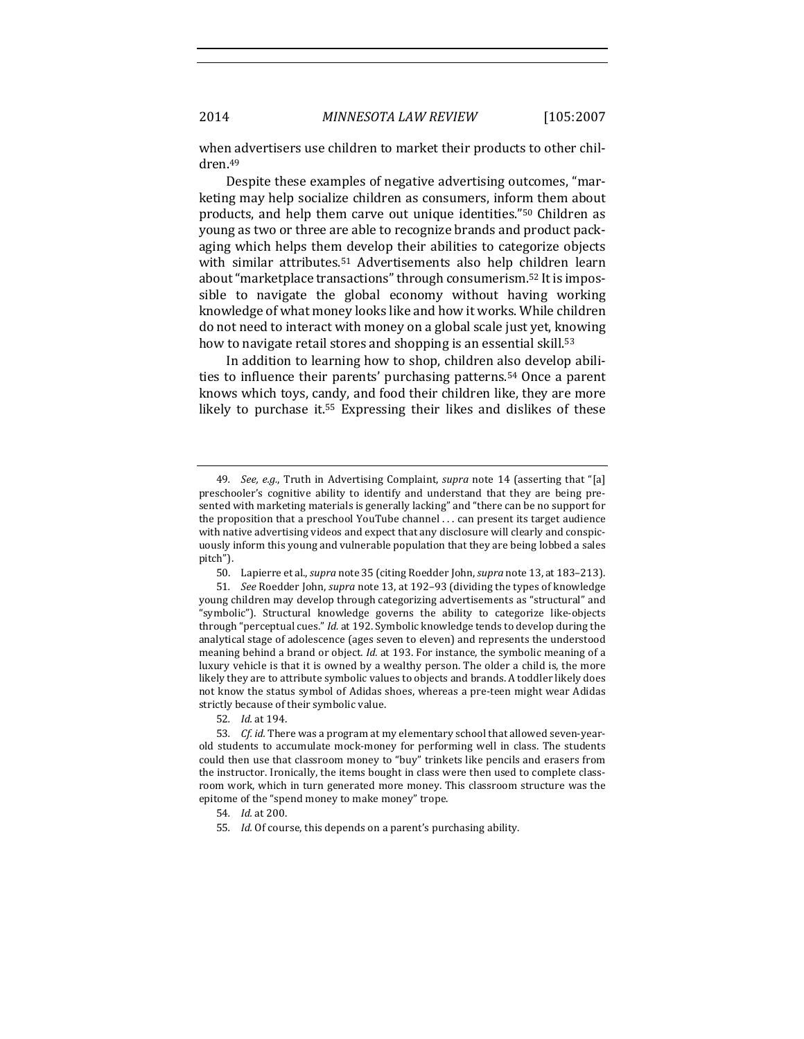when advertisers use children to market their products to other children.49

Despite these examples of negative advertising outcomes, "marketing may help socialize children as consumers, inform them about products, and help them carve out unique identities."<sup>50</sup> Children as young as two or three are able to recognize brands and product packaging which helps them develop their abilities to categorize objects with similar attributes.<sup>51</sup> Advertisements also help children learn about "marketplace transactions" through consumerism.<sup>52</sup> It is impossible to navigate the global economy without having working knowledge of what money looks like and how it works. While children do not need to interact with money on a global scale just yet, knowing how to navigate retail stores and shopping is an essential skill.<sup>53</sup>

In addition to learning how to shop, children also develop abilities to influence their parents' purchasing patterns.<sup>54</sup> Once a parent knows which toys, candy, and food their children like, they are more likely to purchase it.<sup>55</sup> Expressing their likes and dislikes of these

<sup>49.</sup> *See, e.g.*, Truth in Advertising Complaint, *supra* note 14 (asserting that "[a] preschooler's cognitive ability to identify and understand that they are being presented with marketing materials is generally lacking" and "there can be no support for the proposition that a preschool YouTube channel  $\ldots$  can present its target audience with native advertising videos and expect that any disclosure will clearly and conspicuously inform this young and vulnerable population that they are being lobbed a sales pitch"). 

<sup>50.</sup> Lapierre et al., *supra* note 35 (citing Roedder John, *supra* note 13, at 183-213).

<sup>51</sup>*. See* Roedder John, *supra* note 13, at 192–93 (dividing the types of knowledge young children may develop through categorizing advertisements as "structural" and "symbolic"). Structural knowledge governs the ability to categorize like-objects through "perceptual cues." *Id.* at 192. Symbolic knowledge tends to develop during the analytical stage of adolescence (ages seven to eleven) and represents the understood meaning behind a brand or object. *Id.* at 193. For instance, the symbolic meaning of a luxury vehicle is that it is owned by a wealthy person. The older a child is, the more likely they are to attribute symbolic values to objects and brands. A toddler likely does not know the status symbol of Adidas shoes, whereas a pre-teen might wear Adidas strictly because of their symbolic value.

<sup>52</sup>*. Id.* at 194. 

<sup>53.</sup> Cf. id. There was a program at my elementary school that allowed seven-yearold students to accumulate mock-money for performing well in class. The students could then use that classroom money to "buy" trinkets like pencils and erasers from the instructor. Ironically, the items bought in class were then used to complete classroom work, which in turn generated more money. This classroom structure was the epitome of the "spend money to make money" trope.

<sup>54</sup>*. Id.* at 200. 

<sup>55.</sup> *Id.* Of course, this depends on a parent's purchasing ability.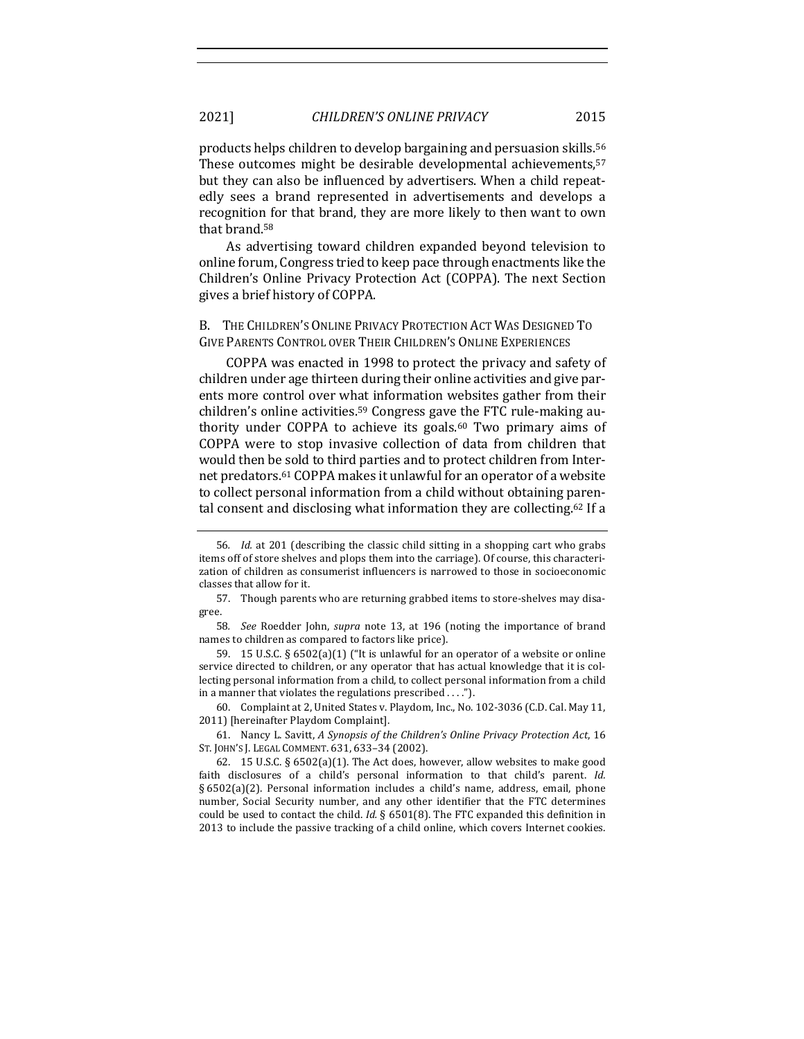products helps children to develop bargaining and persuasion skills.<sup>56</sup> These outcomes might be desirable developmental achievements,<sup>57</sup> but they can also be influenced by advertisers. When a child repeatedly sees a brand represented in advertisements and develops a recognition for that brand, they are more likely to then want to own that brand.<sup>58</sup>

As advertising toward children expanded beyond television to online forum, Congress tried to keep pace through enactments like the Children's Online Privacy Protection Act (COPPA). The next Section gives a brief history of COPPA.

B. THE CHILDREN'S ONLINE PRIVACY PROTECTION ACT WAS DESIGNED TO GIVE PARENTS CONTROL OVER THEIR CHILDREN'S ONLINE EXPERIENCES

COPPA was enacted in 1998 to protect the privacy and safety of children under age thirteen during their online activities and give parents more control over what information websites gather from their children's online activities.<sup>59</sup> Congress gave the FTC rule-making authority under COPPA to achieve its goals.<sup>60</sup> Two primary aims of COPPA were to stop invasive collection of data from children that would then be sold to third parties and to protect children from Internet predators.<sup>61</sup> COPPA makes it unlawful for an operator of a website to collect personal information from a child without obtaining parental consent and disclosing what information they are collecting.<sup>62</sup> If a

60. Complaint at 2, United States v. Playdom, Inc., No. 102-3036 (C.D. Cal. May 11, 2011) [hereinafter Playdom Complaint].

61. Nancy L. Savitt, *A Synopsis of the Children's Online Privacy Protection Act*, 16 ST. JOHN'S J. LEGAL COMMENT. 631, 633-34 (2002).

<sup>56.</sup> *Id.* at 201 (describing the classic child sitting in a shopping cart who grabs items off of store shelves and plops them into the carriage). Of course, this characterization of children as consumerist influencers is narrowed to those in socioeconomic classes that allow for it.

<sup>57.</sup> Though parents who are returning grabbed items to store-shelves may disagree. 

<sup>58.</sup> *See* Roedder John, *supra* note 13, at 196 (noting the importance of brand names to children as compared to factors like price).

<sup>59. 15</sup> U.S.C.  $\S 6502(a)(1)$  ("It is unlawful for an operator of a website or online service directed to children, or any operator that has actual knowledge that it is collecting personal information from a child, to collect personal information from a child in a manner that violates the regulations prescribed  $\dots$ .").

<sup>62. 15</sup> U.S.C.  $\S 6502(a)(1)$ . The Act does, however, allow websites to make good faith disclosures of a child's personal information to that child's parent. *Id.*  $\S 6502(a)(2)$ . Personal information includes a child's name, address, email, phone number, Social Security number, and any other identifier that the FTC determines could be used to contact the child. *Id.* § 6501(8). The FTC expanded this definition in 2013 to include the passive tracking of a child online, which covers Internet cookies.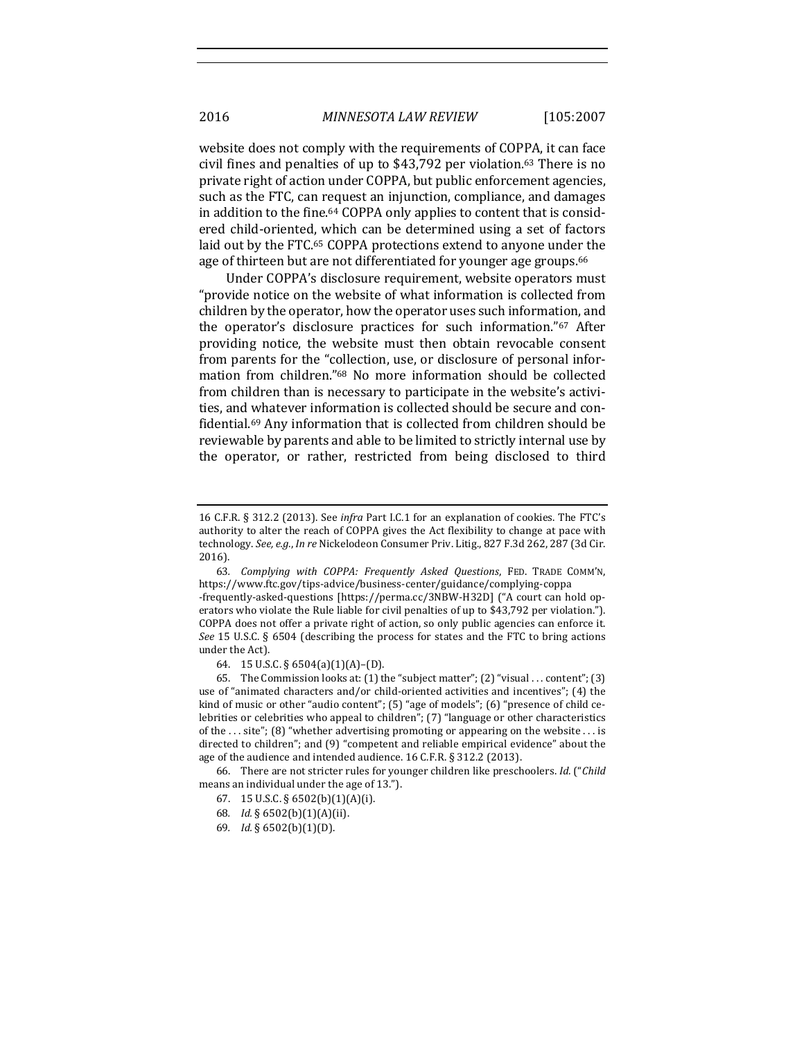website does not comply with the requirements of COPPA, it can face civil fines and penalties of up to  $$43,792$  per violation.<sup>63</sup> There is no private right of action under COPPA, but public enforcement agencies, such as the FTC, can request an injunction, compliance, and damages in addition to the fine.<sup>64</sup> COPPA only applies to content that is considered child-oriented, which can be determined using a set of factors laid out by the FTC.<sup>65</sup> COPPA protections extend to anyone under the age of thirteen but are not differentiated for younger age groups.<sup>66</sup>

Under COPPA's disclosure requirement, website operators must "provide notice on the website of what information is collected from children by the operator, how the operator uses such information, and the operator's disclosure practices for such information."67 After providing notice, the website must then obtain revocable consent from parents for the "collection, use, or disclosure of personal information from children."<sup>68</sup> No more information should be collected from children than is necessary to participate in the website's activities, and whatever information is collected should be secure and confidential.<sup>69</sup> Any information that is collected from children should be reviewable by parents and able to be limited to strictly internal use by the operator, or rather, restricted from being disclosed to third

66. There are not stricter rules for younger children like preschoolers. Id. ("Child means an individual under the age of 13.").

- 68*. Id.* § 6502(b)(1)(A)(ii).
- 69*. Id.* § 6502(b)(1)(D).

<sup>16</sup> C.F.R. § 312.2 (2013). See *infra* Part I.C.1 for an explanation of cookies. The FTC's authority to alter the reach of COPPA gives the Act flexibility to change at pace with technology. See, e.g., In re Nickelodeon Consumer Priv. Litig., 827 F.3d 262, 287 (3d Cir. 2016).

<sup>63</sup>*. Complying with COPPA: Frequently Asked Questions*, FED. TRADE COMM'N, https://www.ftc.gov/tips-advice/business-center/guidance/complying-coppa

<sup>-</sup>frequently-asked-questions [https://perma.cc/3NBW-H32D] ("A court can hold operators who violate the Rule liable for civil penalties of up to \$43,792 per violation."). COPPA does not offer a private right of action, so only public agencies can enforce it. *See* 15 U.S.C. § 6504 (describing the process for states and the FTC to bring actions under the Act).

<sup>64.</sup> 15 U.S.C. § 6504(a)(1)(A)–(D). 

<sup>65.</sup> The Commission looks at:  $(1)$  the "subject matter";  $(2)$  "visual . . . content";  $(3)$ use of "animated characters and/or child-oriented activities and incentives"; (4) the kind of music or other "audio content";  $(5)$  "age of models";  $(6)$  "presence of child celebrities or celebrities who appeal to children"; (7) "language or other characteristics of the ... site"; (8) "whether advertising promoting or appearing on the website ... is directed to children"; and (9) "competent and reliable empirical evidence" about the age of the audience and intended audience. 16 C.F.R. § 312.2 (2013).

<sup>67.</sup> 15 U.S.C. § 6502(b)(1)(A)(i).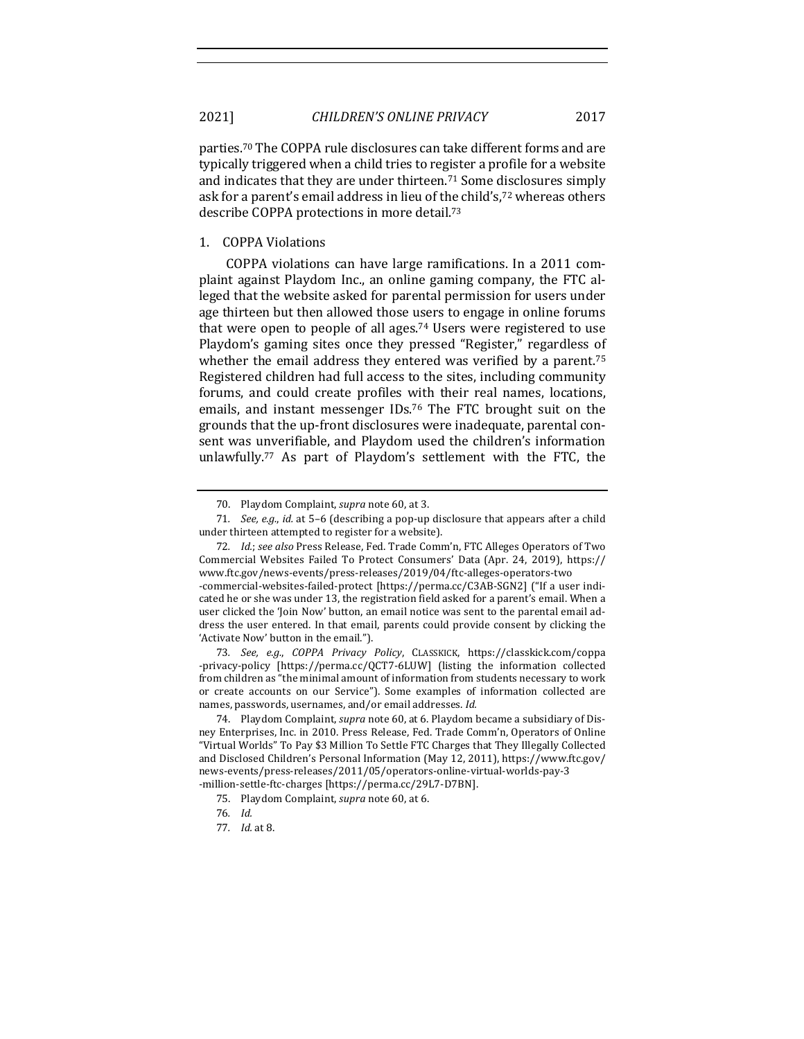parties.<sup>70</sup> The COPPA rule disclosures can take different forms and are typically triggered when a child tries to register a profile for a website and indicates that they are under thirteen.<sup>71</sup> Some disclosures simply ask for a parent's email address in lieu of the child's,<sup>72</sup> whereas others describe COPPA protections in more detail.<sup>73</sup>

### 1. COPPA Violations

COPPA violations can have large ramifications. In a 2011 complaint against Playdom Inc., an online gaming company, the FTC alleged that the website asked for parental permission for users under age thirteen but then allowed those users to engage in online forums that were open to people of all ages.<sup>74</sup> Users were registered to use Playdom's gaming sites once they pressed "Register," regardless of whether the email address they entered was verified by a parent.<sup>75</sup> Registered children had full access to the sites, including community forums, and could create profiles with their real names, locations, emails, and instant messenger IDs.<sup>76</sup> The FTC brought suit on the grounds that the up-front disclosures were inadequate, parental consent was unverifiable, and Playdom used the children's information unlawfully.<sup>77</sup> As part of Playdom's settlement with the FTC, the

73*. See, e.g.*, *COPPA Privacy Policy*, CLASSKICK, https://classkick.com/coppa -privacy-policy [https://perma.cc/QCT7-6LUW] (listing the information collected from children as "the minimal amount of information from students necessary to work or create accounts on our Service"). Some examples of information collected are names, passwords, usernames, and/or email addresses. Id.

74. Playdom Complaint, *supra* note 60, at 6. Playdom became a subsidiary of Disney Enterprises, Inc. in 2010. Press Release, Fed. Trade Comm'n, Operators of Online "Virtual Worlds" To Pay \$3 Million To Settle FTC Charges that They Illegally Collected and Disclosed Children's Personal Information (May 12, 2011), https://www.ftc.gov/ news-events/press-releases/2011/05/operators-online-virtual-worlds-pay-3 -million-settle-ftc-charges [https://perma.cc/29L7-D7BN]. 

<sup>70.</sup> Playdom Complaint, *supra* note 60, at 3.

<sup>71.</sup> *See, e.g., id.* at 5-6 (describing a pop-up disclosure that appears after a child under thirteen attempted to register for a website).

<sup>72.</sup> Id.; see also Press Release, Fed. Trade Comm'n, FTC Alleges Operators of Two Commercial Websites Failed To Protect Consumers' Data (Apr. 24, 2019), https:// www.ftc.gov/news-events/press-releases/2019/04/ftc-alleges-operators-two -commercial-websites-failed-protect [https://perma.cc/C3AB-SGN2] ("If a user indicated he or she was under 13, the registration field asked for a parent's email. When a user clicked the 'Join Now' button, an email notice was sent to the parental email address the user entered. In that email, parents could provide consent by clicking the 'Activate Now' button in the email.").

<sup>75.</sup> Playdom Complaint, *supra* note 60, at 6.

<sup>76</sup>*. Id.* 

<sup>77</sup>*. Id.* at 8.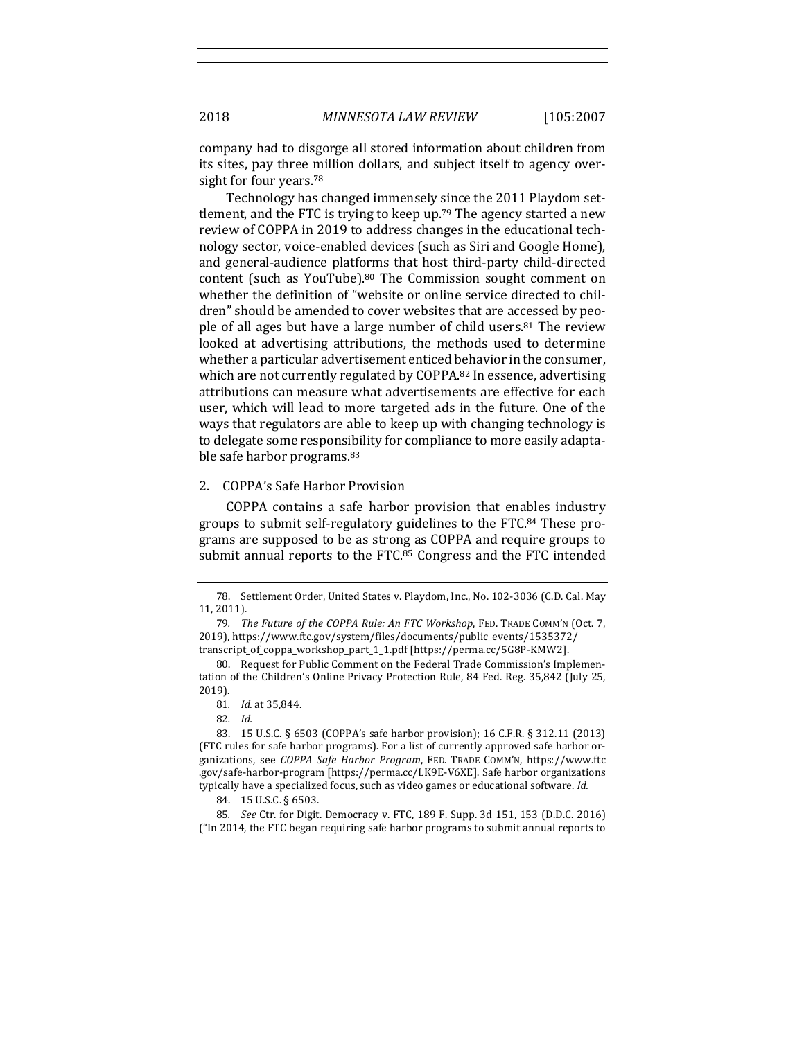company had to disgorge all stored information about children from its sites, pay three million dollars, and subject itself to agency oversight for four years.<sup>78</sup>

Technology has changed immensely since the 2011 Playdom settlement, and the FTC is trying to keep up.<sup>79</sup> The agency started a new review of COPPA in 2019 to address changes in the educational technology sector, voice-enabled devices (such as Siri and Google Home), and general-audience platforms that host third-party child-directed content (such as YouTube). $80$  The Commission sought comment on whether the definition of "website or online service directed to children" should be amended to cover websites that are accessed by people of all ages but have a large number of child users.<sup>81</sup> The review looked at advertising attributions, the methods used to determine whether a particular advertisement enticed behavior in the consumer, which are not currently regulated by COPPA.<sup>82</sup> In essence, advertising attributions can measure what advertisements are effective for each user, which will lead to more targeted ads in the future. One of the ways that regulators are able to keep up with changing technology is to delegate some responsibility for compliance to more easily adaptable safe harbor programs.<sup>83</sup>

### 2. COPPA's Safe Harbor Provision

COPPA contains a safe harbor provision that enables industry groups to submit self-regulatory guidelines to the FTC.<sup>84</sup> These programs are supposed to be as strong as COPPA and require groups to submit annual reports to the FTC.85 Congress and the FTC intended

85*. See* Ctr. for Digit. Democracy v. FTC, 189 F. Supp. 3d 151, 153 (D.D.C. 2016)  $("In 2014, the FTC began requiring safe harbor programs to submit annual reports to$ 

<sup>78.</sup> Settlement Order, United States v. Playdom, Inc., No. 102-3036 (C.D. Cal. May 11, 2011).

<sup>79.</sup> The Future of the COPPA Rule: An FTC Workshop, FED. TRADE COMM'N (Oct. 7, 2019), https://www.ftc.gov/system/files/documents/public\_events/1535372/ transcript\_of\_coppa\_workshop\_part\_1\_1.pdf [https://perma.cc/5G8P-KMW2]. 

<sup>80.</sup> Request for Public Comment on the Federal Trade Commission's Implementation of the Children's Online Privacy Protection Rule, 84 Fed. Reg. 35,842 (July 25, 2019). 

<sup>81</sup>*. Id.* at 35,844.

<sup>82</sup>*. Id.* 

<sup>83. 15</sup> U.S.C. § 6503 (COPPA's safe harbor provision); 16 C.F.R. § 312.11 (2013) (FTC rules for safe harbor programs). For a list of currently approved safe harbor organizations, see *COPPA Safe Harbor Program*, FED. TRADE COMM'N, https://www.ftc .gov/safe-harbor-program [https://perma.cc/LK9E-V6XE]. Safe harbor organizations typically have a specialized focus, such as video games or educational software. *Id.* 

<sup>84. 15</sup> U.S.C. § 6503.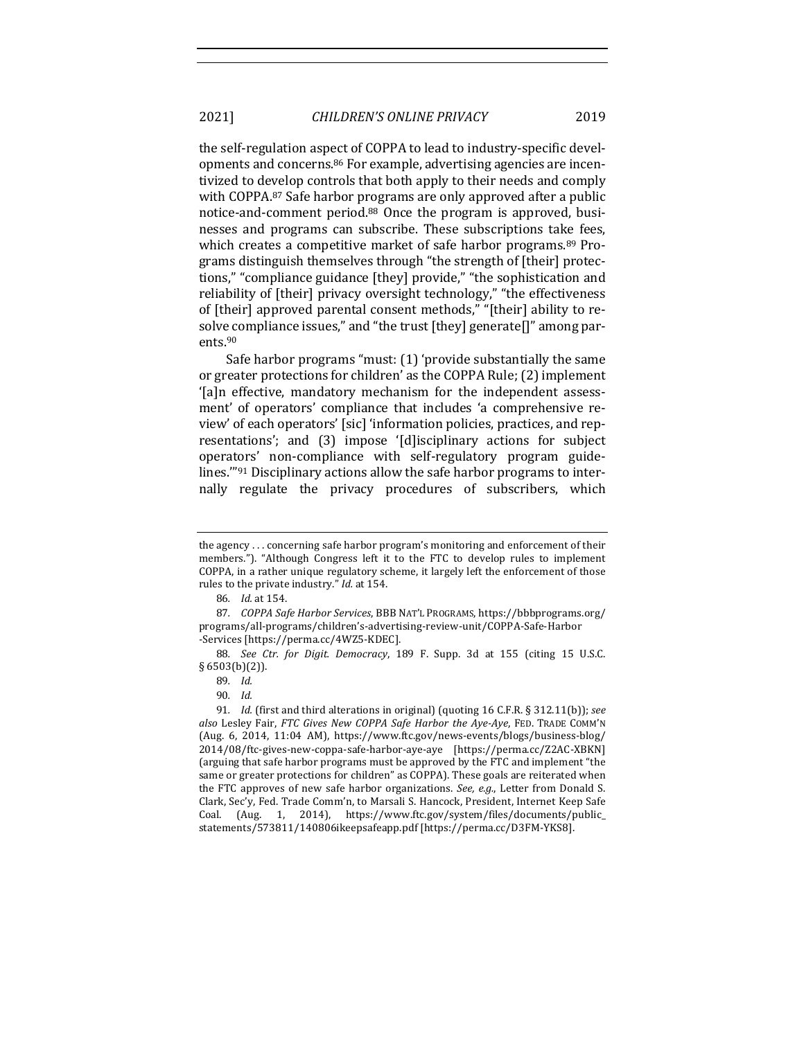the self-regulation aspect of COPPA to lead to industry-specific developments and concerns.<sup>86</sup> For example, advertising agencies are incentivized to develop controls that both apply to their needs and comply with COPPA.87 Safe harbor programs are only approved after a public notice-and-comment period.<sup>88</sup> Once the program is approved, businesses and programs can subscribe. These subscriptions take fees, which creates a competitive market of safe harbor programs.<sup>89</sup> Programs distinguish themselves through "the strength of [their] protections," "compliance guidance [they] provide," "the sophistication and reliability of [their] privacy oversight technology," "the effectiveness of [their] approved parental consent methods," "[their] ability to resolve compliance issues," and "the trust [they] generate[]" among parents.90

Safe harbor programs "must:  $(1)$  'provide substantially the same or greater protections for children' as the COPPA Rule; (2) implement '[a]n effective, mandatory mechanism for the independent assessment' of operators' compliance that includes 'a comprehensive review' of each operators' [sic] 'information policies, practices, and representations'; and (3) impose '[d]isciplinary actions for subject operators' non-compliance with self-regulatory program guidelines. $10^{91}$  Disciplinary actions allow the safe harbor programs to internally regulate the privacy procedures of subscribers, which

the  $a$ gency  $\dots$  concerning safe harbor program's monitoring and enforcement of their members."). "Although Congress left it to the FTC to develop rules to implement COPPA, in a rather unique regulatory scheme, it largely left the enforcement of those rules to the private industry." *Id.* at 154.

<sup>86</sup>*. Id.* at 154.

<sup>87.</sup> *COPPA Safe Harbor Services*, BBB NAT'L PROGRAMS, https://bbbprograms.org/ programs/all-programs/children's-advertising-review-unit/COPPA-Safe-Harbor -Services [https://perma.cc/4WZ5-KDEC].

<sup>88.</sup> *See Ctr. for Digit. Democracy*, 189 F. Supp. 3d at 155 (citing 15 U.S.C. § 6503(b)(2)).

<sup>89</sup>*. Id.*

<sup>90</sup>*. Id.*

<sup>91.</sup> *Id.* (first and third alterations in original) (quoting 16 C.F.R.  $\S$  312.11(b)); *see* also Lesley Fair, *FTC Gives New COPPA Safe Harbor the Aye-Aye*, FED. TRADE COMM'N (Aug. 6, 2014, 11:04 AM), https://www.ftc.gov/news-events/blogs/business-blog/ 2014/08/ftc-gives-new-coppa-safe-harbor-aye-aye [https://perma.cc/Z2AC-XBKN] (arguing that safe harbor programs must be approved by the FTC and implement "the same or greater protections for children" as COPPA). These goals are reiterated when the FTC approves of new safe harbor organizations. *See, e.g.*, Letter from Donald S. Clark, Sec'y, Fed. Trade Comm'n, to Marsali S. Hancock, President, Internet Keep Safe Coal. (Aug. 1, 2014), https://www.ftc.gov/system/files/documents/public\_ statements/573811/140806ikeepsafeapp.pdf [https://perma.cc/D3FM-YKS8].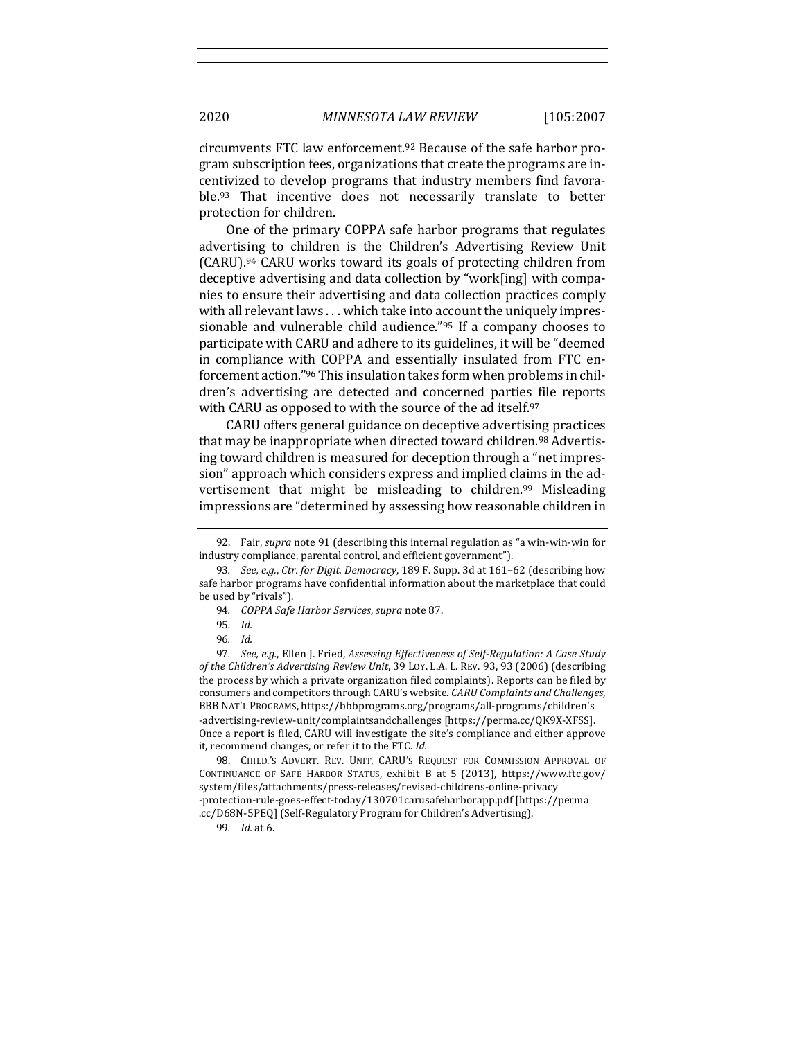circumvents FTC law enforcement.<sup>92</sup> Because of the safe harbor program subscription fees, organizations that create the programs are incentivized to develop programs that industry members find favorable.<sup>93</sup> That incentive does not necessarily translate to better protection for children.

One of the primary COPPA safe harbor programs that regulates advertising to children is the Children's Advertising Review Unit  $(CARU)$ .<sup>94</sup> CARU works toward its goals of protecting children from deceptive advertising and data collection by "work[ing] with companies to ensure their advertising and data collection practices comply with all relevant laws . . . which take into account the uniquely impressionable and vulnerable child audience."<sup>95</sup> If a company chooses to participate with CARU and adhere to its guidelines, it will be "deemed in compliance with COPPA and essentially insulated from FTC enforcement action."<sup>96</sup> This insulation takes form when problems in children's advertising are detected and concerned parties file reports with CARU as opposed to with the source of the ad itself.  $97$ 

CARU offers general guidance on deceptive advertising practices that may be inappropriate when directed toward children.<sup>98</sup> Advertising toward children is measured for deception through a "net impression" approach which considers express and implied claims in the advertisement that might be misleading to children.<sup>99</sup> Misleading impressions are "determined by assessing how reasonable children in

<sup>92.</sup> Fair, *supra* note 91 (describing this internal regulation as "a win-win-win for industry compliance, parental control, and efficient government").

<sup>93.</sup> *See, e.g., Ctr. for Digit. Democracy,* 189 F. Supp. 3d at 161-62 (describing how safe harbor programs have confidential information about the marketplace that could be used by "rivals").

<sup>94.</sup> *COPPA Safe Harbor Services, supra* note 87.

<sup>95</sup>*. Id.*

<sup>96</sup>*. Id.*

<sup>97.</sup> See, e.g., Ellen J. Fried, Assessing Effectiveness of Self-Regulation: A Case Study of the Children's Advertising Review Unit, 39 Loy. L.A. L. REV. 93, 93 (2006) (describing the process by which a private organization filed complaints). Reports can be filed by consumers and competitors through CARU's website. *CARU Complaints and Challenges*, BBB NAT'L PROGRAMS, https://bbbprograms.org/programs/all-programs/children's -advertising-review-unit/complaintsandchallenges [https://perma.cc/QK9X-XFSS]. Once a report is filed, CARU will investigate the site's compliance and either approve it, recommend changes, or refer it to the FTC. *Id.* 

<sup>98.</sup> CHILD.'S ADVERT. REV. UNIT, CARU'S REQUEST FOR COMMISSION APPROVAL OF CONTINUANCE OF SAFE HARBOR STATUS, exhibit B at 5 (2013), https://www.ftc.gov/ system/files/attachments/press-releases/revised-childrens-online-privacy -protection-rule-goes-effect-today/130701carusafeharborapp.pdf [https://perma .cc/D68N-5PEQ] (Self-Regulatory Program for Children's Advertising).

<sup>99</sup>*. Id.* at 6.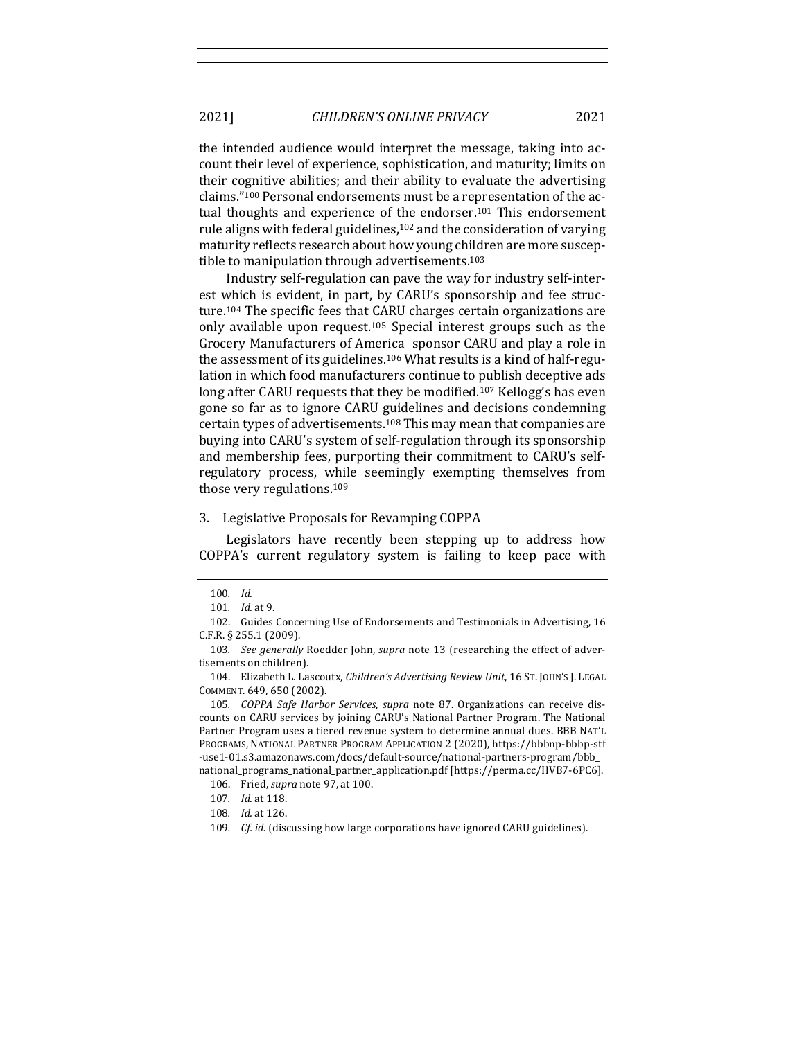the intended audience would interpret the message, taking into account their level of experience, sophistication, and maturity; limits on their cognitive abilities; and their ability to evaluate the advertising claims."<sup>100</sup> Personal endorsements must be a representation of the actual thoughts and experience of the endorser.<sup>101</sup> This endorsement rule aligns with federal guidelines,<sup>102</sup> and the consideration of varying maturity reflects research about how young children are more susceptible to manipulation through advertisements. $103$ 

Industry self-regulation can pave the way for industry self-interest which is evident, in part, by CARU's sponsorship and fee structure.<sup>104</sup> The specific fees that CARU charges certain organizations are only available upon request.<sup>105</sup> Special interest groups such as the Grocery Manufacturers of America sponsor CARU and play a role in the assessment of its guidelines.<sup>106</sup> What results is a kind of half-regulation in which food manufacturers continue to publish deceptive ads long after CARU requests that they be modified.<sup>107</sup> Kellogg's has even gone so far as to ignore CARU guidelines and decisions condemning certain types of advertisements.<sup>108</sup> This may mean that companies are buying into CARU's system of self-regulation through its sponsorship and membership fees, purporting their commitment to CARU's selfregulatory process, while seemingly exempting themselves from those very regulations.<sup>109</sup>

### 3. Legislative Proposals for Revamping COPPA

Legislators have recently been stepping up to address how COPPA's current regulatory system is failing to keep pace with

<sup>100</sup>*. Id.*

<sup>101</sup>*. Id.* at 9. 

<sup>102.</sup> Guides Concerning Use of Endorsements and Testimonials in Advertising, 16 C.F.R. § 255.1 (2009).

<sup>103.</sup> See generally Roedder John, *supra* note 13 (researching the effect of advertisements on children).

<sup>104.</sup> Elizabeth L. Lascoutx, *Children's Advertising Review Unit*, 16 ST. JOHN'S J. LEGAL COMMENT. 649, 650 (2002).

<sup>105.</sup> *COPPA Safe Harbor Services, supra* note 87. Organizations can receive discounts on CARU services by joining CARU's National Partner Program. The National Partner Program uses a tiered revenue system to determine annual dues. BBB NAT'L PROGRAMS, NATIONAL PARTNER PROGRAM APPLICATION 2 (2020), https://bbbnp-bbbp-stf -use1-01.s3.amazonaws.com/docs/default-source/national-partners-program/bbb\_ national\_programs\_national\_partner\_application.pdf [https://perma.cc/HVB7-6PC6].

<sup>106.</sup> Fried, *supra* note 97, at 100.

<sup>107.</sup> *Id.* at 118.

<sup>108.</sup> *Id.* at 126.

<sup>109.</sup> *Cf. id.* (discussing how large corporations have ignored CARU guidelines).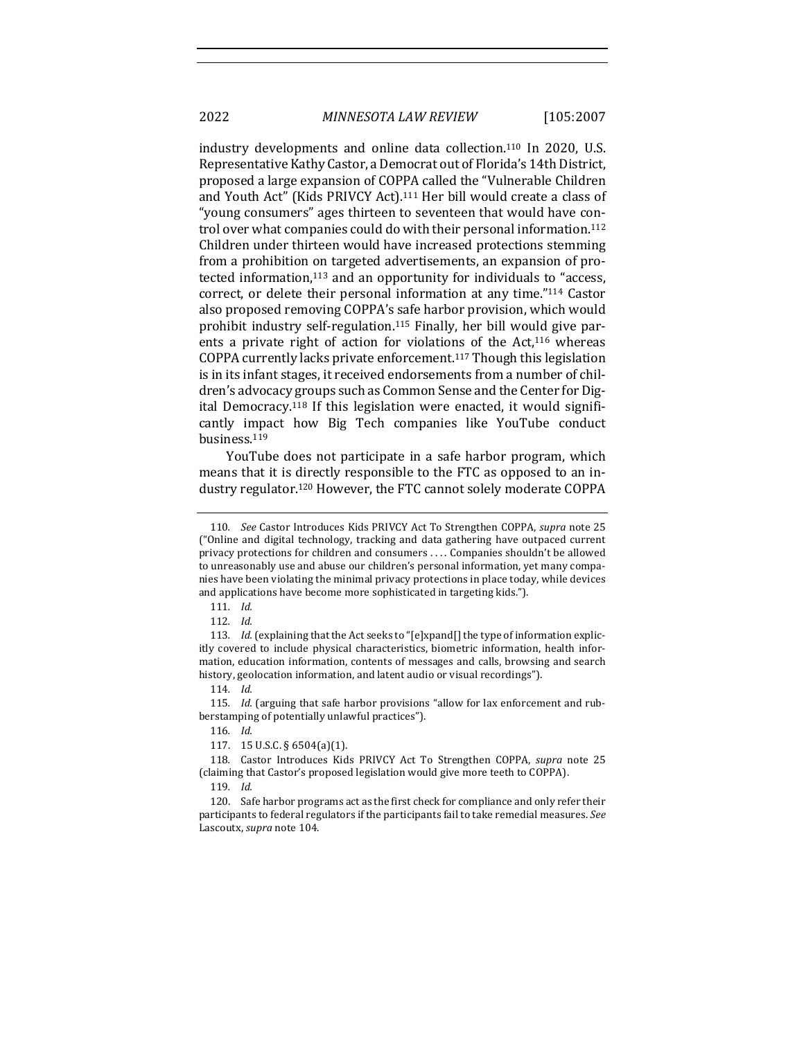industry developments and online data collection.<sup>110</sup> In 2020, U.S. Representative Kathy Castor, a Democrat out of Florida's 14th District, proposed a large expansion of COPPA called the "Vulnerable Children and Youth Act" (Kids PRIVCY Act).<sup>111</sup> Her bill would create a class of "young consumers" ages thirteen to seventeen that would have control over what companies could do with their personal information.<sup>112</sup> Children under thirteen would have increased protections stemming from a prohibition on targeted advertisements, an expansion of protected information, $113$  and an opportunity for individuals to "access, correct, or delete their personal information at any time."<sup>114</sup> Castor also proposed removing COPPA's safe harbor provision, which would prohibit industry self-regulation.<sup>115</sup> Finally, her bill would give parents a private right of action for violations of the  $Act,116$  whereas COPPA currently lacks private enforcement.<sup>117</sup> Though this legislation is in its infant stages, it received endorsements from a number of children's advocacy groups such as Common Sense and the Center for Digital Democracy.<sup>118</sup> If this legislation were enacted, it would significantly impact how Big Tech companies like YouTube conduct business.119

YouTube does not participate in a safe harbor program, which means that it is directly responsible to the FTC as opposed to an industry regulator.<sup>120</sup> However, the FTC cannot solely moderate COPPA

<sup>110</sup>*. See* Castor Introduces Kids PRIVCY Act To Strengthen COPPA, *supra* note 25 ("Online and digital technology, tracking and data gathering have outpaced current privacy protections for children and consumers .... Companies shouldn't be allowed to unreasonably use and abuse our children's personal information, yet many companies have been violating the minimal privacy protections in place today, while devices and applications have become more sophisticated in targeting kids.").

<sup>111</sup>*. Id.* 

<sup>112</sup>*. Id.*

<sup>113.</sup> *Id.* (explaining that the Act seeks to "[e]xpand[] the type of information explicitly covered to include physical characteristics, biometric information, health information, education information, contents of messages and calls, browsing and search history, geolocation information, and latent audio or visual recordings").

<sup>114</sup>*. Id.* 

<sup>115.</sup> *Id.* (arguing that safe harbor provisions "allow for lax enforcement and rubberstamping of potentially unlawful practices").

<sup>116</sup>*. Id.*

<sup>117. 15</sup> U.S.C. § 6504(a)(1).

<sup>118.</sup> Castor Introduces Kids PRIVCY Act To Strengthen COPPA, *supra* note 25 (claiming that Castor's proposed legislation would give more teeth to COPPA).

<sup>119</sup>*. Id.* 

<sup>120.</sup> Safe harbor programs act as the first check for compliance and only refer their participants to federal regulators if the participants fail to take remedial measures. See Lascoutx, *supra* note 104.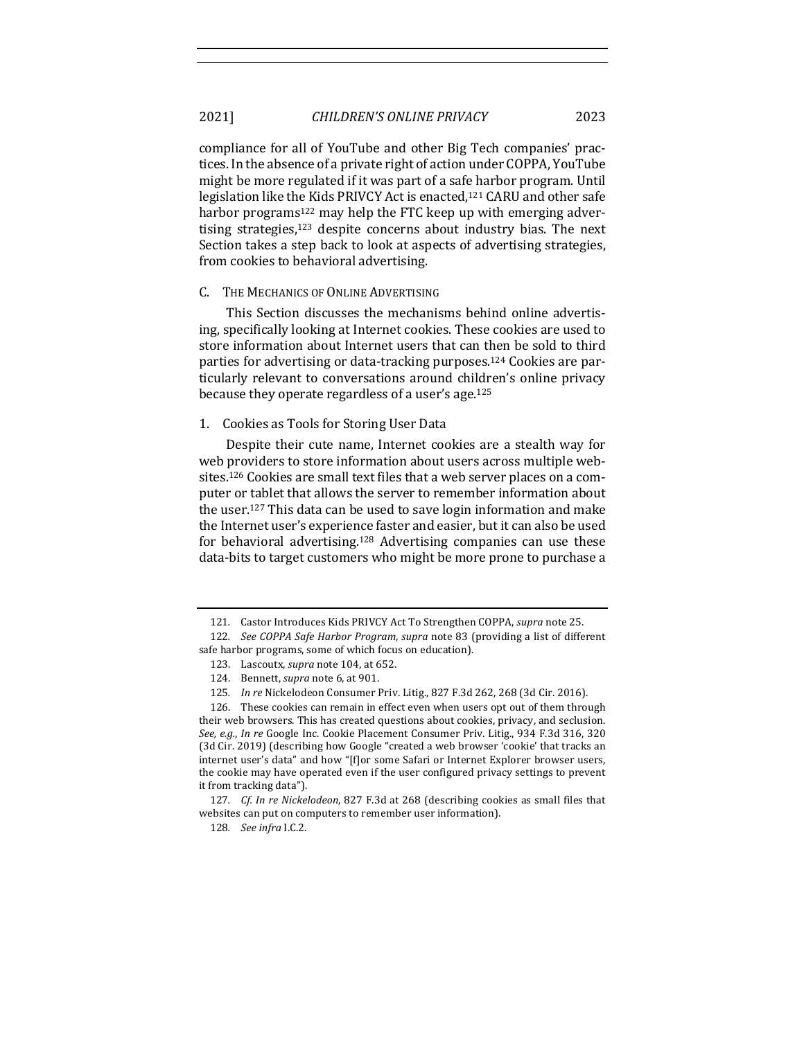compliance for all of YouTube and other Big Tech companies' practices. In the absence of a private right of action under COPPA, YouTube might be more regulated if it was part of a safe harbor program. Until legislation like the Kids PRIVCY Act is enacted,<sup>121</sup> CARU and other safe harbor programs<sup>122</sup> may help the FTC keep up with emerging advertising strategies, $123$  despite concerns about industry bias. The next Section takes a step back to look at aspects of advertising strategies, from cookies to behavioral advertising.

# C. THE MECHANICS OF ONLINE ADVERTISING

This Section discusses the mechanisms behind online advertising, specifically looking at Internet cookies. These cookies are used to store information about Internet users that can then be sold to third parties for advertising or data-tracking purposes.<sup>124</sup> Cookies are particularly relevant to conversations around children's online privacy because they operate regardless of a user's age.<sup>125</sup>

### 1. Cookies as Tools for Storing User Data

Despite their cute name, Internet cookies are a stealth way for web providers to store information about users across multiple websites.<sup>126</sup> Cookies are small text files that a web server places on a computer or tablet that allows the server to remember information about the user.<sup>127</sup> This data can be used to save login information and make the Internet user's experience faster and easier, but it can also be used for behavioral advertising.<sup>128</sup> Advertising companies can use these data-bits to target customers who might be more prone to purchase a

<sup>121.</sup> Castor Introduces Kids PRIVCY Act To Strengthen COPPA, *supra* note 25.

<sup>122</sup>*. See COPPA Safe Harbor Program, supra* note 83 (providing a list of different safe harbor programs, some of which focus on education).

<sup>123.</sup> Lascoutx, *supra* note 104, at 652.

<sup>124.</sup> Bennett, *supra* note 6, at 901.

<sup>125.</sup> *In re* Nickelodeon Consumer Priv. Litig., 827 F.3d 262, 268 (3d Cir. 2016).

<sup>126.</sup> These cookies can remain in effect even when users opt out of them through their web browsers. This has created questions about cookies, privacy, and seclusion. See, e.g., In re Google Inc. Cookie Placement Consumer Priv. Litig., 934 F.3d 316, 320 (3d Cir. 2019) (describing how Google "created a web browser 'cookie' that tracks an internet user's data" and how "[f]or some Safari or Internet Explorer browser users, the cookie may have operated even if the user configured privacy settings to prevent it from tracking data").

<sup>127.</sup> *Cf.* In re Nickelodeon, 827 F.3d at 268 (describing cookies as small files that websites can put on computers to remember user information).

<sup>128</sup>*. See infra* I.C.2.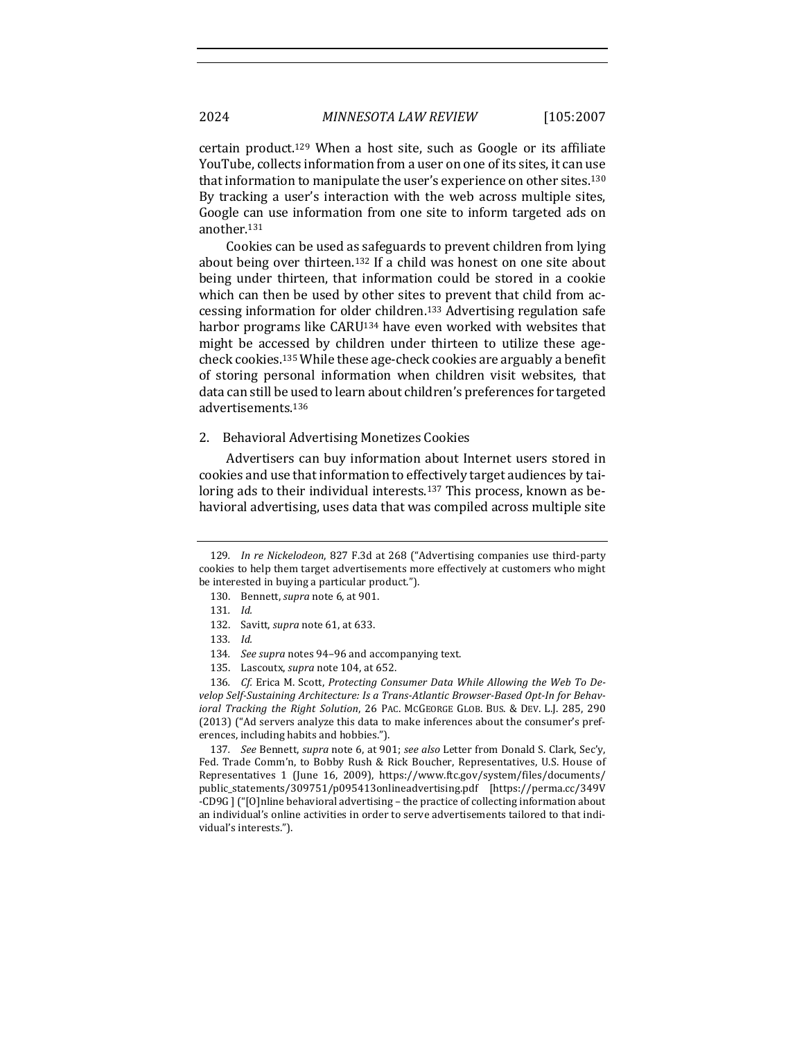certain product.<sup>129</sup> When a host site, such as Google or its affiliate YouTube, collects information from a user on one of its sites, it can use that information to manipulate the user's experience on other sites.<sup>130</sup> By tracking a user's interaction with the web across multiple sites, Google can use information from one site to inform targeted ads on another.131

Cookies can be used as safeguards to prevent children from lying about being over thirteen.<sup>132</sup> If a child was honest on one site about being under thirteen, that information could be stored in a cookie which can then be used by other sites to prevent that child from accessing information for older children.<sup>133</sup> Advertising regulation safe harbor programs like CARU<sup>134</sup> have even worked with websites that might be accessed by children under thirteen to utilize these agecheck cookies.<sup>135</sup> While these age-check cookies are arguably a benefit of storing personal information when children visit websites, that data can still be used to learn about children's preferences for targeted advertisements.136

# 2. Behavioral Advertising Monetizes Cookies

Advertisers can buy information about Internet users stored in cookies and use that information to effectively target audiences by tailoring ads to their individual interests.<sup>137</sup> This process, known as behavioral advertising, uses data that was compiled across multiple site

137. *See* Bennett, *supra* note 6, at 901; *see also* Letter from Donald S. Clark, Sec'y, Fed. Trade Comm'n, to Bobby Rush & Rick Boucher, Representatives, U.S. House of Representatives 1 (June 16, 2009), https://www.ftc.gov/system/files/documents/ public\_statements/309751/p095413onlineadvertising.pdf [https://perma.cc/349V -CD9G ] ("[O]nline behavioral advertising - the practice of collecting information about an individual's online activities in order to serve advertisements tailored to that individual's interests.").

<sup>129.</sup> *In re Nickelodeon*, 827 F.3d at 268 ("Advertising companies use third-party cookies to help them target advertisements more effectively at customers who might be interested in buying a particular product.").

<sup>130.</sup> Bennett, *supra* note 6, at 901.

<sup>131</sup>*. Id.*

<sup>132.</sup> Savitt, *supra* note 61, at 633.

<sup>133</sup>*. Id.*

<sup>134.</sup> *See supra* notes 94-96 and accompanying text.

<sup>135.</sup> Lascoutx, *supra* note 104, at 652.

<sup>136.</sup> *Cf.* Erica M. Scott, *Protecting Consumer Data While Allowing the Web To De*velop Self-Sustaining Architecture: Is a Trans-Atlantic Browser-Based Opt-In for Behav*ioral Tracking the Right Solution,* 26 PAC. MCGEORGE GLOB. BUS. & DEV. L.J. 285, 290 (2013) ("Ad servers analyze this data to make inferences about the consumer's preferences, including habits and hobbies.").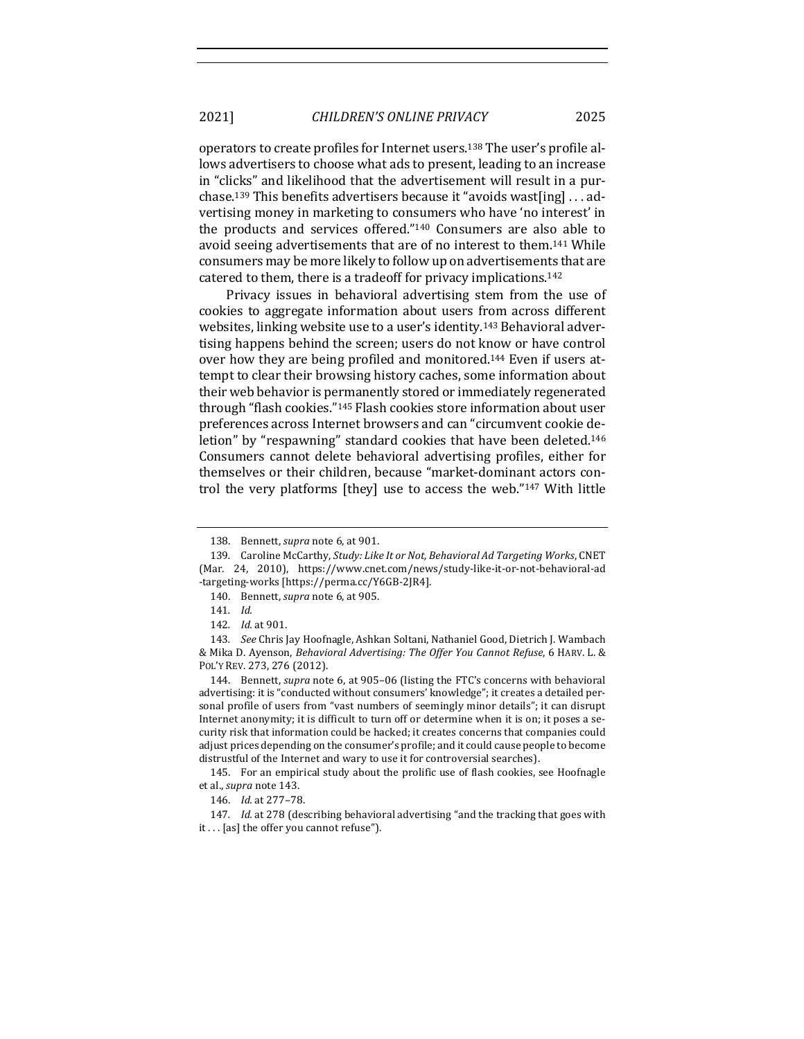operators to create profiles for Internet users.<sup>138</sup> The user's profile allows advertisers to choose what ads to present, leading to an increase in "clicks" and likelihood that the advertisement will result in a purchase.<sup>139</sup> This benefits advertisers because it "avoids wast[ing]  $\dots$  advertising money in marketing to consumers who have 'no interest' in the products and services offered." $140$  Consumers are also able to avoid seeing advertisements that are of no interest to them.<sup>141</sup> While consumers may be more likely to follow up on advertisements that are catered to them, there is a tradeoff for privacy implications.<sup>142</sup>

Privacy issues in behavioral advertising stem from the use of cookies to aggregate information about users from across different websites, linking website use to a user's identity.<sup>143</sup> Behavioral advertising happens behind the screen; users do not know or have control over how they are being profiled and monitored.<sup>144</sup> Even if users attempt to clear their browsing history caches, some information about their web behavior is permanently stored or immediately regenerated through "flash cookies."<sup>145</sup> Flash cookies store information about user preferences across Internet browsers and can "circumvent cookie deletion" by "respawning" standard cookies that have been deleted.<sup>146</sup> Consumers cannot delete behavioral advertising profiles, either for themselves or their children, because "market-dominant actors control the very platforms [they] use to access the web."<sup>147</sup> With little

144. Bennett, *supra* note 6, at 905-06 (listing the FTC's concerns with behavioral advertising: it is "conducted without consumers' knowledge"; it creates a detailed personal profile of users from "vast numbers of seemingly minor details"; it can disrupt Internet anonymity; it is difficult to turn off or determine when it is on; it poses a security risk that information could be hacked; it creates concerns that companies could adjust prices depending on the consumer's profile; and it could cause people to become distrustful of the Internet and wary to use it for controversial searches).

145. For an empirical study about the prolific use of flash cookies, see Hoofnagle et al., *supra* note 143.

147. *Id.* at 278 (describing behavioral advertising "and the tracking that goes with it . . . [as] the offer you cannot refuse").

<sup>138.</sup> Bennett, *supra* note 6, at 901.

<sup>139.</sup> Caroline McCarthy, *Study: Like It or Not, Behavioral Ad Targeting Works*, CNET (Mar. 24, 2010), https://www.cnet.com/news/study-like-it-or-not-behavioral-ad -targeting-works [https://perma.cc/Y6GB-2JR4]. 

<sup>140.</sup> Bennett, *supra* note 6, at 905.

<sup>141.</sup> *Id.* 

<sup>142.</sup> *Id.* at 901.

<sup>143.</sup> See Chris Jay Hoofnagle, Ashkan Soltani, Nathaniel Good, Dietrich J. Wambach & Mika D. Ayenson, *Behavioral Advertising: The Offer You Cannot Refuse*, 6 HARV. L. & POL'Y REV. 273, 276 (2012).

<sup>146.</sup> *Id.* at 277-78.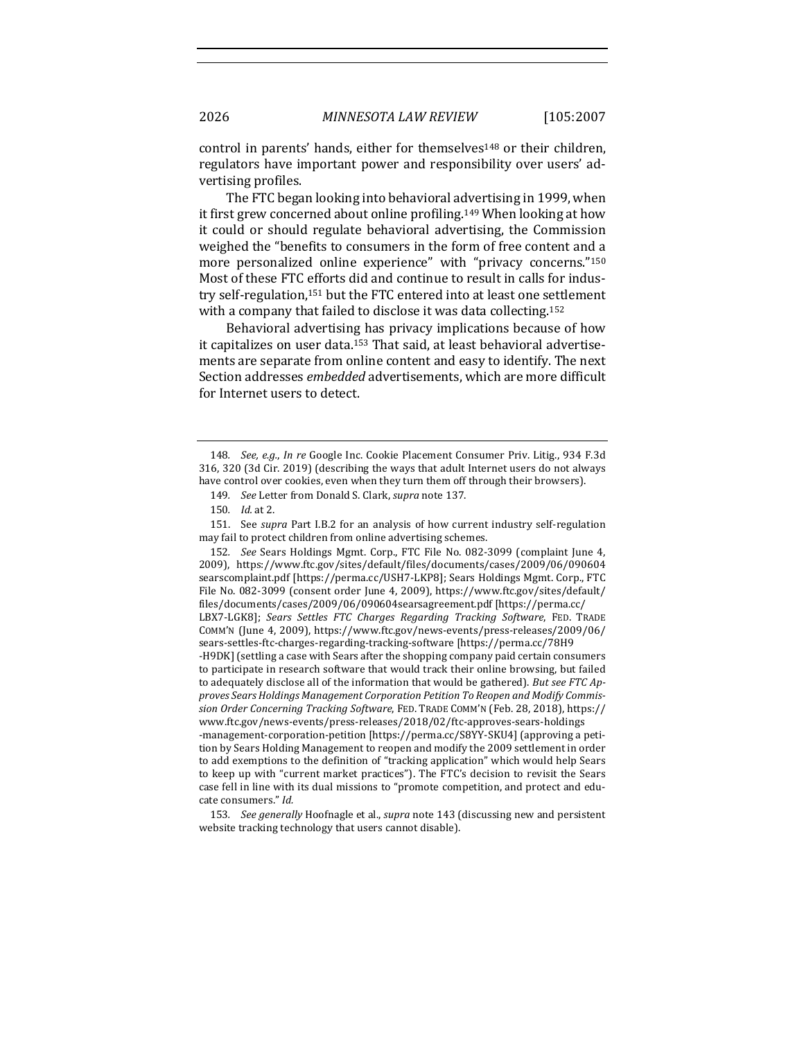control in parents' hands, either for themselves<sup>148</sup> or their children, regulators have important power and responsibility over users' advertising profiles.

The FTC began looking into behavioral advertising in 1999, when it first grew concerned about online profiling.<sup>149</sup> When looking at how it could or should regulate behavioral advertising, the Commission weighed the "benefits to consumers in the form of free content and a more personalized online experience" with "privacy concerns."150 Most of these FTC efforts did and continue to result in calls for industry self-regulation,<sup>151</sup> but the FTC entered into at least one settlement with a company that failed to disclose it was data collecting.<sup>152</sup>

Behavioral advertising has privacy implications because of how it capitalizes on user data.<sup>153</sup> That said, at least behavioral advertisements are separate from online content and easy to identify. The next Section addresses *embedded* advertisements, which are more difficult for Internet users to detect.

151. See *supra* Part I.B.2 for an analysis of how current industry self-regulation may fail to protect children from online advertising schemes.

152. See Sears Holdings Mgmt. Corp., FTC File No. 082-3099 (complaint June 4, 2009), https://www.ftc.gov/sites/default/files/documents/cases/2009/06/090604 searscomplaint.pdf [https://perma.cc/USH7-LKP8]; Sears Holdings Mgmt. Corp., FTC File No. 082-3099 (consent order June 4, 2009), https://www.ftc.gov/sites/default/ files/documents/cases/2009/06/090604searsagreement.pdf [https://perma.cc/ LBX7-LGK8]; Sears Settles FTC Charges Regarding Tracking Software, FED. TRADE COMM'N (June 4, 2009), https://www.ftc.gov/news-events/press-releases/2009/06/ sears-settles-ftc-charges-regarding-tracking-software [https://perma.cc/78H9 -H9DK] (settling a case with Sears after the shopping company paid certain consumers to participate in research software that would track their online browsing, but failed to adequately disclose all of the information that would be gathered). *But see FTC Ap*proves Sears Holdings Management Corporation Petition To Reopen and Modify Commis*sion Order Concerning Tracking Software*, FED. TRADE COMM'N (Feb. 28, 2018), https:// www.ftc.gov/news-events/press-releases/2018/02/ftc-approves-sears-holdings -management-corporation-petition [https://perma.cc/S8YY-SKU4] (approving a petition by Sears Holding Management to reopen and modify the 2009 settlement in order to add exemptions to the definition of "tracking application" which would help Sears to keep up with "current market practices"). The FTC's decision to revisit the Sears case fell in line with its dual missions to "promote competition, and protect and educate consumers." Id.

153. *See generally* Hoofnagle et al., *supra* note 143 (discussing new and persistent website tracking technology that users cannot disable).

<sup>148.</sup> See, e.g., In re Google Inc. Cookie Placement Consumer Priv. Litig., 934 F.3d 316, 320 (3d Cir. 2019) (describing the ways that adult Internet users do not always have control over cookies, even when they turn them off through their browsers).

<sup>149.</sup> *See* Letter from Donald S. Clark, *supra* note 137.

<sup>150</sup>*. Id.* at 2.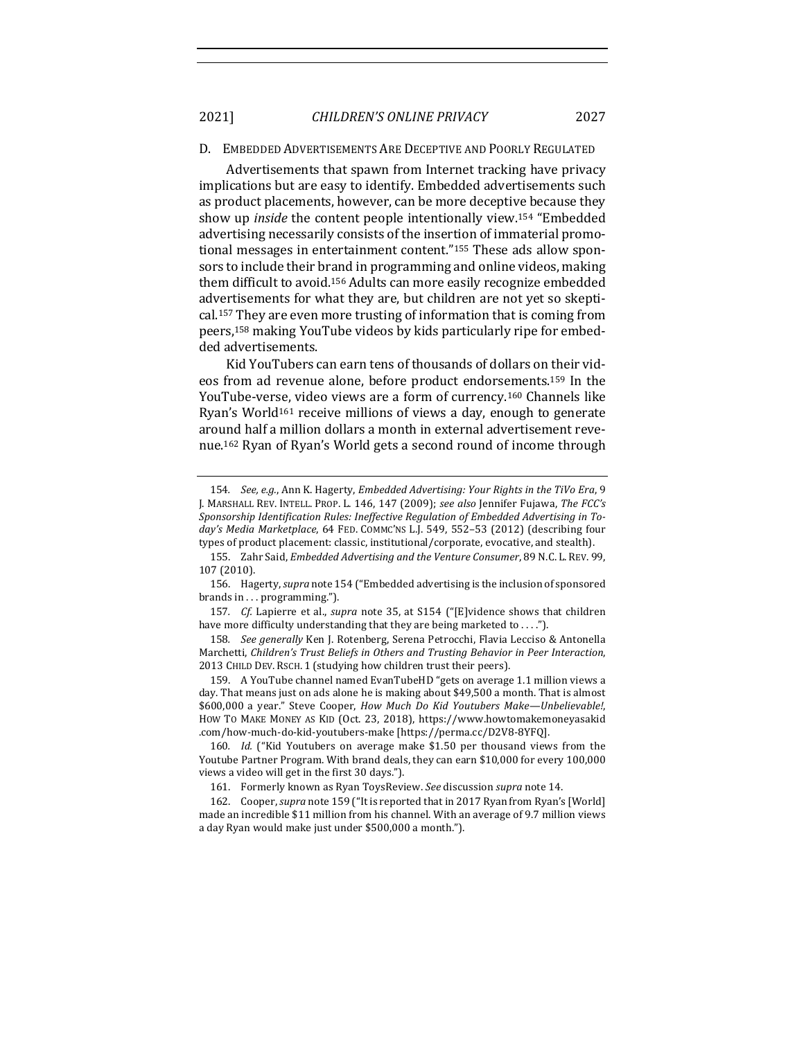2021] *CHILDREN'S ONLINE PRIVACY* 2027

### D. EMBEDDED ADVERTISEMENTS ARE DECEPTIVE AND POORLY REGULATED

Advertisements that spawn from Internet tracking have privacy implications but are easy to identify. Embedded advertisements such as product placements, however, can be more deceptive because they show up *inside* the content people intentionally view.<sup>154</sup> "Embedded advertising necessarily consists of the insertion of immaterial promotional messages in entertainment content."<sup>155</sup> These ads allow sponsors to include their brand in programming and online videos, making them difficult to avoid.<sup>156</sup> Adults can more easily recognize embedded advertisements for what they are, but children are not yet so skeptical.<sup>157</sup> They are even more trusting of information that is coming from peers,<sup>158</sup> making YouTube videos by kids particularly ripe for embedded advertisements.

Kid YouTubers can earn tens of thousands of dollars on their videos from ad revenue alone, before product endorsements.<sup>159</sup> In the YouTube-verse, video views are a form of currency.<sup>160</sup> Channels like Ryan's World<sup>161</sup> receive millions of views a day, enough to generate around half a million dollars a month in external advertisement revenue.<sup>162</sup> Ryan of Ryan's World gets a second round of income through

158. See generally Ken J. Rotenberg, Serena Petrocchi, Flavia Lecciso & Antonella Marchetti, Children's Trust Beliefs in Others and Trusting Behavior in Peer Interaction, 2013 CHILD DEV. RSCH. 1 (studying how children trust their peers).

159. A YouTube channel named EvanTubeHD "gets on average 1.1 million views a day. That means just on ads alone he is making about \$49,500 a month. That is almost \$600,000 a year." Steve Cooper, *How Much Do Kid Youtubers Make—Unbelievable!*, HOW TO MAKE MONEY AS KID (Oct. 23, 2018), https://www.howtomakemoneyasakid .com/how-much-do-kid-youtubers-make [https://perma.cc/D2V8-8YFQ].

160. *Id.* ("Kid Youtubers on average make \$1.50 per thousand views from the Youtube Partner Program. With brand deals, they can earn \$10,000 for every 100,000 views a video will get in the first 30 days.").

161. Formerly known as Ryan ToysReview. See discussion supra note 14.

162. Cooper, *supra* note 159 ("It is reported that in 2017 Ryan from Ryan's [World] made an incredible \$11 million from his channel. With an average of 9.7 million views a day Ryan would make just under \$500,000 a month.").

<sup>154.</sup> *See, e.g.,* Ann K. Hagerty, *Embedded Advertising: Your Rights in the TiVo Era*, 9 J. MARSHALL REV. INTELL. PROP. L. 146, 147 (2009); see also Jennifer Fujawa, The FCC's Sponsorship Identification Rules: Ineffective Regulation of Embedded Advertising in Today's Media Marketplace, 64 FED. COMMC'NS L.J. 549, 552-53 (2012) (describing four types of product placement: classic, institutional/corporate, evocative, and stealth).

<sup>155.</sup> Zahr Said, *Embedded Advertising and the Venture Consumer*, 89 N.C. L. REV. 99, 107 (2010).

<sup>156.</sup> Hagerty, *supra* note 154 ("Embedded advertising is the inclusion of sponsored brands in . . . programming.").

<sup>157.</sup> *Cf.* Lapierre et al., *supra* note 35, at S154 ("[E]vidence shows that children have more difficulty understanding that they are being marketed to ....").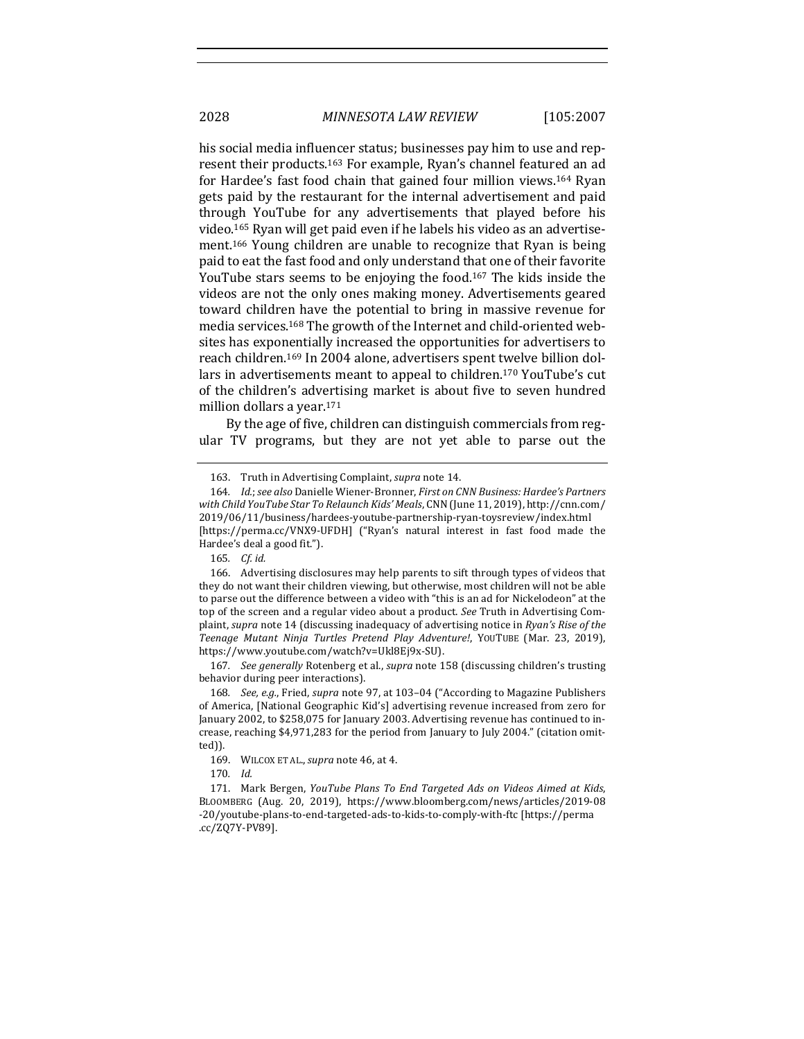his social media influencer status; businesses pay him to use and represent their products.<sup>163</sup> For example, Ryan's channel featured an ad for Hardee's fast food chain that gained four million views.<sup>164</sup> Ryan gets paid by the restaurant for the internal advertisement and paid through YouTube for any advertisements that played before his video.<sup>165</sup> Ryan will get paid even if he labels his video as an advertisement.<sup>166</sup> Young children are unable to recognize that Ryan is being paid to eat the fast food and only understand that one of their favorite YouTube stars seems to be enjoying the food.<sup>167</sup> The kids inside the videos are not the only ones making money. Advertisements geared toward children have the potential to bring in massive revenue for media services.<sup>168</sup> The growth of the Internet and child-oriented websites has exponentially increased the opportunities for advertisers to reach children.<sup>169</sup> In 2004 alone, advertisers spent twelve billion dollars in advertisements meant to appeal to children.<sup>170</sup> YouTube's cut of the children's advertising market is about five to seven hundred million dollars a year.<sup>171</sup>

By the age of five, children can distinguish commercials from regular TV programs, but they are not yet able to parse out the

167. *See generally* Rotenberg et al., *supra* note 158 (discussing children's trusting behavior during peer interactions).

168. *See, e.g.*, Fried, *supra* note 97, at 103-04 ("According to Magazine Publishers of America, [National Geographic Kid's] advertising revenue increased from zero for January 2002, to \$258,075 for January 2003. Advertising revenue has continued to increase, reaching \$4,971,283 for the period from January to July 2004." (citation omitted)).

170*. Id.* 

171. Mark Bergen, *YouTube Plans To End Targeted Ads on Videos Aimed at Kids*, BLOOMBERG (Aug. 20, 2019), https://www.bloomberg.com/news/articles/2019-08 -20/youtube-plans-to-end-targeted-ads-to-kids-to-comply-with-ftc [https://perma .cc/ZQ7Y-PV89]. 

<sup>163.</sup> Truth in Advertising Complaint, *supra* note 14.

<sup>164.</sup> *Id.*; see also Danielle Wiener-Bronner, First on CNN Business: Hardee's Partners with Child YouTube Star To Relaunch Kids' Meals, CNN (June 11, 2019), http://cnn.com/ 2019/06/11/business/hardees-youtube-partnership-ryan-toysreview/index.html [https://perma.cc/VNX9-UFDH] ("Ryan's natural interest in fast food made the Hardee's deal a good fit.").

<sup>165</sup>*. Cf. id.*

<sup>166.</sup> Advertising disclosures may help parents to sift through types of videos that they do not want their children viewing, but otherwise, most children will not be able to parse out the difference between a video with "this is an ad for Nickelodeon" at the top of the screen and a regular video about a product. See Truth in Advertising Complaint, *supra* note 14 (discussing inadequacy of advertising notice in *Ryan's Rise of the* Teenage Mutant Ninja Turtles Pretend Play Adventure!, YOUTUBE (Mar. 23, 2019), https://www.youtube.com/watch?v=Ukl8Ej9x-SU). 

<sup>169.</sup> WILCOX ET AL., *supra* note 46, at 4.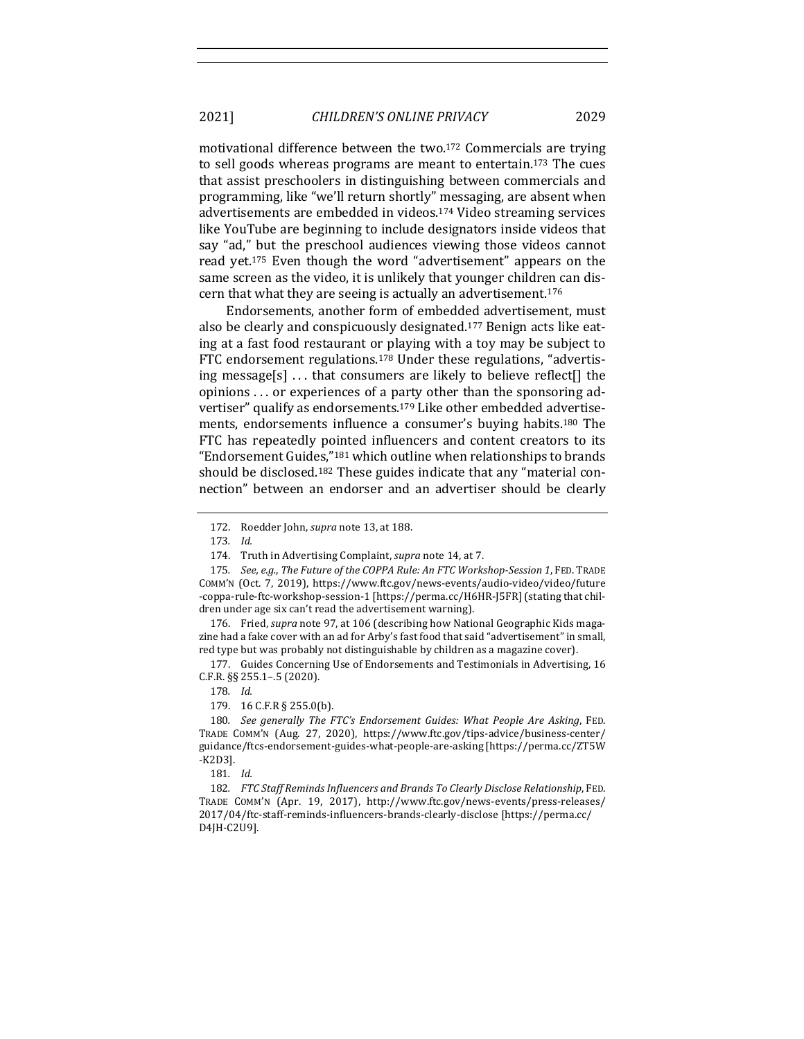2021] *CHILDREN'S ONLINE PRIVACY* 2029

motivational difference between the two.<sup>172</sup> Commercials are trying to sell goods whereas programs are meant to entertain.<sup>173</sup> The cues that assist preschoolers in distinguishing between commercials and programming, like "we'll return shortly" messaging, are absent when advertisements are embedded in videos.<sup>174</sup> Video streaming services like YouTube are beginning to include designators inside videos that say "ad," but the preschool audiences viewing those videos cannot read yet.<sup>175</sup> Even though the word "advertisement" appears on the same screen as the video, it is unlikely that younger children can discern that what they are seeing is actually an advertisement.<sup>176</sup>

Endorsements, another form of embedded advertisement, must also be clearly and conspicuously designated.<sup>177</sup> Benign acts like eating at a fast food restaurant or playing with a toy may be subject to FTC endorsement regulations.<sup>178</sup> Under these regulations, "advertising message[s]  $\ldots$  that consumers are likely to believe reflect[] the opinions ... or experiences of a party other than the sponsoring advertiser" qualify as endorsements.<sup>179</sup> Like other embedded advertisements, endorsements influence a consumer's buying habits.<sup>180</sup> The FTC has repeatedly pointed influencers and content creators to its "Endorsement Guides,"<sup>181</sup> which outline when relationships to brands should be disclosed.<sup>182</sup> These guides indicate that any "material connection" between an endorser and an advertiser should be clearly

176. Fried, *supra* note 97, at 106 (describing how National Geographic Kids magazine had a fake cover with an ad for Arby's fast food that said "advertisement" in small, red type but was probably not distinguishable by children as a magazine cover).

177. Guides Concerning Use of Endorsements and Testimonials in Advertising, 16 C.F.R. §§ 255.1–.5 (2020).

179. 16 C.F.R § 255.0(b).

180. *See generally The FTC's Endorsement Guides: What People Are Asking*, FED. TRADE COMM'N (Aug. 27, 2020), https://www.ftc.gov/tips-advice/business-center/ guidance/ftcs-endorsement-guides-what-people-are-asking [https://perma.cc/ZT5W -K2D3].

181*. Id.* 

182. FTC Staff Reminds Influencers and Brands To Clearly Disclose Relationship, FED. TRADE COMM'N (Apr. 19, 2017), http://www.ftc.gov/news-events/press-releases/ 2017/04/ftc-staff-reminds-influencers-brands-clearly-disclose [https://perma.cc/ D4JH-C2U9]. 

<sup>172.</sup> Roedder John, *supra* note 13, at 188.

<sup>173</sup>*. Id.* 

<sup>174.</sup> Truth in Advertising Complaint, *supra* note 14, at 7.

<sup>175.</sup> *See, e.g., The Future of the COPPA Rule: An FTC Workshop-Session 1, FED. TRADE* COMM'N (Oct. 7, 2019), https://www.ftc.gov/news-events/audio-video/video/future -coppa-rule-ftc-workshop-session-1 [https://perma.cc/H6HR-J5FR] (stating that children under age six can't read the advertisement warning).

<sup>178</sup>*. Id.*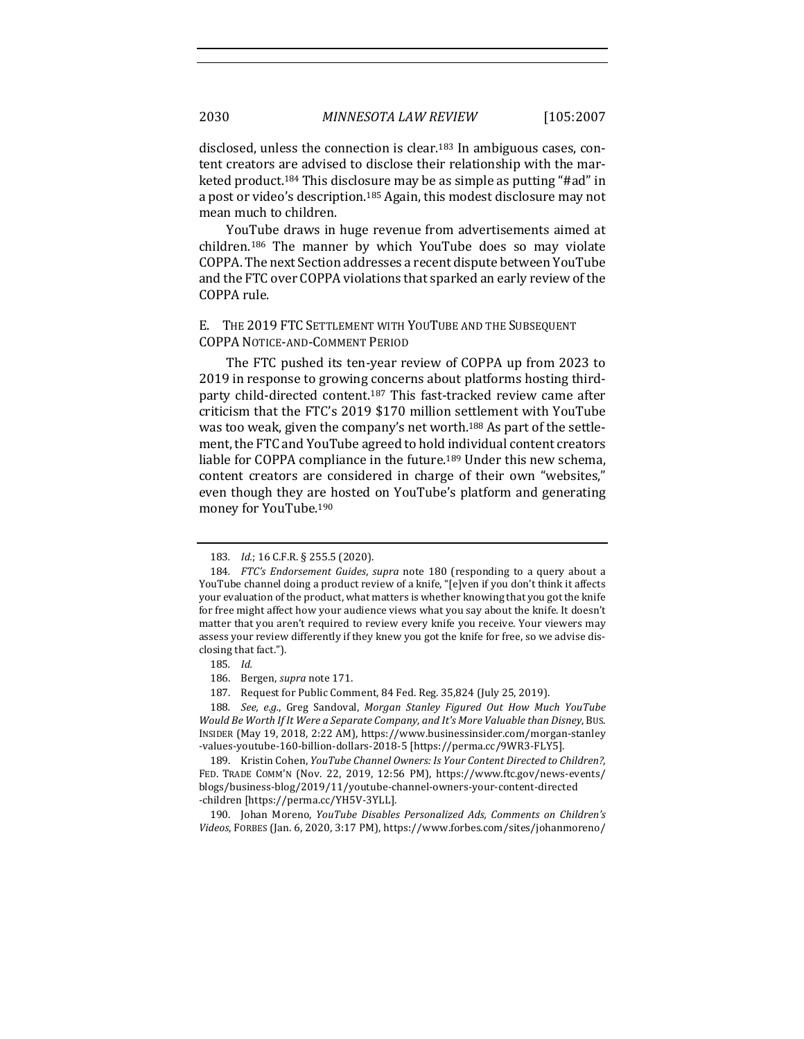disclosed, unless the connection is clear.<sup>183</sup> In ambiguous cases, content creators are advised to disclose their relationship with the marketed product.<sup>184</sup> This disclosure may be as simple as putting "#ad" in a post or video's description.<sup>185</sup> Again, this modest disclosure may not mean much to children.

YouTube draws in huge revenue from advertisements aimed at children.<sup>186</sup> The manner by which YouTube does so may violate COPPA. The next Section addresses a recent dispute between YouTube and the FTC over COPPA violations that sparked an early review of the COPPA rule.

# E. THE 2019 FTC SETTLEMENT WITH YOUTUBE AND THE SUBSEQUENT COPPA NOTICE-AND-COMMENT PERIOD

The FTC pushed its ten-year review of COPPA up from 2023 to 2019 in response to growing concerns about platforms hosting thirdparty child-directed content.<sup>187</sup> This fast-tracked review came after criticism that the FTC's 2019 \$170 million settlement with YouTube was too weak, given the company's net worth.<sup>188</sup> As part of the settlement, the FTC and YouTube agreed to hold individual content creators liable for COPPA compliance in the future.<sup>189</sup> Under this new schema, content creators are considered in charge of their own "websites," even though they are hosted on YouTube's platform and generating money for YouTube.<sup>190</sup>

<sup>183.</sup> *Id.*; 16 C.F.R. § 255.5 (2020).

<sup>184.</sup> *FTC's Endorsement Guides, supra* note 180 (responding to a query about a YouTube channel doing a product review of a knife, "[e]ven if you don't think it affects your evaluation of the product, what matters is whether knowing that you got the knife for free might affect how your audience views what you say about the knife. It doesn't matter that you aren't required to review every knife you receive. Your viewers may assess your review differently if they knew you got the knife for free, so we advise disclosing that fact.").

<sup>185</sup>*. Id.* 

<sup>186.</sup> Bergen, *supra* note 171.

<sup>187.</sup> Request for Public Comment, 84 Fed. Reg. 35,824 (July 25, 2019).

<sup>188.</sup> See, e.g., Greg Sandoval, Morgan Stanley Figured Out How Much YouTube Would Be Worth If It Were a Separate Company, and It's More Valuable than Disney, BUS. INSIDER (May 19, 2018, 2:22 AM), https://www.businessinsider.com/morgan-stanley -values-youtube-160-billion-dollars-2018-5 [https://perma.cc/9WR3-FLY5]. 

<sup>189.</sup> Kristin Cohen, *YouTube Channel Owners: Is Your Content Directed to Children?*, FED. TRADE COMM'N (Nov. 22, 2019, 12:56 PM), https://www.ftc.gov/news-events/ blogs/business-blog/2019/11/youtube-channel-owners-your-content-directed -children [https://perma.cc/YH5V-3YLL].

<sup>190.</sup> Johan Moreno, *YouTube Disables Personalized Ads, Comments on Children's* Videos, FORBES (Jan. 6, 2020, 3:17 PM), https://www.forbes.com/sites/johanmoreno/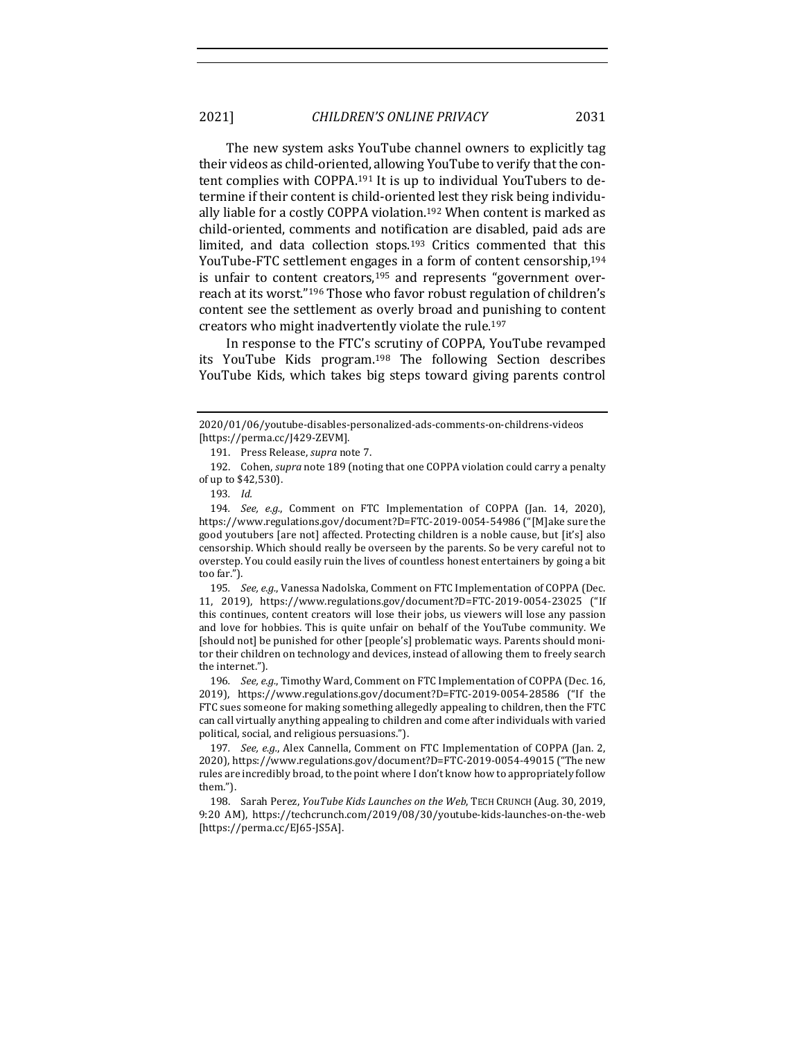The new system asks YouTube channel owners to explicitly tag their videos as child-oriented, allowing YouTube to verify that the content complies with COPPA.<sup>191</sup> It is up to individual YouTubers to determine if their content is child-oriented lest they risk being individually liable for a costly COPPA violation.<sup>192</sup> When content is marked as child-oriented, comments and notification are disabled, paid ads are limited, and data collection stops.<sup>193</sup> Critics commented that this YouTube-FTC settlement engages in a form of content censorship,<sup>194</sup> is unfair to content creators,<sup>195</sup> and represents "government overreach at its worst."<sup>196</sup> Those who favor robust regulation of children's content see the settlement as overly broad and punishing to content creators who might inadvertently violate the rule.<sup>197</sup>

In response to the FTC's scrutiny of COPPA, YouTube revamped its YouTube Kids program.<sup>198</sup> The following Section describes YouTube Kids, which takes big steps toward giving parents control

192. Cohen, *supra* note 189 (noting that one COPPA violation could carry a penalty of up to \$42,530).

195. *See, e.g.*, Vanessa Nadolska, Comment on FTC Implementation of COPPA (Dec. 11, 2019), https://www.regulations.gov/document?D=FTC-2019-0054-23025 ("If this continues, content creators will lose their jobs, us viewers will lose any passion and love for hobbies. This is quite unfair on behalf of the YouTube community. We [should not] be punished for other [people's] problematic ways. Parents should monitor their children on technology and devices, instead of allowing them to freely search the internet.").

196. *See, e.g.*, Timothy Ward, Comment on FTC Implementation of COPPA (Dec. 16, 2019), https://www.regulations.gov/document?D=FTC-2019-0054-28586 ("If the FTC sues someone for making something allegedly appealing to children, then the FTC can call virtually anything appealing to children and come after individuals with varied political, social, and religious persuasions.").

197. *See, e.g.*, Alex Cannella, Comment on FTC Implementation of COPPA (Jan. 2, 2020), https://www.regulations.gov/document?D=FTC-2019-0054-49015 ("The new rules are incredibly broad, to the point where I don't know how to appropriately follow them.").

198. Sarah Perez, *YouTube Kids Launches on the Web*, TECH CRUNCH (Aug. 30, 2019, 9:20 AM), https://techcrunch.com/2019/08/30/youtube-kids-launches-on-the-web [https://perma.cc/EJ65-JS5A].

<sup>2020/01/06/</sup>youtube-disables-personalized-ads-comments-on-childrens-videos [https://perma.cc/J429-ZEVM].

<sup>191.</sup> Press Release, *supra* note 7.

<sup>193</sup>*. Id.*

<sup>194</sup>*. See, e.g.*, Comment on FTC Implementation of COPPA (Jan. 14, 2020), https://www.regulations.gov/document?D=FTC-2019-0054-54986 ("[M]ake sure the good youtubers [are not] affected. Protecting children is a noble cause, but [it's] also censorship. Which should really be overseen by the parents. So be very careful not to overstep. You could easily ruin the lives of countless honest entertainers by going a bit too far.").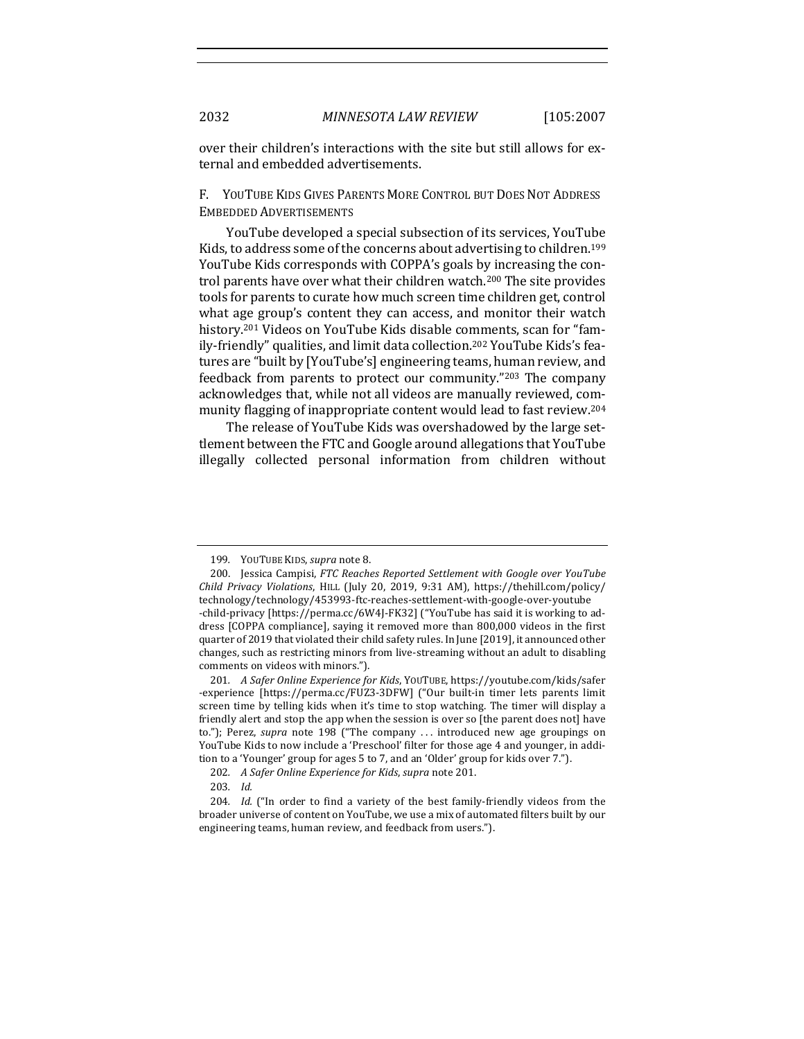over their children's interactions with the site but still allows for external and embedded advertisements.

# F. YOUTUBE KIDS GIVES PARENTS MORE CONTROL BUT DOES NOT ADDRESS EMBEDDED ADVERTISEMENTS

YouTube developed a special subsection of its services, YouTube Kids, to address some of the concerns about advertising to children.<sup>199</sup> YouTube Kids corresponds with COPPA's goals by increasing the control parents have over what their children watch.<sup>200</sup> The site provides tools for parents to curate how much screen time children get, control what age group's content they can access, and monitor their watch history.<sup>201</sup> Videos on YouTube Kids disable comments, scan for "family-friendly" qualities, and limit data collection.<sup>202</sup> YouTube Kids's features are "built by [YouTube's] engineering teams, human review, and feedback from parents to protect our community."203 The company acknowledges that, while not all videos are manually reviewed, community flagging of inappropriate content would lead to fast review.<sup>204</sup>

The release of YouTube Kids was overshadowed by the large settlement between the FTC and Google around allegations that YouTube illegally collected personal information from children without

<sup>199.</sup> YOUTUBE KIDS, *supra* note 8.

<sup>200.</sup> Jessica Campisi, *FTC Reaches Reported Settlement with Google over YouTube Child Privacy Violations*, HILL (July 20, 2019, 9:31 AM), https://thehill.com/policy/ technology/technology/453993-ftc-reaches-settlement-with-google-over-youtube -child-privacy [https://perma.cc/6W4J-FK32] ("YouTube has said it is working to address [COPPA compliance], saying it removed more than 800,000 videos in the first quarter of 2019 that violated their child safety rules. In June [2019], it announced other changes, such as restricting minors from live-streaming without an adult to disabling comments on videos with minors.").

<sup>201.</sup> *A Safer Online Experience for Kids*, YOUTUBE, https://youtube.com/kids/safer -experience [https://perma.cc/FUZ3-3DFW] ("Our built-in timer lets parents limit screen time by telling kids when it's time to stop watching. The timer will display a friendly alert and stop the app when the session is over so [the parent does not] have to."); Perez, *supra* note 198 ("The company ... introduced new age groupings on YouTube Kids to now include a 'Preschool' filter for those age 4 and younger, in addition to a 'Younger' group for ages 5 to 7, and an 'Older' group for kids over 7.").

<sup>202.</sup> *A Safer Online Experience for Kids, supra* note 201.

<sup>203</sup>*. Id.* 

<sup>204.</sup> *Id.* ("In order to find a variety of the best family-friendly videos from the broader universe of content on YouTube, we use a mix of automated filters built by our engineering teams, human review, and feedback from users.").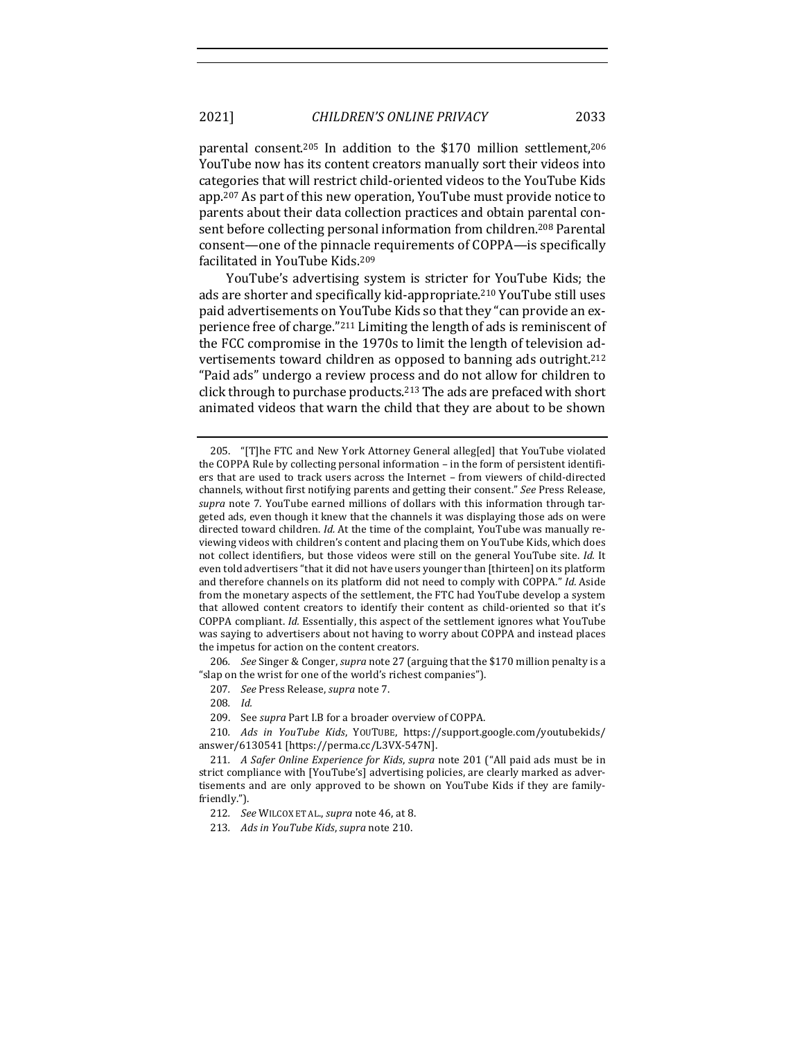parental consent.<sup>205</sup> In addition to the \$170 million settlement.<sup>206</sup> YouTube now has its content creators manually sort their videos into categories that will restrict child-oriented videos to the YouTube Kids app.<sup>207</sup> As part of this new operation, YouTube must provide notice to parents about their data collection practices and obtain parental consent before collecting personal information from children.<sup>208</sup> Parental consent—one of the pinnacle requirements of COPPA—is specifically facilitated in YouTube Kids.<sup>209</sup>

YouTube's advertising system is stricter for YouTube Kids; the ads are shorter and specifically kid-appropriate.<sup>210</sup> YouTube still uses paid advertisements on YouTube Kids so that they "can provide an experience free of charge."<sup>211</sup> Limiting the length of ads is reminiscent of the FCC compromise in the 1970s to limit the length of television advertisements toward children as opposed to banning ads outright.<sup>212</sup> "Paid ads" undergo a review process and do not allow for children to click through to purchase products.<sup>213</sup> The ads are prefaced with short animated videos that warn the child that they are about to be shown

206. *See* Singer & Conger, *supra* note 27 (arguing that the \$170 million penalty is a " slap on the wrist for one of the world's richest companies".

208*. Id.* 

<sup>205. &</sup>quot;[T]he FTC and New York Attorney General alleg[ed] that YouTube violated the COPPA Rule by collecting personal information  $-$  in the form of persistent identifiers that are used to track users across the Internet - from viewers of child-directed channels, without first notifying parents and getting their consent." See Press Release, supra note 7. YouTube earned millions of dollars with this information through targeted ads, even though it knew that the channels it was displaying those ads on were directed toward children. *Id.* At the time of the complaint, YouTube was manually reviewing videos with children's content and placing them on YouTube Kids, which does not collect identifiers, but those videos were still on the general YouTube site. *Id.* It even told advertisers "that it did not have users younger than [thirteen] on its platform and therefore channels on its platform did not need to comply with COPPA." *Id.* Aside from the monetary aspects of the settlement, the FTC had YouTube develop a system that allowed content creators to identify their content as child-oriented so that it's COPPA compliant. *Id.* Essentially, this aspect of the settlement ignores what YouTube was saying to advertisers about not having to worry about COPPA and instead places the impetus for action on the content creators.

<sup>207.</sup> *See* Press Release, *supra* note 7.

<sup>209.</sup> See *supra* Part I.B for a broader overview of COPPA.

<sup>210</sup>*. Ads in YouTube Kids*, YOUTUBE, https://support.google.com/youtubekids/ answer/6130541 [https://perma.cc/L3VX-547N]. 

<sup>211.</sup> *A Safer Online Experience for Kids, supra* note 201 ("All paid ads must be in strict compliance with [YouTube's] advertising policies, are clearly marked as advertisements and are only approved to be shown on YouTube Kids if they are familyfriendly.").

<sup>212.</sup> See WILCOX ET AL., *supra* note 46, at 8.

<sup>213.</sup> Ads in YouTube Kids, supra note 210.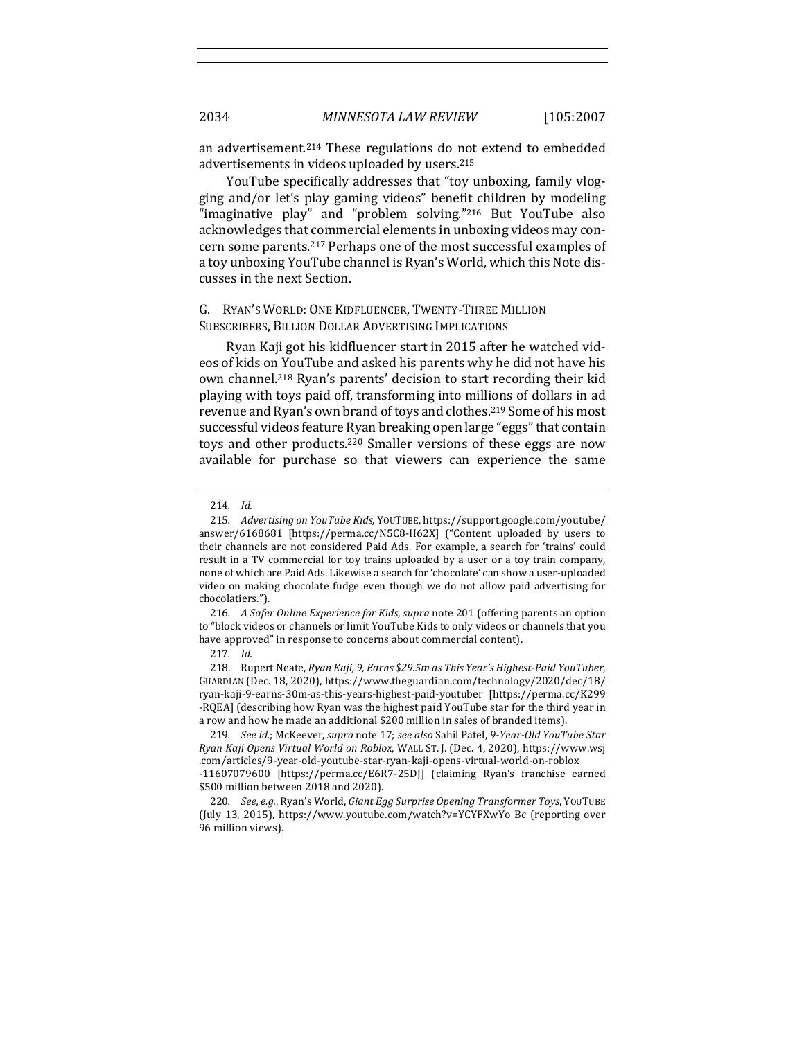an advertisement.<sup>214</sup> These regulations do not extend to embedded advertisements in videos uploaded by users.<sup>215</sup>

YouTube specifically addresses that "toy unboxing, family vlogging and/or let's play gaming videos" benefit children by modeling "imaginative  $play$ " and "problem solving."<sup>216</sup> But YouTube also acknowledges that commercial elements in unboxing videos may concern some parents.<sup>217</sup> Perhaps one of the most successful examples of a toy unboxing YouTube channel is Ryan's World, which this Note discusses in the next Section.

# G. RYAN'S WORLD: ONE KIDFLUENCER, TWENTY-THREE MILLION SUBSCRIBERS, BILLION DOLLAR ADVERTISING IMPLICATIONS

Ryan Kaji got his kidfluencer start in 2015 after he watched videos of kids on YouTube and asked his parents why he did not have his own channel.<sup>218</sup> Ryan's parents' decision to start recording their kid playing with toys paid off, transforming into millions of dollars in ad revenue and Ryan's own brand of toys and clothes.<sup>219</sup> Some of his most successful videos feature Ryan breaking open large "eggs" that contain toys and other products.<sup>220</sup> Smaller versions of these eggs are now available for purchase so that viewers can experience the same

216. *A Safer Online Experience for Kids, supra* note 201 (offering parents an option to "block videos or channels or limit YouTube Kids to only videos or channels that you have approved" in response to concerns about commercial content).

218. Rupert Neate, Ryan Kaji, 9, Earns \$29.5m as This Year's Highest-Paid YouTuber, GUARDIAN (Dec. 18, 2020), https://www.theguardian.com/technology/2020/dec/18/ ryan-kaji-9-earns-30m-as-this-years-highest-paid-youtuber [https://perma.cc/K299 -RQEA] (describing how Ryan was the highest paid YouTube star for the third year in a row and how he made an additional \$200 million in sales of branded items).

219. *See id.*; McKeever, *supra* note 17; see also Sahil Patel, 9-Year-Old YouTube Star *Ryan Kaji Opens Virtual World on Roblox*, WALL ST. J. (Dec. 4, 2020), https://www.wsj .com/articles/9-year-old-youtube-star-ryan-kaji-opens-virtual-world-on-roblox -11607079600 [https://perma.cc/E6R7-25DJ] (claiming Ryan's franchise earned \$500 million between 2018 and 2020). 

220. *See, e.g.,* Ryan's World, *Giant Egg Surprise Opening Transformer Toys*, YOUTUBE (July 13, 2015), https://www.youtube.com/watch?v=YCYFXwYo\_Bc (reporting over 96 million views).

<sup>214</sup>*. Id.* 

<sup>215.</sup> Advertising on YouTube Kids, YOUTUBE, https://support.google.com/youtube/ answer/6168681 [https://perma.cc/N5C8-H62X] ("Content uploaded by users to their channels are not considered Paid Ads. For example, a search for 'trains' could result in a TV commercial for toy trains uploaded by a user or a toy train company, none of which are Paid Ads. Likewise a search for 'chocolate' can show a user-uploaded video on making chocolate fudge even though we do not allow paid advertising for chocolatiers.").

<sup>217</sup>*. Id.*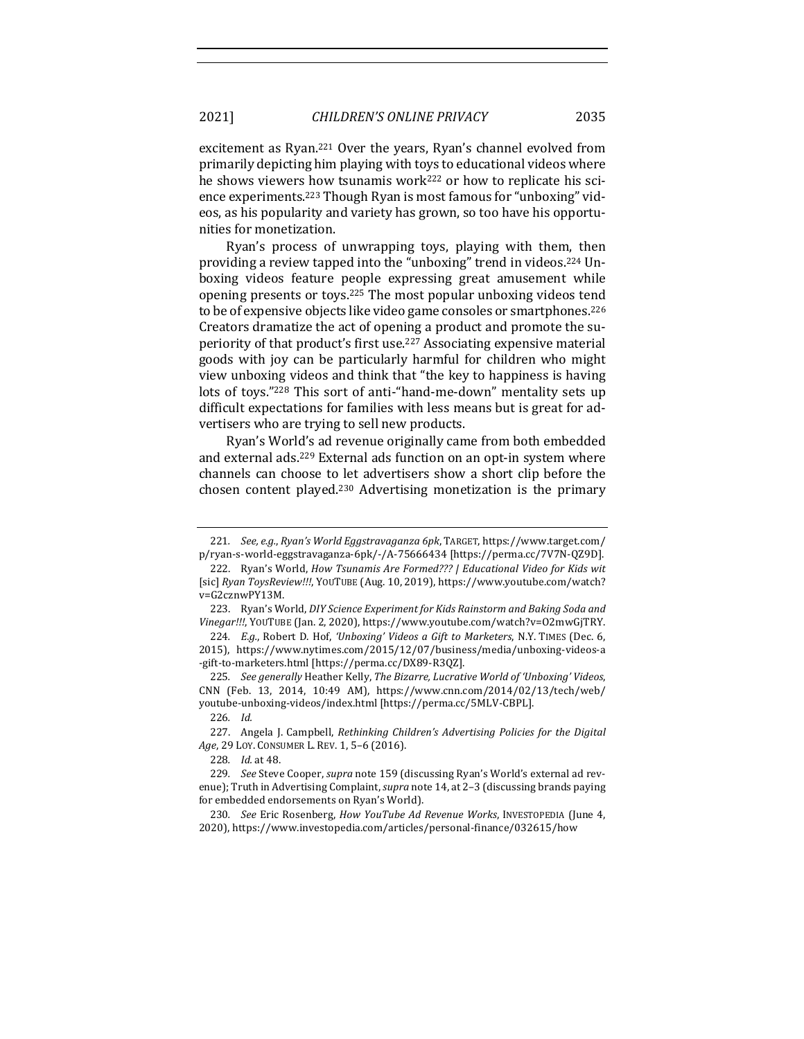excitement as Ryan.<sup>221</sup> Over the years, Ryan's channel evolved from primarily depicting him playing with toys to educational videos where he shows viewers how tsunamis work<sup>222</sup> or how to replicate his science experiments.<sup>223</sup> Though Ryan is most famous for "unboxing" videos, as his popularity and variety has grown, so too have his opportunities for monetization.

Ryan's process of unwrapping toys, playing with them, then providing a review tapped into the "unboxing" trend in videos.<sup>224</sup> Unboxing videos feature people expressing great amusement while opening presents or toys.<sup>225</sup> The most popular unboxing videos tend to be of expensive objects like video game consoles or smartphones.<sup>226</sup> Creators dramatize the act of opening a product and promote the superiority of that product's first use.<sup>227</sup> Associating expensive material goods with joy can be particularly harmful for children who might view unboxing videos and think that "the key to happiness is having lots of toys."<sup>228</sup> This sort of anti-"hand-me-down" mentality sets up difficult expectations for families with less means but is great for advertisers who are trying to sell new products.

Ryan's World's ad revenue originally came from both embedded and external ads.<sup>229</sup> External ads function on an opt-in system where channels can choose to let advertisers show a short clip before the chosen content played.<sup>230</sup> Advertising monetization is the primary

<sup>221.</sup> See, e.g., Ryan's World Eggstravaganza 6pk, TARGET, https://www.target.com/ p/ryan-s-world-eggstravaganza-6pk/-/A-75666434 [https://perma.cc/7V7N-QZ9D].

<sup>222.</sup> Ryan's World, *How Tsunamis Are Formed???* | Educational Video for Kids wit [sic] Ryan ToysReview!!!, YOUTUBE (Aug. 10, 2019), https://www.youtube.com/watch? v=G2cznwPY13M. 

<sup>223.</sup> Ryan's World, *DIY Science Experiment for Kids Rainstorm and Baking Soda and* Vinegar!!!, YOUTUBE (Jan. 2, 2020), https://www.youtube.com/watch?v=O2mwGjTRY.

<sup>224.</sup> *E.g.*, Robert D. Hof, *'Unboxing' Videos a Gift to Marketers*, N.Y. TIMES (Dec. 6, 2015), https://www.nytimes.com/2015/12/07/business/media/unboxing-videos-a -gift-to-marketers.html [https://perma.cc/DX89-R3QZ]. 

<sup>225</sup>*. See generally* Heather Kelly, *The Bizarre, Lucrative World of 'Unboxing' Videos*, CNN (Feb. 13, 2014, 10:49 AM), https://www.cnn.com/2014/02/13/tech/web/ youtube-unboxing-videos/index.html [https://perma.cc/5MLV-CBPL]. 

<sup>226</sup>*. Id.* 

<sup>227.</sup> Angela J. Campbell, *Rethinking Children's Advertising Policies for the Digital* Age, 29 LOY. CONSUMER L. REV. 1, 5-6 (2016).

<sup>228.</sup> *Id.* at 48.

<sup>229.</sup> See Steve Cooper, *supra* note 159 (discussing Ryan's World's external ad revenue); Truth in Advertising Complaint, *supra* note 14, at 2-3 (discussing brands paying for embedded endorsements on Ryan's World).

<sup>230</sup>*. See* Eric Rosenberg, *How YouTube Ad Revenue Works*, INVESTOPEDIA (June 4, 2020), https://www.investopedia.com/articles/personal-finance/032615/how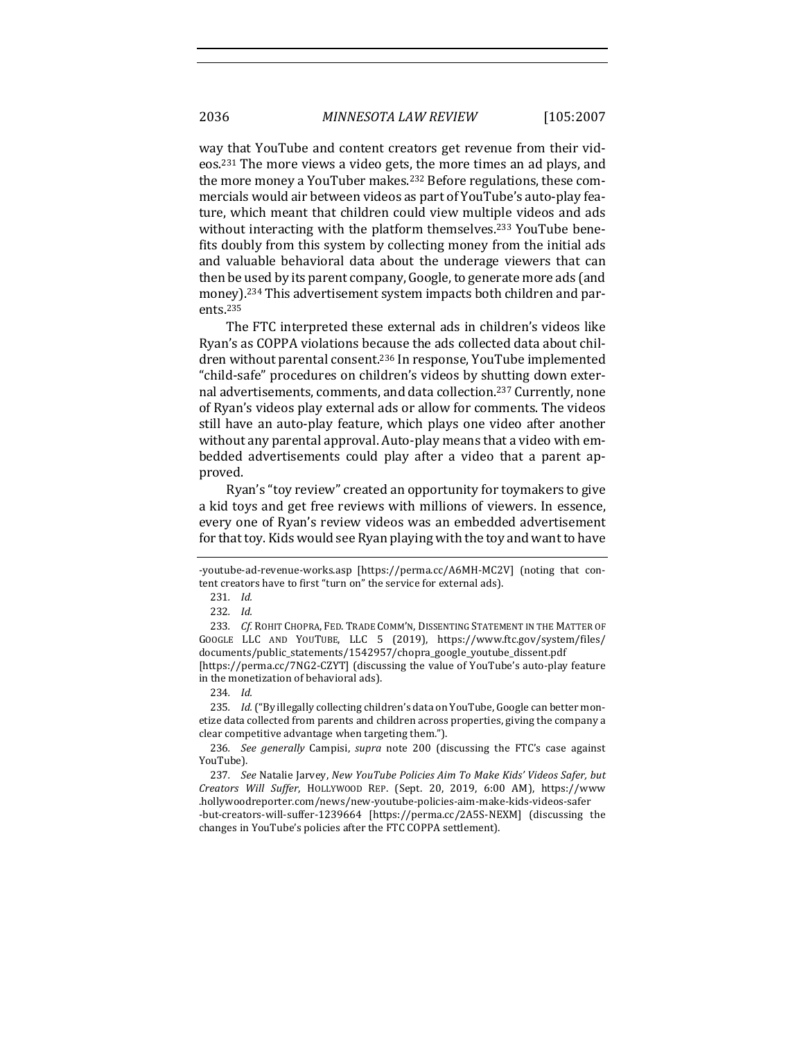way that YouTube and content creators get revenue from their videos.<sup>231</sup> The more views a video gets, the more times an ad plays, and the more money a YouTuber makes.<sup>232</sup> Before regulations, these commercials would air between videos as part of YouTube's auto-play feature, which meant that children could view multiple videos and ads without interacting with the platform themselves.<sup>233</sup> YouTube benefits doubly from this system by collecting money from the initial ads and valuable behavioral data about the underage viewers that can then be used by its parent company, Google, to generate more ads (and money).<sup>234</sup> This advertisement system impacts both children and parents.235

The FTC interpreted these external ads in children's videos like Ryan's as COPPA violations because the ads collected data about children without parental consent.<sup>236</sup> In response, YouTube implemented "child-safe" procedures on children's videos by shutting down external advertisements, comments, and data collection.<sup>237</sup> Currently, none of Ryan's videos play external ads or allow for comments. The videos still have an auto-play feature, which plays one video after another without any parental approval. Auto-play means that a video with embedded advertisements could play after a video that a parent approved.

Ryan's "toy review" created an opportunity for toymakers to give a kid toys and get free reviews with millions of viewers. In essence, every one of Ryan's review videos was an embedded advertisement for that toy. Kids would see Ryan playing with the toy and want to have

<sup>-</sup>youtube-ad-revenue-works.asp [https://perma.cc/A6MH-MC2V] (noting that content creators have to first "turn on" the service for external ads).

<sup>231</sup>*. Id.*

<sup>232</sup>*. Id.* 

<sup>233.</sup> Cf. ROHIT CHOPRA, FED. TRADE COMM'N, DISSENTING STATEMENT IN THE MATTER OF GOOGLE LLC AND YOUTUBE, LLC 5 (2019), https://www.ftc.gov/system/files/ documents/public\_statements/1542957/chopra\_google\_youtube\_dissent.pdf [https://perma.cc/7NG2-CZYT] (discussing the value of YouTube's auto-play feature in the monetization of behavioral ads).

<sup>234</sup>*. Id.*

<sup>235.</sup> Id. ("By illegally collecting children's data on YouTube, Google can better monetize data collected from parents and children across properties, giving the company a clear competitive advantage when targeting them.").

<sup>236</sup>*. See generally* Campisi, *supra* note 200 (discussing the FTC's case against YouTube).

<sup>237.</sup> See Natalie Jarvey, New YouTube Policies Aim To Make Kids' Videos Safer, but *Creators Will Suffer*, HOLLYWOOD REP. (Sept. 20, 2019, 6:00 AM), https://www .hollywoodreporter.com/news/new-youtube-policies-aim-make-kids-videos-safer -but-creators-will-suffer-1239664 [https://perma.cc/2A5S-NEXM] (discussing the changes in YouTube's policies after the FTC COPPA settlement).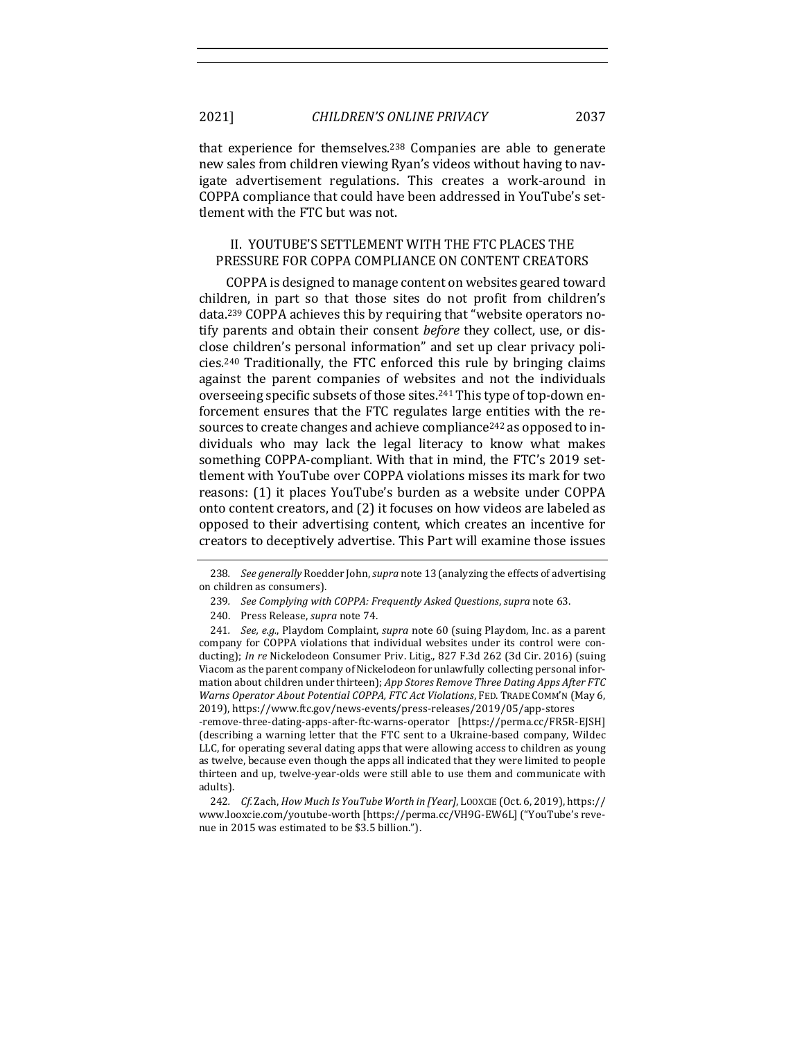that experience for themselves.<sup>238</sup> Companies are able to generate new sales from children viewing Ryan's videos without having to navigate advertisement regulations. This creates a work-around in COPPA compliance that could have been addressed in YouTube's settlement with the FTC but was not.

# II. YOUTUBE'S SETTLEMENT WITH THE FTC PLACES THE PRESSURE FOR COPPA COMPLIANCE ON CONTENT CREATORS

COPPA is designed to manage content on websites geared toward children, in part so that those sites do not profit from children's data.<sup>239</sup> COPPA achieves this by requiring that "website operators notify parents and obtain their consent *before* they collect, use, or disclose children's personal information" and set up clear privacy policies.<sup>240</sup> Traditionally, the FTC enforced this rule by bringing claims against the parent companies of websites and not the individuals overseeing specific subsets of those sites.<sup>241</sup> This type of top-down enforcement ensures that the FTC regulates large entities with the resources to create changes and achieve compliance<sup>242</sup> as opposed to individuals who may lack the legal literacy to know what makes something COPPA-compliant. With that in mind, the FTC's 2019 settlement with YouTube over COPPA violations misses its mark for two reasons: (1) it places YouTube's burden as a website under COPPA onto content creators, and (2) it focuses on how videos are labeled as opposed to their advertising content, which creates an incentive for creators to deceptively advertise. This Part will examine those issues

-remove-three-dating-apps-after-ftc-warns-operator [https://perma.cc/FR5R-EJSH] (describing a warning letter that the FTC sent to a Ukraine-based company, Wildec LLC, for operating several dating apps that were allowing access to children as young as twelve, because even though the apps all indicated that they were limited to people thirteen and up, twelve-year-olds were still able to use them and communicate with adults). 

242. *Cf.* Zach, *How Much Is YouTube Worth in [Year]*, LOOXCIE (Oct. 6, 2019), https:// www.looxcie.com/youtube-worth [https://perma.cc/VH9G-EW6L] ("YouTube's revenue in 2015 was estimated to be \$3.5 billion.").

<sup>238.</sup> See generally Roedder John, *supra* note 13 (analyzing the effects of advertising on children as consumers).

<sup>239.</sup> *See Complying with COPPA: Frequently Asked Questions, supra note* 63.

<sup>240.</sup> Press Release, *supra* note 74.

<sup>241.</sup> *See, e.g.*, Playdom Complaint, *supra* note 60 (suing Playdom, Inc. as a parent company for COPPA violations that individual websites under its control were conducting); In re Nickelodeon Consumer Priv. Litig., 827 F.3d 262 (3d Cir. 2016) (suing Viacom as the parent company of Nickelodeon for unlawfully collecting personal information about children under thirteen); *App Stores Remove Three Dating Apps After FTC Warns Operator About Potential COPPA, FTC Act Violations, FED. TRADE COMM'N (May 6,* 2019), https://www.ftc.gov/news-events/press-releases/2019/05/app-stores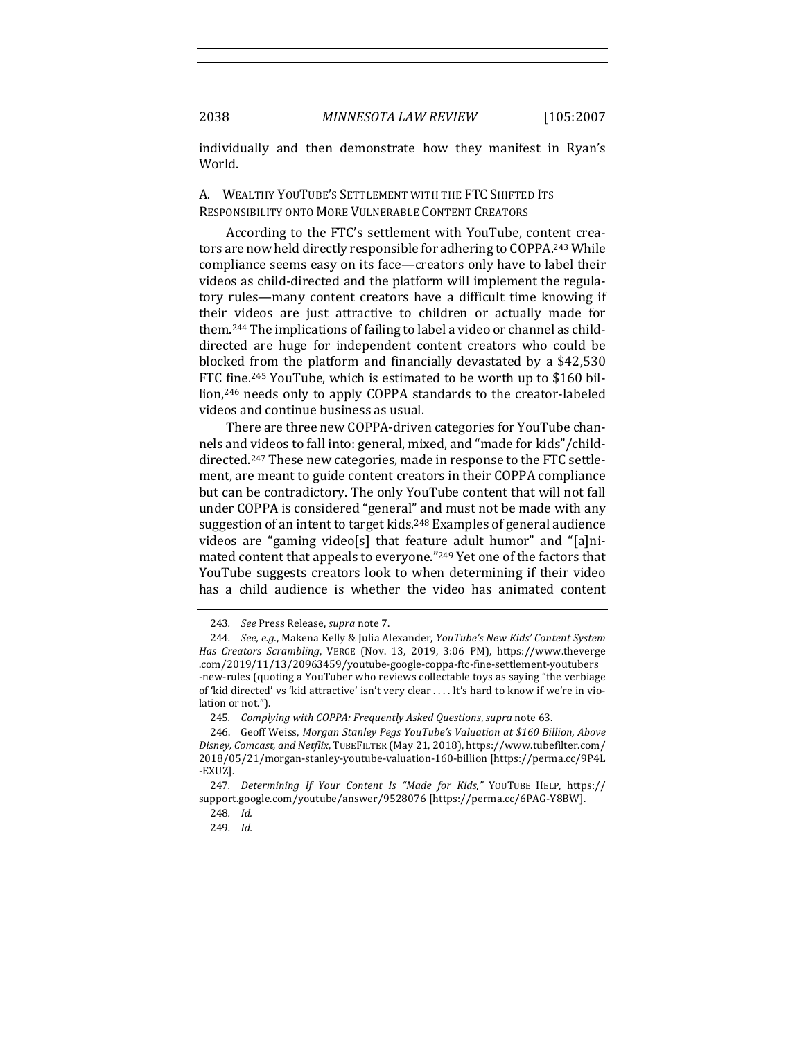individually and then demonstrate how they manifest in Ryan's World.

# A. WEALTHY YOUTUBE'S SETTLEMENT WITH THE FTC SHIFTED ITS RESPONSIBILITY ONTO MORE VULNERABLE CONTENT CREATORS

According to the FTC's settlement with YouTube, content creators are now held directly responsible for adhering to COPPA.<sup>243</sup> While compliance seems easy on its face—creators only have to label their videos as child-directed and the platform will implement the regulatory rules—many content creators have a difficult time knowing if their videos are just attractive to children or actually made for them.<sup>244</sup> The implications of failing to label a video or channel as childdirected are huge for independent content creators who could be blocked from the platform and financially devastated by a  $$42,530$ FTC fine.<sup>245</sup> YouTube, which is estimated to be worth up to \$160 billion,<sup>246</sup> needs only to apply COPPA standards to the creator-labeled videos and continue business as usual.

There are three new COPPA-driven categories for YouTube channels and videos to fall into: general, mixed, and "made for kids"/childdirected.<sup>247</sup> These new categories, made in response to the FTC settlement, are meant to guide content creators in their COPPA compliance but can be contradictory. The only YouTube content that will not fall under COPPA is considered "general" and must not be made with any suggestion of an intent to target kids.<sup>248</sup> Examples of general audience videos are "gaming video[s] that feature adult humor" and "[a]nimated content that appeals to everyone."<sup>249</sup> Yet one of the factors that YouTube suggests creators look to when determining if their video has a child audience is whether the video has animated content

<sup>243.</sup> *See* Press Release, *supra* note 7.

<sup>244.</sup> *See, e.g.*, Makena Kelly & Julia Alexander, *YouTube's New Kids' Content System Has Creators Scrambling*, VERGE (Nov. 13, 2019, 3:06 PM), https://www.theverge .com/2019/11/13/20963459/youtube-google-coppa-ftc-fine-settlement-youtubers -new-rules (quoting a YouTuber who reviews collectable toys as saying "the verbiage of 'kid directed' vs 'kid attractive' isn't very clear .... It's hard to know if we're in violation or not.").

<sup>245</sup>*. Complying with COPPA: Frequently Asked Questions*, *supra* note 63.

<sup>246.</sup> Geoff Weiss, *Morgan Stanley Pegs YouTube's Valuation at \$160 Billion, Above Disney, Comcast, and Netflix*, TUBEFILTER (May 21, 2018), https://www.tubefilter.com/ 2018/05/21/morgan-stanley-youtube-valuation-160-billion [https://perma.cc/9P4L -EXUZ].

<sup>247.</sup> Determining If Your Content Is "Made for Kids," YOUTUBE HELP, https:// support.google.com/youtube/answer/9528076 [https://perma.cc/6PAG-Y8BW].

<sup>248</sup>*. Id.*

<sup>249</sup>*. Id.*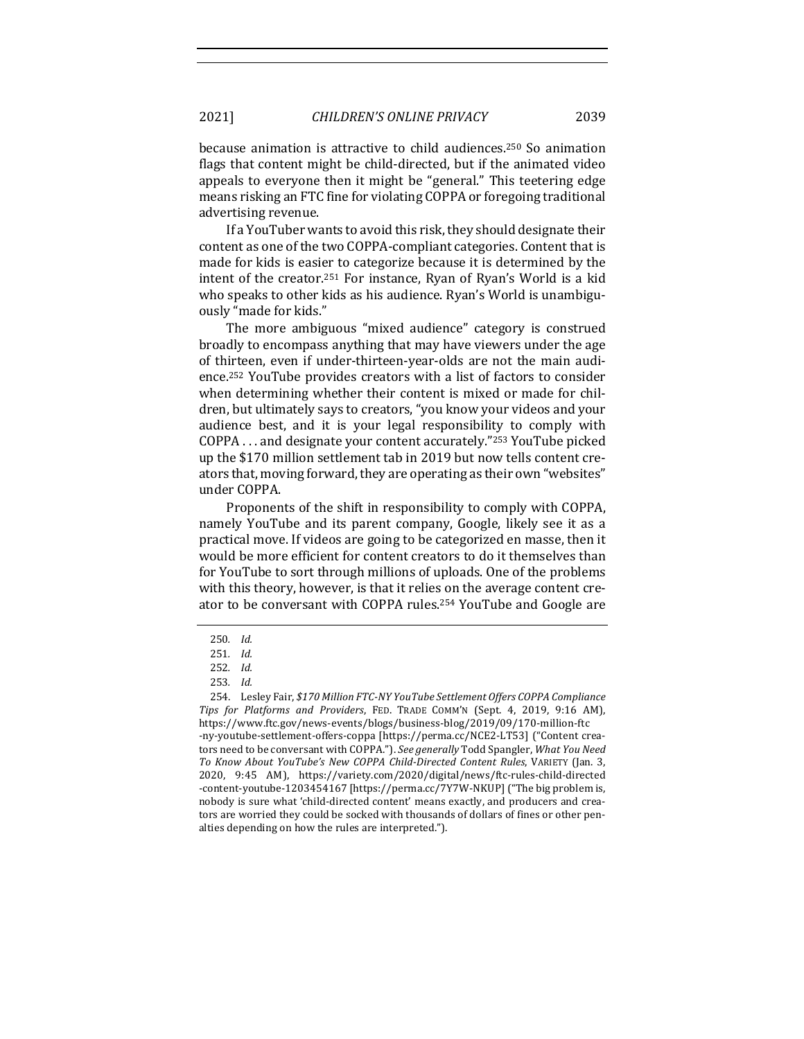because animation is attractive to child audiences.<sup>250</sup> So animation flags that content might be child-directed, but if the animated video appeals to everyone then it might be "general." This teetering edge means risking an FTC fine for violating COPPA or foregoing traditional

If a YouTuber wants to avoid this risk, they should designate their content as one of the two COPPA-compliant categories. Content that is made for kids is easier to categorize because it is determined by the intent of the creator.<sup>251</sup> For instance, Ryan of Ryan's World is a kid who speaks to other kids as his audience. Ryan's World is unambiguously "made for kids."

The more ambiguous "mixed audience" category is construed broadly to encompass anything that may have viewers under the age of thirteen, even if under-thirteen-year-olds are not the main audience.<sup>252</sup> YouTube provides creators with a list of factors to consider when determining whether their content is mixed or made for children, but ultimately says to creators, "you know your videos and your audience best, and it is your legal responsibility to comply with COPPA  $\dots$  and designate your content accurately."<sup>253</sup> YouTube picked up the \$170 million settlement tab in 2019 but now tells content creators that, moving forward, they are operating as their own "websites" under COPPA. 

Proponents of the shift in responsibility to comply with COPPA, namely YouTube and its parent company, Google, likely see it as a practical move. If videos are going to be categorized en masse, then it would be more efficient for content creators to do it themselves than for YouTube to sort through millions of uploads. One of the problems with this theory, however, is that it relies on the average content creator to be conversant with COPPA rules.<sup>254</sup> YouTube and Google are

advertising revenue.

<sup>250</sup>*. Id.* 

<sup>251</sup>*. Id.*

<sup>252</sup>*. Id.* 

<sup>253</sup>*. Id.*

<sup>254.</sup> Lesley Fair, \$170 Million FTC-NY YouTube Settlement Offers COPPA Compliance *Tips for Platforms and Providers*, FED. TRADE COMM'N (Sept. 4, 2019, 9:16 AM), https://www.ftc.gov/news-events/blogs/business-blog/2019/09/170-million-ftc -ny-youtube-settlement-offers-coppa [https://perma.cc/NCE2-LT53] ("Content creators need to be conversant with COPPA."). See generally Todd Spangler, What You Need To Know About YouTube's New COPPA Child-Directed Content Rules, VARIETY (Jan. 3, 2020, 9:45 AM), https://variety.com/2020/digital/news/ftc-rules-child-directed -content-youtube-1203454167 [https://perma.cc/7Y7W-NKUP] ("The big problem is, nobody is sure what 'child-directed content' means exactly, and producers and creators are worried they could be socked with thousands of dollars of fines or other penalties depending on how the rules are interpreted.").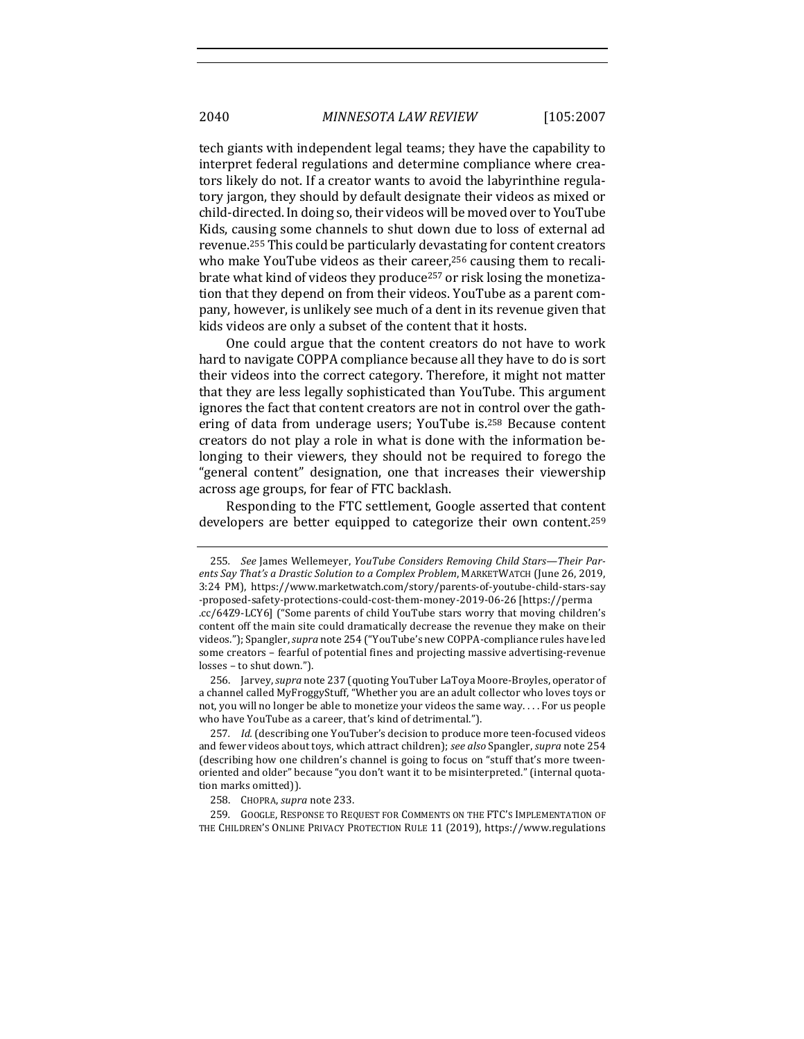tech giants with independent legal teams; they have the capability to interpret federal regulations and determine compliance where creators likely do not. If a creator wants to avoid the labyrinthine regulatory jargon, they should by default designate their videos as mixed or child-directed. In doing so, their videos will be moved over to YouTube Kids, causing some channels to shut down due to loss of external ad revenue.<sup>255</sup> This could be particularly devastating for content creators who make YouTube videos as their career,<sup>256</sup> causing them to recalibrate what kind of videos they produce<sup>257</sup> or risk losing the monetization that they depend on from their videos. YouTube as a parent company, however, is unlikely see much of a dent in its revenue given that kids videos are only a subset of the content that it hosts.

One could argue that the content creators do not have to work hard to navigate COPPA compliance because all they have to do is sort their videos into the correct category. Therefore, it might not matter that they are less legally sophisticated than YouTube. This argument ignores the fact that content creators are not in control over the gathering of data from underage users; YouTube is.<sup>258</sup> Because content creators do not play a role in what is done with the information belonging to their viewers, they should not be required to forego the "general content" designation, one that increases their viewership across age groups, for fear of FTC backlash.

Responding to the FTC settlement, Google asserted that content developers are better equipped to categorize their own content.<sup>259</sup>

<sup>255.</sup> See James Wellemeyer, *YouTube Considers Removing Child Stars—Their Parents Say That's a Drastic Solution to a Complex Problem,* MARKETWATCH (June 26, 2019, 3:24 PM), https://www.marketwatch.com/story/parents-of-youtube-child-stars-say -proposed-safety-protections-could-cost-them-money-2019-06-26 [https://perma .cc/64Z9-LCY6] ("Some parents of child YouTube stars worry that moving children's content off the main site could dramatically decrease the revenue they make on their videos."); Spangler, *supra* note 254 ("YouTube's new COPPA-compliance rules have led some creators - fearful of potential fines and projecting massive advertising-revenue losses - to shut down.").

<sup>256.</sup> Jarvey, *supra* note 237 (quoting YouTuber LaToya Moore-Broyles, operator of a channel called MyFroggyStuff, "Whether you are an adult collector who loves toys or not, you will no longer be able to monetize your videos the same way.... For us people who have YouTube as a career, that's kind of detrimental.").

<sup>257.</sup> *Id.* (describing one YouTuber's decision to produce more teen-focused videos and fewer videos about toys, which attract children); *see also* Spangler, *supra* note 254 (describing how one children's channel is going to focus on "stuff that's more tweenoriented and older" because "you don't want it to be misinterpreted." (internal quotation marks omitted)).

<sup>258.</sup> CHOPRA, *supra* note 233.

<sup>259.</sup> GOOGLE, RESPONSE TO REQUEST FOR COMMENTS ON THE FTC'S IMPLEMENTATION OF THE CHILDREN'S ONLINE PRIVACY PROTECTION RULE 11 (2019), https://www.regulations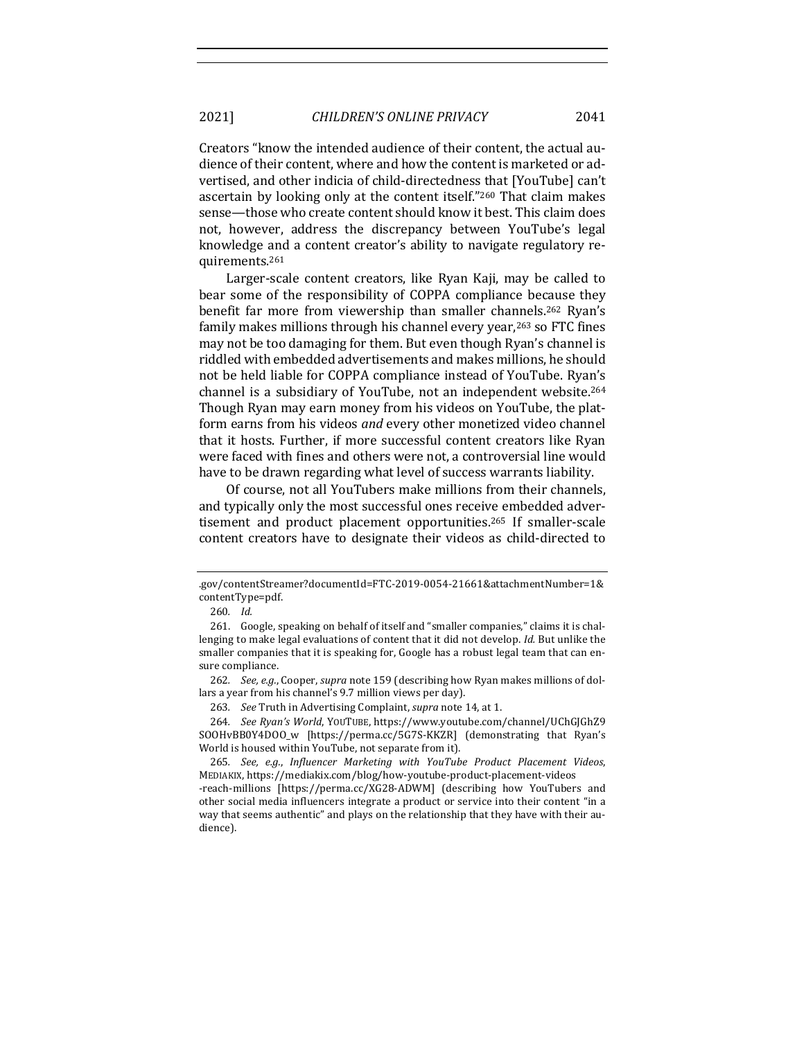Creators "know the intended audience of their content, the actual audience of their content, where and how the content is marketed or advertised, and other indicia of child-directedness that [YouTube] can't ascertain by looking only at the content itself."<sup>260</sup> That claim makes sense—those who create content should know it best. This claim does not, however, address the discrepancy between YouTube's legal knowledge and a content creator's ability to navigate regulatory requirements.261

Larger-scale content creators, like Ryan Kaji, may be called to bear some of the responsibility of COPPA compliance because they benefit far more from viewership than smaller channels.<sup>262</sup> Ryan's family makes millions through his channel every year,<sup>263</sup> so FTC fines may not be too damaging for them. But even though Ryan's channel is riddled with embedded advertisements and makes millions, he should not be held liable for COPPA compliance instead of YouTube. Ryan's channel is a subsidiary of YouTube, not an independent website.<sup>264</sup> Though Ryan may earn money from his videos on YouTube, the platform earns from his videos *and* every other monetized video channel that it hosts. Further, if more successful content creators like Ryan were faced with fines and others were not, a controversial line would have to be drawn regarding what level of success warrants liability.

Of course, not all YouTubers make millions from their channels, and typically only the most successful ones receive embedded advertisement and product placement opportunities.<sup>265</sup> If smaller-scale content creators have to designate their videos as child-directed to

<sup>.</sup>gov/contentStreamer?documentId=FTC-2019-0054-21661&attachmentNumber=1& contentType=pdf. 

<sup>260</sup>*. Id.*

<sup>261.</sup> Google, speaking on behalf of itself and "smaller companies," claims it is challenging to make legal evaluations of content that it did not develop. *Id.* But unlike the smaller companies that it is speaking for, Google has a robust legal team that can ensure compliance.

<sup>262.</sup> *See, e.g.*, Cooper, *supra* note 159 (describing how Ryan makes millions of dollars a year from his channel's 9.7 million views per day).

<sup>263.</sup> See Truth in Advertising Complaint, *supra* note 14, at 1.

<sup>264</sup>*. See Ryan's World*, YOUTUBE, https://www.youtube.com/channel/UChGJGhZ9 SOOHvBB0Y4DOO\_w [https://perma.cc/5G7S-KKZR] (demonstrating that Ryan's World is housed within YouTube, not separate from it).

<sup>265.</sup> *See, e.g., Influencer Marketing with YouTube Product Placement Videos,* MEDIAKIX, https://mediakix.com/blog/how-youtube-product-placement-videos -reach-millions [https://perma.cc/XG28-ADWM] (describing how YouTubers and

other social media influencers integrate a product or service into their content "in a way that seems authentic" and plays on the relationship that they have with their audience).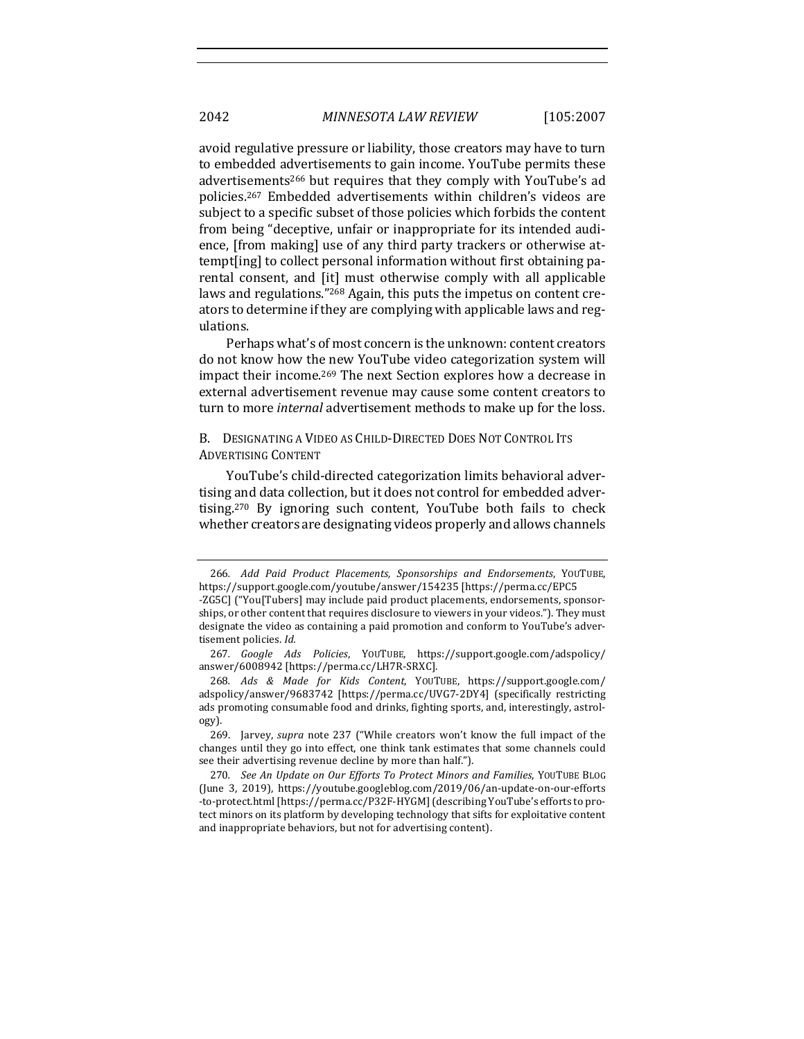avoid regulative pressure or liability, those creators may have to turn to embedded advertisements to gain income. YouTube permits these advertisements<sup>266</sup> but requires that they comply with YouTube's ad policies.<sup>267</sup> Embedded advertisements within children's videos are subject to a specific subset of those policies which forbids the content from being "deceptive, unfair or inappropriate for its intended audience, [from making] use of any third party trackers or otherwise attempt[ing] to collect personal information without first obtaining parental consent, and [it] must otherwise comply with all applicable laws and regulations."<sup>268</sup> Again, this puts the impetus on content creators to determine if they are complying with applicable laws and regulations. 

Perhaps what's of most concern is the unknown: content creators do not know how the new YouTube video categorization system will impact their income.<sup>269</sup> The next Section explores how a decrease in external advertisement revenue may cause some content creators to turn to more *internal* advertisement methods to make up for the loss.

B. DESIGNATING A VIDEO AS CHILD-DIRECTED DOES NOT CONTROL ITS ADVERTISING CONTENT

YouTube's child-directed categorization limits behavioral advertising and data collection, but it does not control for embedded advertising.<sup>270</sup> By ignoring such content, YouTube both fails to check whether creators are designating videos properly and allows channels

<sup>266</sup>*. Add Paid Product Placements, Sponsorships and Endorsements*, YOUTUBE, https://support.google.com/youtube/answer/154235 [https://perma.cc/EPC5

<sup>-</sup>ZG5C] ("You[Tubers] may include paid product placements, endorsements, sponsorships, or other content that requires disclosure to viewers in your videos."). They must designate the video as containing a paid promotion and conform to YouTube's advertisement policies. *Id.* 

<sup>267</sup>*. Google Ads Policies*, YOUTUBE, https://support.google.com/adspolicy/ answer/6008942 [https://perma.cc/LH7R-SRXC]. 

<sup>268</sup>*. Ads & Made for Kids Content*, YOUTUBE, https://support.google.com/ adspolicy/answer/9683742 [https://perma.cc/UVG7-2DY4] (specifically restricting ads promoting consumable food and drinks, fighting sports, and, interestingly, astrology). 

<sup>269.</sup> Jarvey, *supra* note 237 ("While creators won't know the full impact of the changes until they go into effect, one think tank estimates that some channels could see their advertising revenue decline by more than half.").

<sup>270</sup>*. See An Update on Our Efforts To Protect Minors and Families*, YOUTUBE BLOG (June 3, 2019), https://youtube.googleblog.com/2019/06/an-update-on-our-efforts -to-protect.html [https://perma.cc/P32F-HYGM] (describing YouTube's efforts to protect minors on its platform by developing technology that sifts for exploitative content and inappropriate behaviors, but not for advertising content).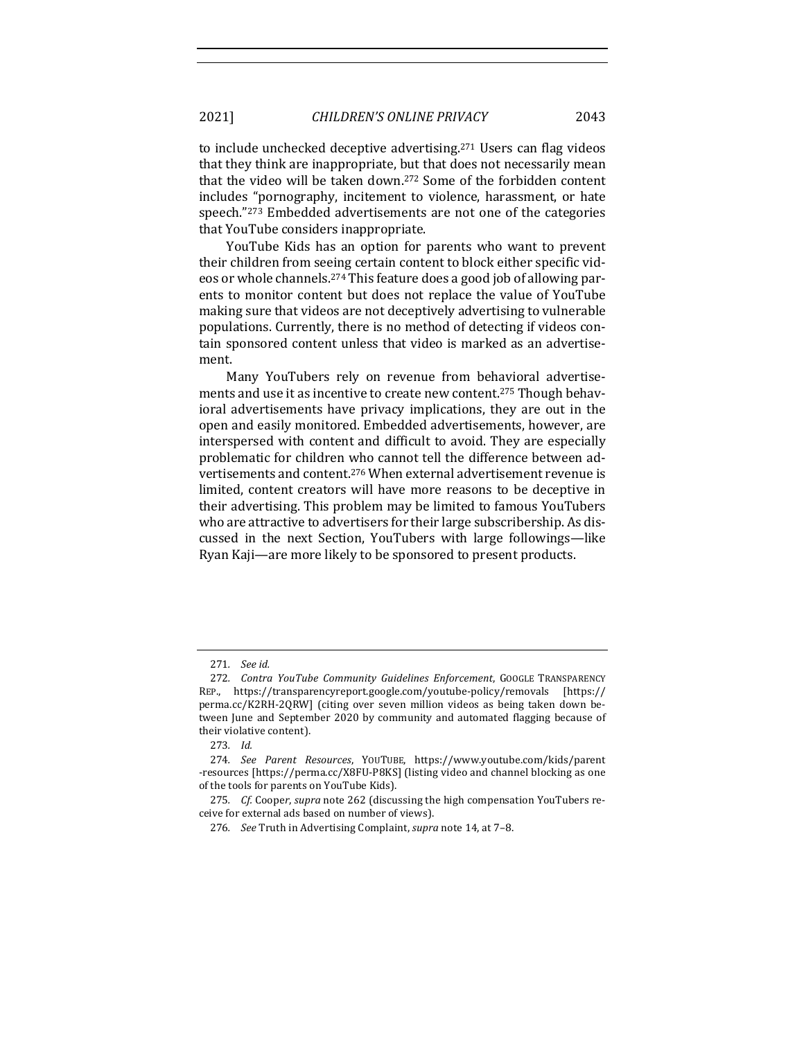to include unchecked deceptive advertising.<sup>271</sup> Users can flag videos that they think are inappropriate, but that does not necessarily mean that the video will be taken down.<sup>272</sup> Some of the forbidden content includes "pornography, incitement to violence, harassment, or hate speech."<sup>273</sup> Embedded advertisements are not one of the categories that YouTube considers inappropriate.

YouTube Kids has an option for parents who want to prevent their children from seeing certain content to block either specific videos or whole channels.<sup>274</sup> This feature does a good job of allowing parents to monitor content but does not replace the value of YouTube making sure that videos are not deceptively advertising to vulnerable populations. Currently, there is no method of detecting if videos contain sponsored content unless that video is marked as an advertisement. 

Many YouTubers rely on revenue from behavioral advertisements and use it as incentive to create new content.<sup>275</sup> Though behavioral advertisements have privacy implications, they are out in the open and easily monitored. Embedded advertisements, however, are interspersed with content and difficult to avoid. They are especially problematic for children who cannot tell the difference between advertisements and content.<sup>276</sup> When external advertisement revenue is limited, content creators will have more reasons to be deceptive in their advertising. This problem may be limited to famous YouTubers who are attractive to advertisers for their large subscribership. As discussed in the next Section, YouTubers with large followings—like Ryan Kaji—are more likely to be sponsored to present products.

<sup>271</sup>*. See id.* 

<sup>272.</sup> *Contra YouTube Community Guidelines Enforcement*, GOOGLE TRANSPARENCY REP., https://transparencyreport.google.com/youtube-policy/removals [https:// perma.cc/K2RH-2QRW] (citing over seven million videos as being taken down between June and September 2020 by community and automated flagging because of their violative content).

<sup>273</sup>*. Id.* 

<sup>274</sup>*. See Parent Resources*, YOUTUBE, https://www.youtube.com/kids/parent -resources [https://perma.cc/X8FU-P8KS] (listing video and channel blocking as one of the tools for parents on YouTube Kids).

<sup>275.</sup> *Cf.* Cooper, *supra* note 262 (discussing the high compensation YouTubers receive for external ads based on number of views).

<sup>276.</sup> *See* Truth in Advertising Complaint, *supra* note 14, at 7-8.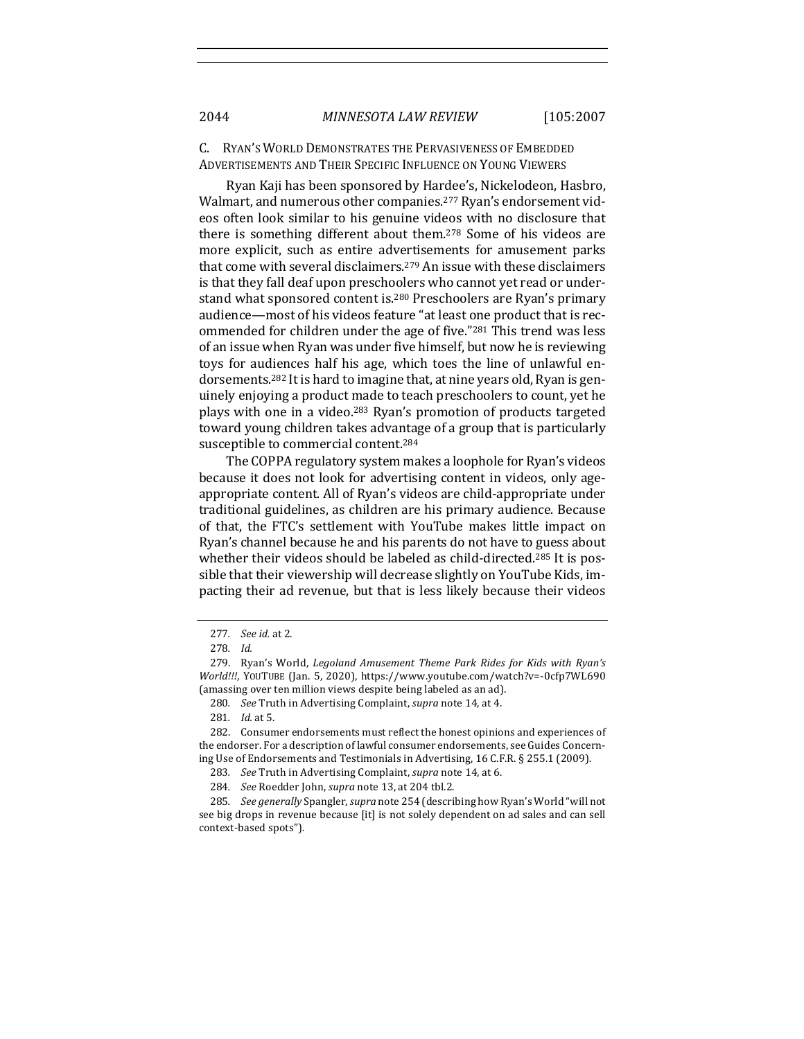C. RYAN'S WORLD DEMONSTRATES THE PERVASIVENESS OF EMBEDDED ADVERTISEMENTS AND THEIR SPECIFIC INFLUENCE ON YOUNG VIEWERS

Ryan Kaji has been sponsored by Hardee's, Nickelodeon, Hasbro, Walmart, and numerous other companies.<sup>277</sup> Ryan's endorsement videos often look similar to his genuine videos with no disclosure that there is something different about them.<sup>278</sup> Some of his videos are more explicit, such as entire advertisements for amusement parks that come with several disclaimers.<sup>279</sup> An issue with these disclaimers is that they fall deaf upon preschoolers who cannot yet read or understand what sponsored content is.<sup>280</sup> Preschoolers are Ryan's primary audience—most of his videos feature "at least one product that is recommended for children under the age of five."<sup>281</sup> This trend was less of an issue when Ryan was under five himself, but now he is reviewing toys for audiences half his age, which toes the line of unlawful endorsements.<sup>282</sup> It is hard to imagine that, at nine years old, Ryan is genuinely enjoying a product made to teach preschoolers to count, yet he plays with one in a video.<sup>283</sup> Ryan's promotion of products targeted toward young children takes advantage of a group that is particularly susceptible to commercial content.<sup>284</sup>

The COPPA regulatory system makes a loophole for Ryan's videos because it does not look for advertising content in videos, only ageappropriate content. All of Ryan's videos are child-appropriate under traditional guidelines, as children are his primary audience. Because of that, the FTC's settlement with YouTube makes little impact on Ryan's channel because he and his parents do not have to guess about whether their videos should be labeled as child-directed.<sup>285</sup> It is possible that their viewership will decrease slightly on YouTube Kids, impacting their ad revenue, but that is less likely because their videos

<sup>277</sup>*. See id.* at 2.

<sup>278</sup>*. Id.* 

<sup>279.</sup> Ryan's World, *Legoland Amusement Theme Park Rides for Kids with Ryan's World!!!, YOUTUBE (Jan. 5, 2020), https://www.youtube.com/watch?v=-0cfp7WL690* (amassing over ten million views despite being labeled as an ad).

<sup>280.</sup> *See* Truth in Advertising Complaint, *supra* note 14, at 4.

<sup>281</sup>*. Id.* at 5. 

<sup>282.</sup> Consumer endorsements must reflect the honest opinions and experiences of the endorser. For a description of lawful consumer endorsements, see Guides Concerning Use of Endorsements and Testimonials in Advertising, 16 C.F.R. § 255.1 (2009).

<sup>283.</sup> See Truth in Advertising Complaint, *supra* note 14, at 6.

<sup>284.</sup> *See* Roedder John, *supra* note 13, at 204 tbl.2.

<sup>285</sup>*. See generally* Spangler,*supra* note 254 (describing how Ryan's World "will not see big drops in revenue because [it] is not solely dependent on ad sales and can sell context-based spots").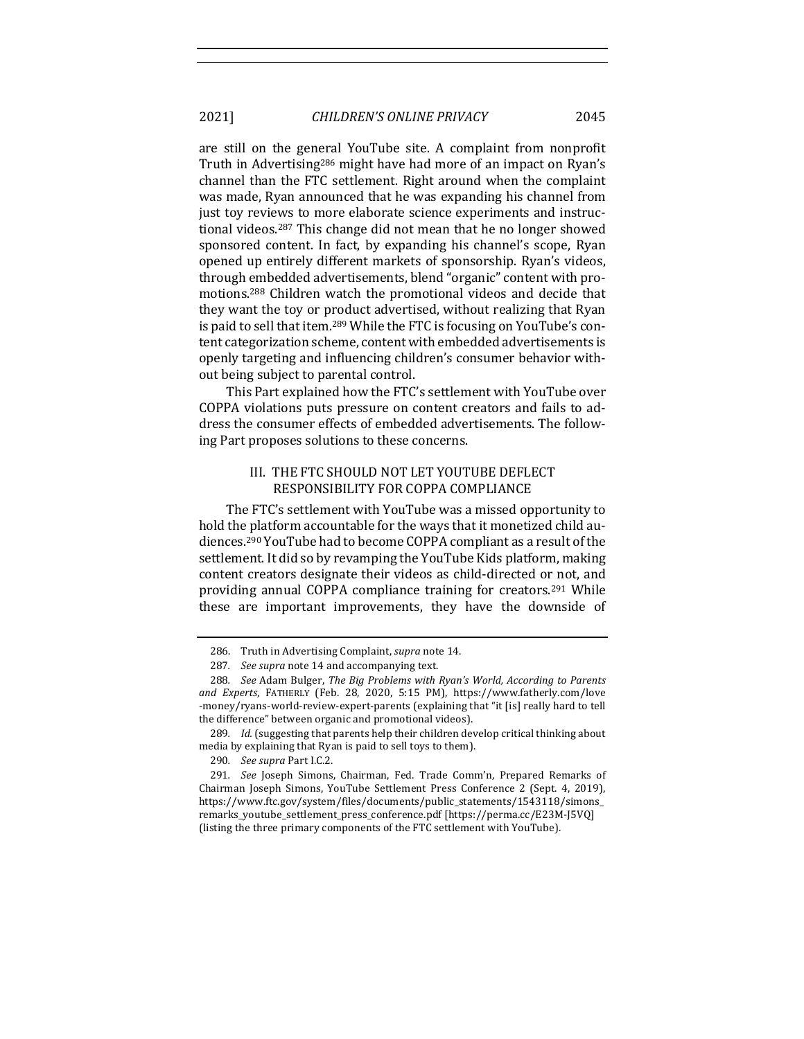2021] *CHILDREN'S ONLINE PRIVACY* 2045

are still on the general YouTube site. A complaint from nonprofit Truth in Advertising<sup>286</sup> might have had more of an impact on Ryan's channel than the FTC settlement. Right around when the complaint was made, Ryan announced that he was expanding his channel from just toy reviews to more elaborate science experiments and instructional videos.<sup>287</sup> This change did not mean that he no longer showed sponsored content. In fact, by expanding his channel's scope, Ryan opened up entirely different markets of sponsorship. Ryan's videos, through embedded advertisements, blend "organic" content with promotions.<sup>288</sup> Children watch the promotional videos and decide that they want the toy or product advertised, without realizing that Ryan is paid to sell that item.<sup>289</sup> While the FTC is focusing on YouTube's content categorization scheme, content with embedded advertisements is openly targeting and influencing children's consumer behavior without being subject to parental control.

This Part explained how the FTC's settlement with YouTube over COPPA violations puts pressure on content creators and fails to address the consumer effects of embedded advertisements. The following Part proposes solutions to these concerns.

# III. THE FTC SHOULD NOT LET YOUTUBE DEFLECT RESPONSIBILITY FOR COPPA COMPLIANCE

The FTC's settlement with YouTube was a missed opportunity to hold the platform accountable for the ways that it monetized child audiences.<sup>290</sup> YouTube had to become COPPA compliant as a result of the settlement. It did so by revamping the YouTube Kids platform, making content creators designate their videos as child-directed or not, and providing annual COPPA compliance training for creators.<sup>291</sup> While these are important improvements, they have the downside of

290*. See supra* Part I.C.2. 

<sup>286.</sup> Truth in Advertising Complaint, *supra* note 14.

<sup>287.</sup> See supra note 14 and accompanying text.

<sup>288.</sup> *See* Adam Bulger, *The Big Problems with Ryan's World, According to Parents* and Experts, FATHERLY (Feb. 28, 2020, 5:15 PM), https://www.fatherly.com/love -money/ryans-world-review-expert-parents (explaining that "it [is] really hard to tell the difference" between organic and promotional videos).

<sup>289.</sup> *Id.* (suggesting that parents help their children develop critical thinking about media by explaining that Ryan is paid to sell toys to them).

<sup>291.</sup> *See* Joseph Simons, Chairman, Fed. Trade Comm'n, Prepared Remarks of Chairman Joseph Simons, YouTube Settlement Press Conference 2 (Sept. 4, 2019), https://www.ftc.gov/system/files/documents/public\_statements/1543118/simons\_ remarks\_youtube\_settlement\_press\_conference.pdf [https://perma.cc/E23M-J5VQ] (listing the three primary components of the FTC settlement with YouTube).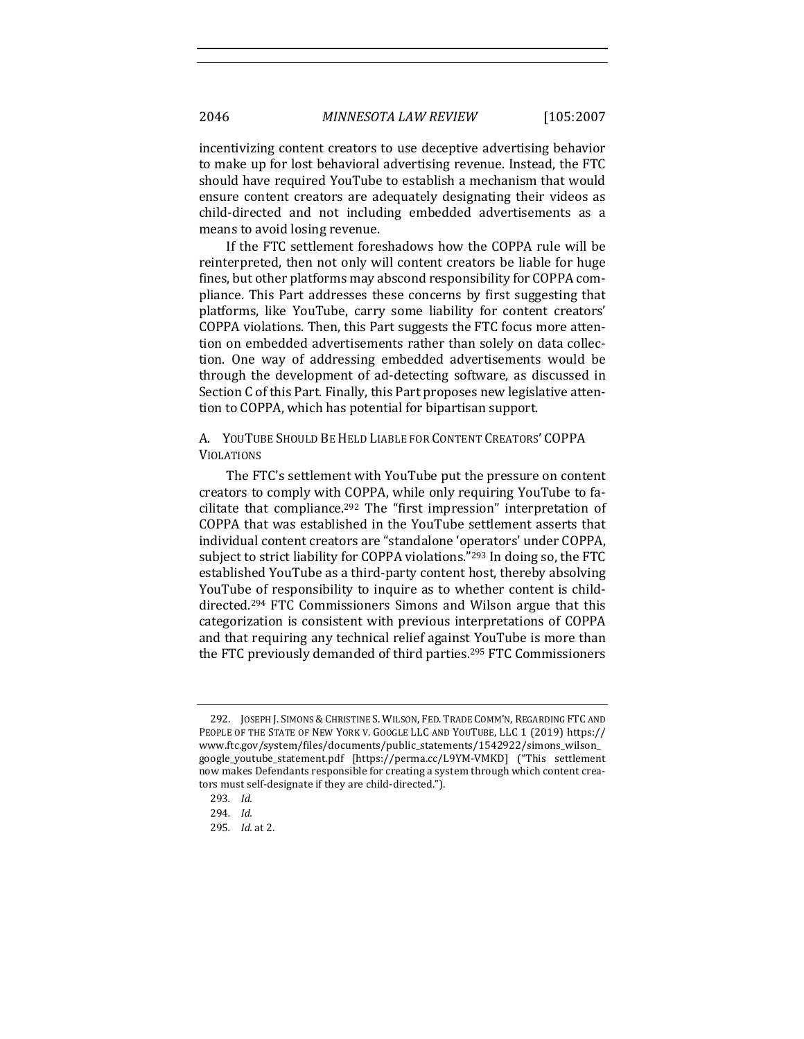incentivizing content creators to use deceptive advertising behavior to make up for lost behavioral advertising revenue. Instead, the FTC should have required YouTube to establish a mechanism that would ensure content creators are adequately designating their videos as child-directed and not including embedded advertisements as a means to avoid losing revenue.

If the FTC settlement foreshadows how the COPPA rule will be reinterpreted, then not only will content creators be liable for huge fines, but other platforms may abscond responsibility for COPPA compliance. This Part addresses these concerns by first suggesting that platforms, like YouTube, carry some liability for content creators' COPPA violations. Then, this Part suggests the FTC focus more attention on embedded advertisements rather than solely on data collection. One way of addressing embedded advertisements would be through the development of ad-detecting software, as discussed in Section C of this Part. Finally, this Part proposes new legislative attention to COPPA, which has potential for bipartisan support.

A. YOUTUBE SHOULD BE HELD LIABLE FOR CONTENT CREATORS' COPPA VIOLATIONS

The FTC's settlement with YouTube put the pressure on content creators to comply with COPPA, while only requiring YouTube to facilitate that compliance.<sup>292</sup> The "first impression" interpretation of COPPA that was established in the YouTube settlement asserts that individual content creators are "standalone 'operators' under COPPA, subject to strict liability for COPPA violations."<sup>293</sup> In doing so, the FTC established YouTube as a third-party content host, thereby absolving YouTube of responsibility to inquire as to whether content is childdirected.<sup>294</sup> FTC Commissioners Simons and Wilson argue that this categorization is consistent with previous interpretations of COPPA and that requiring any technical relief against YouTube is more than the FTC previously demanded of third parties.<sup>295</sup> FTC Commissioners

<sup>292.</sup> JOSEPH J. SIMONS & CHRISTINE S. WILSON, FED. TRADE COMM'N, REGARDING FTC AND PEOPLE OF THE STATE OF NEW YORK V. GOOGLE LLC AND YOUTUBE, LLC 1 (2019) https:// www.ftc.gov/system/files/documents/public\_statements/1542922/simons\_wilson\_ google\_youtube\_statement.pdf [https://perma.cc/L9YM-VMKD] ("This settlement now makes Defendants responsible for creating a system through which content creators must self-designate if they are child-directed.").

<sup>293</sup>*. Id.*

<sup>294</sup>*. Id.* 

<sup>295</sup>*. Id.* at 2.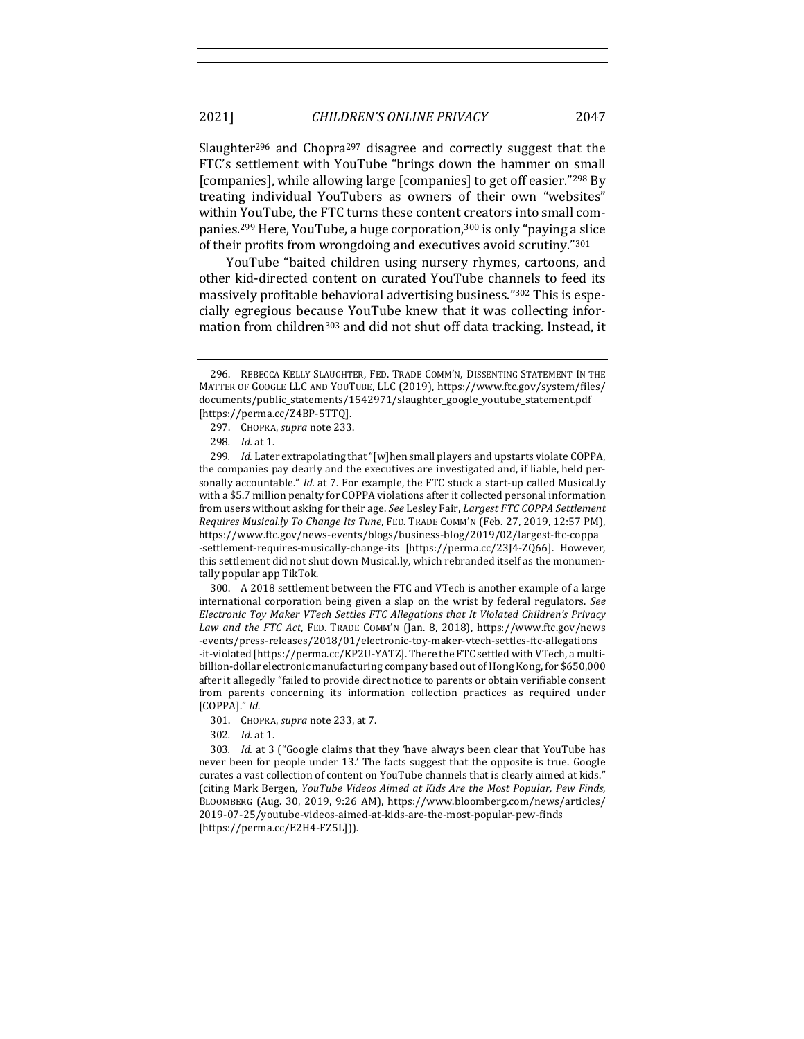Slaughter<sup>296</sup> and Chopra<sup>297</sup> disagree and correctly suggest that the FTC's settlement with YouTube "brings down the hammer on small [companies], while allowing large [companies] to get off easier."298 By treating individual YouTubers as owners of their own "websites" within YouTube, the FTC turns these content creators into small companies.<sup>299</sup> Here, YouTube, a huge corporation,<sup>300</sup> is only "paying a slice of their profits from wrongdoing and executives avoid scrutiny."301

YouTube "baited children using nursery rhymes, cartoons, and other kid-directed content on curated YouTube channels to feed its massively profitable behavioral advertising business."302 This is especially egregious because YouTube knew that it was collecting information from children<sup>303</sup> and did not shut off data tracking. Instead, it

300. A 2018 settlement between the FTC and VTech is another example of a large international corporation being given a slap on the wrist by federal regulators. See *Electronic Toy Maker VTech Settles FTC Allegations that It Violated Children's Privacy* Law and the FTC Act, FED. TRADE COMM'N (Jan. 8, 2018), https://www.ftc.gov/news -events/press-releases/2018/01/electronic-toy-maker-vtech-settles-ftc-allegations -it-violated [https://perma.cc/KP2U-YATZ]. There the FTC settled with VTech, a multibillion-dollar electronic manufacturing company based out of Hong Kong, for \$650,000 after it allegedly "failed to provide direct notice to parents or obtain verifiable consent from parents concerning its information collection practices as required under [COPPA]." *Id.* 

- 301. CHOPRA, *supra* note 233, at 7.
- 302. *Id.* at 1.

303. *Id.* at 3 ("Google claims that they 'have always been clear that YouTube has never been for people under 13.' The facts suggest that the opposite is true. Google curates a vast collection of content on YouTube channels that is clearly aimed at kids." (citing Mark Bergen, *YouTube Videos Aimed at Kids Are the Most Popular, Pew Finds,* BLOOMBERG (Aug. 30, 2019, 9:26 AM), https://www.bloomberg.com/news/articles/ 2019-07-25/youtube-videos-aimed-at-kids-are-the-most-popular-pew-finds [https://perma.cc/E2H4-FZ5L])).

<sup>296.</sup> REBECCA KELLY SLAUGHTER, FED. TRADE COMM'N, DISSENTING STATEMENT IN THE MATTER OF GOOGLE LLC AND YOUTUBE, LLC (2019), https://www.ftc.gov/system/files/ documents/public\_statements/1542971/slaughter\_google\_youtube\_statement.pdf [https://perma.cc/Z4BP-5TTQ]. 

<sup>297.</sup> CHOPRA, *supra* note 233.

<sup>298.</sup> *Id.* at 1.

<sup>299.</sup> *Id.* Later extrapolating that "[w]hen small players and upstarts violate COPPA, the companies pay dearly and the executives are investigated and, if liable, held personally accountable." *Id.* at 7. For example, the FTC stuck a start-up called Musical.ly with a \$5.7 million penalty for COPPA violations after it collected personal information from users without asking for their age. See Lesley Fair, *Largest FTC COPPA Settlement Requires Musical.ly To Change Its Tune*, FED. TRADE COMM'N (Feb. 27, 2019, 12:57 PM), https://www.ftc.gov/news-events/blogs/business-blog/2019/02/largest-ftc-coppa -settlement-requires-musically-change-its [https://perma.cc/23J4-ZQ66]. However, this settlement did not shut down Musical.ly, which rebranded itself as the monumentally popular app TikTok.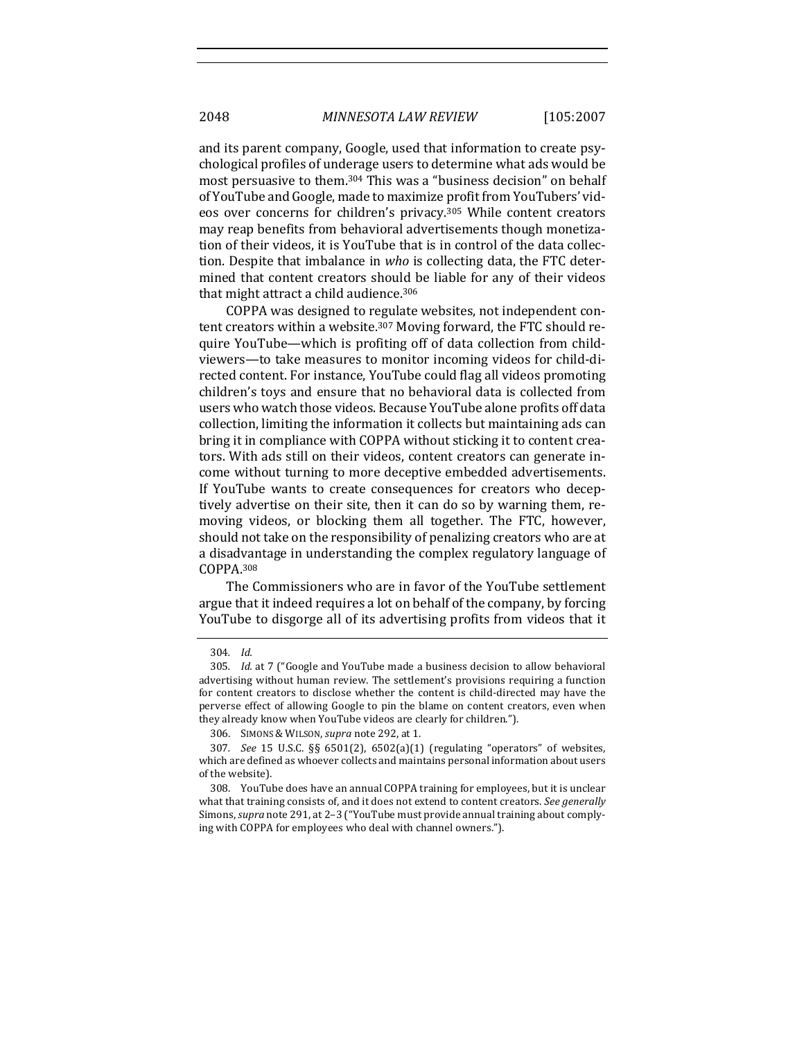and its parent company, Google, used that information to create psychological profiles of underage users to determine what ads would be most persuasive to them.<sup>304</sup> This was a "business decision" on behalf of YouTube and Google, made to maximize profit from YouTubers' videos over concerns for children's privacy.<sup>305</sup> While content creators may reap benefits from behavioral advertisements though monetization of their videos, it is YouTube that is in control of the data collection. Despite that imbalance in *who* is collecting data, the FTC determined that content creators should be liable for any of their videos that might attract a child audience. $306$ 

COPPA was designed to regulate websites, not independent content creators within a website.<sup>307</sup> Moving forward, the FTC should require YouTube—which is profiting off of data collection from childviewers—to take measures to monitor incoming videos for child-directed content. For instance, YouTube could flag all videos promoting children's toys and ensure that no behavioral data is collected from users who watch those videos. Because YouTube alone profits off data collection, limiting the information it collects but maintaining ads can bring it in compliance with COPPA without sticking it to content creators. With ads still on their videos, content creators can generate income without turning to more deceptive embedded advertisements. If YouTube wants to create consequences for creators who deceptively advertise on their site, then it can do so by warning them, removing videos, or blocking them all together. The FTC, however, should not take on the responsibility of penalizing creators who are at a disadvantage in understanding the complex regulatory language of COPPA.308

The Commissioners who are in favor of the YouTube settlement argue that it indeed requires a lot on behalf of the company, by forcing YouTube to disgorge all of its advertising profits from videos that it

<sup>304</sup>*. Id.* 

<sup>305.</sup> *Id.* at 7 ("Google and YouTube made a business decision to allow behavioral advertising without human review. The settlement's provisions requiring a function for content creators to disclose whether the content is child-directed may have the perverse effect of allowing Google to pin the blame on content creators, even when they already know when YouTube videos are clearly for children.").

<sup>306.</sup> SIMONS & WILSON, *supra* note 292, at 1.

<sup>307</sup>*. See*  15 U.S.C. §§ 6501(2), 6502(a)(1) (regulating "operators" of websites, which are defined as whoever collects and maintains personal information about users of the website).

<sup>308.</sup> YouTube does have an annual COPPA training for employees, but it is unclear what that training consists of, and it does not extend to content creators. See generally Simons, *supra* note 291, at 2-3 ("YouTube must provide annual training about complying with COPPA for employees who deal with channel owners.").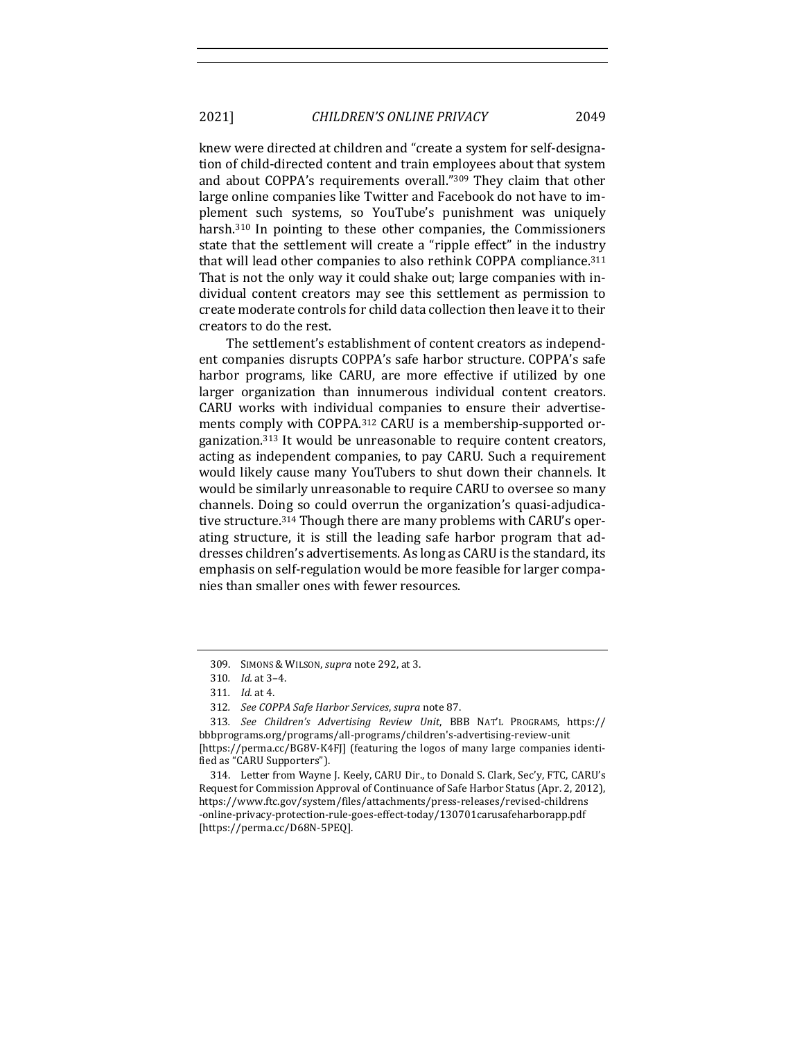2021] *CHILDREN'S ONLINE PRIVACY* 2049

knew were directed at children and "create a system for self-designation of child-directed content and train employees about that system and about COPPA's requirements overall."309 They claim that other large online companies like Twitter and Facebook do not have to implement such systems, so YouTube's punishment was uniquely harsh.<sup>310</sup> In pointing to these other companies, the Commissioners state that the settlement will create a "ripple effect" in the industry that will lead other companies to also rethink COPPA compliance.<sup>311</sup> That is not the only way it could shake out; large companies with individual content creators may see this settlement as permission to create moderate controls for child data collection then leave it to their creators to do the rest.

The settlement's establishment of content creators as independent companies disrupts COPPA's safe harbor structure. COPPA's safe harbor programs, like CARU, are more effective if utilized by one larger organization than innumerous individual content creators. CARU works with individual companies to ensure their advertisements comply with COPPA.<sup>312</sup> CARU is a membership-supported organization.<sup>313</sup> It would be unreasonable to require content creators, acting as independent companies, to pay CARU. Such a requirement would likely cause many YouTubers to shut down their channels. It would be similarly unreasonable to require CARU to oversee so many channels. Doing so could overrun the organization's quasi-adjudicative structure.<sup>314</sup> Though there are many problems with CARU's operating structure, it is still the leading safe harbor program that addresses children's advertisements. As long as CARU is the standard, its emphasis on self-regulation would be more feasible for larger companies than smaller ones with fewer resources.

<sup>309.</sup> SIMONS & WILSON, *supra* note 292, at 3.

<sup>310</sup>*. Id.* at 3–4.

<sup>311.</sup> *Id.* at 4.

<sup>312</sup>*. See COPPA Safe Harbor Services*, *supra* note 87. 

<sup>313</sup>*. See Children's Advertising Review Unit*, BBB NAT'L PROGRAMS, https:// bbbprograms.org/programs/all-programs/children's-advertising-review-unit [https://perma.cc/BG8V-K4F]] (featuring the logos of many large companies identified as "CARU Supporters").

<sup>314.</sup> Letter from Wayne J. Keely, CARU Dir., to Donald S. Clark, Sec'y, FTC, CARU's Request for Commission Approval of Continuance of Safe Harbor Status (Apr. 2, 2012), https://www.ftc.gov/system/files/attachments/press-releases/revised-childrens -online-privacy-protection-rule-goes-effect-today/130701carusafeharborapp.pdf [https://perma.cc/D68N-5PEQ].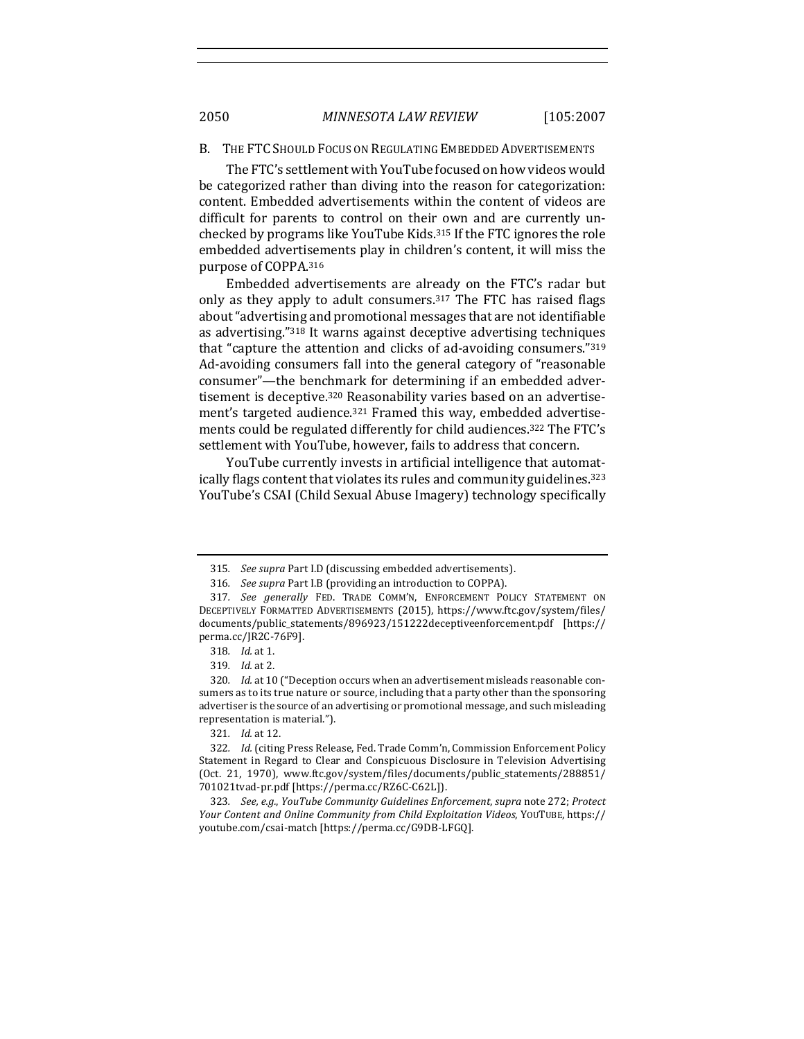### B. THE FTC SHOULD FOCUS ON REGULATING EMBEDDED ADVERTISEMENTS

The FTC's settlement with YouTube focused on how videos would be categorized rather than diving into the reason for categorization: content. Embedded advertisements within the content of videos are difficult for parents to control on their own and are currently unchecked by programs like YouTube Kids.<sup>315</sup> If the FTC ignores the role embedded advertisements play in children's content, it will miss the purpose of COPPA.316

Embedded advertisements are already on the FTC's radar but only as they apply to adult consumers. $317$  The FTC has raised flags about "advertising and promotional messages that are not identifiable as advertising."<sup>318</sup> It warns against deceptive advertising techniques that "capture the attention and clicks of ad-avoiding consumers." $319$ Ad-avoiding consumers fall into the general category of "reasonable consumer"—the benchmark for determining if an embedded advertisement is deceptive.<sup>320</sup> Reasonability varies based on an advertisement's targeted audience.<sup>321</sup> Framed this way, embedded advertisements could be regulated differently for child audiences.<sup>322</sup> The FTC's settlement with YouTube, however, fails to address that concern.

YouTube currently invests in artificial intelligence that automatically flags content that violates its rules and community guidelines.<sup>323</sup> YouTube's CSAI (Child Sexual Abuse Imagery) technology specifically

<sup>315.</sup> *See supra* Part I.D (discussing embedded advertisements).

<sup>316.</sup> *See supra* Part I.B (providing an introduction to COPPA).

<sup>317.</sup> See generally FED. TRADE COMM'N, ENFORCEMENT POLICY STATEMENT ON DECEPTIVELY FORMATTED ADVERTISEMENTS (2015), https://www.ftc.gov/system/files/ documents/public\_statements/896923/151222deceptiveenforcement.pdf [https:// perma.cc/JR2C-76F9].

<sup>318.</sup> *Id.* at 1.

<sup>319</sup>*. Id.* at 2. 

<sup>320.</sup> *Id.* at 10 ("Deception occurs when an advertisement misleads reasonable consumers as to its true nature or source, including that a party other than the sponsoring advertiser is the source of an advertising or promotional message, and such misleading representation is material.").

<sup>321</sup>*. Id.* at 12.

<sup>322.</sup> *Id.* (citing Press Release, Fed. Trade Comm'n, Commission Enforcement Policy Statement in Regard to Clear and Conspicuous Disclosure in Television Advertising (Oct. 21, 1970), www.ftc.gov/system/files/documents/public\_statements/288851/ 701021tvad-pr.pdf [https://perma.cc/RZ6C-C62L]). 

<sup>323.</sup> *See, e.g., YouTube Community Guidelines Enforcement, supra note 272; Protect Your Content and Online Community from Child Exploitation Videos*, YOUTUBE, https:// youtube.com/csai-match [https://perma.cc/G9DB-LFGQ].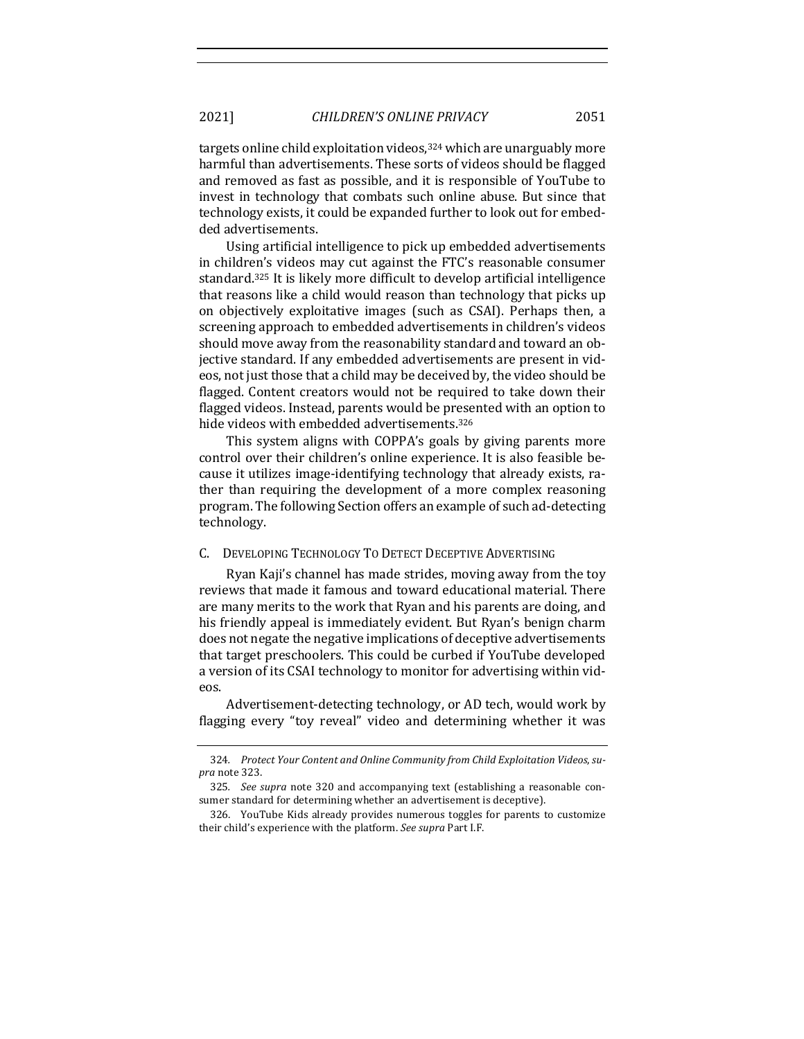targets online child exploitation videos,<sup>324</sup> which are unarguably more harmful than advertisements. These sorts of videos should be flagged and removed as fast as possible, and it is responsible of YouTube to invest in technology that combats such online abuse. But since that technology exists, it could be expanded further to look out for embedded advertisements.

Using artificial intelligence to pick up embedded advertisements in children's videos may cut against the FTC's reasonable consumer standard.<sup>325</sup> It is likely more difficult to develop artificial intelligence that reasons like a child would reason than technology that picks up on objectively exploitative images (such as CSAI). Perhaps then, a screening approach to embedded advertisements in children's videos should move away from the reasonability standard and toward an objective standard. If any embedded advertisements are present in videos, not just those that a child may be deceived by, the video should be flagged. Content creators would not be required to take down their flagged videos. Instead, parents would be presented with an option to hide videos with embedded advertisements.<sup>326</sup>

This system aligns with COPPA's goals by giving parents more control over their children's online experience. It is also feasible because it utilizes image-identifying technology that already exists, rather than requiring the development of a more complex reasoning program. The following Section offers an example of such ad-detecting technology. 

### C. DEVELOPING TECHNOLOGY TO DETECT DECEPTIVE ADVERTISING

Ryan Kaji's channel has made strides, moving away from the toy reviews that made it famous and toward educational material. There are many merits to the work that Ryan and his parents are doing, and his friendly appeal is immediately evident. But Ryan's benign charm does not negate the negative implications of deceptive advertisements that target preschoolers. This could be curbed if YouTube developed a version of its CSAI technology to monitor for advertising within videos. 

Advertisement-detecting technology, or AD tech, would work by flagging every "toy reveal" video and determining whether it was

<sup>324.</sup> Protect Your Content and Online Community from Child Exploitation Videos, su*pra* note 323.

<sup>325.</sup> See supra note 320 and accompanying text (establishing a reasonable consumer standard for determining whether an advertisement is deceptive).

<sup>326.</sup> YouTube Kids already provides numerous toggles for parents to customize their child's experience with the platform. See supra Part I.F.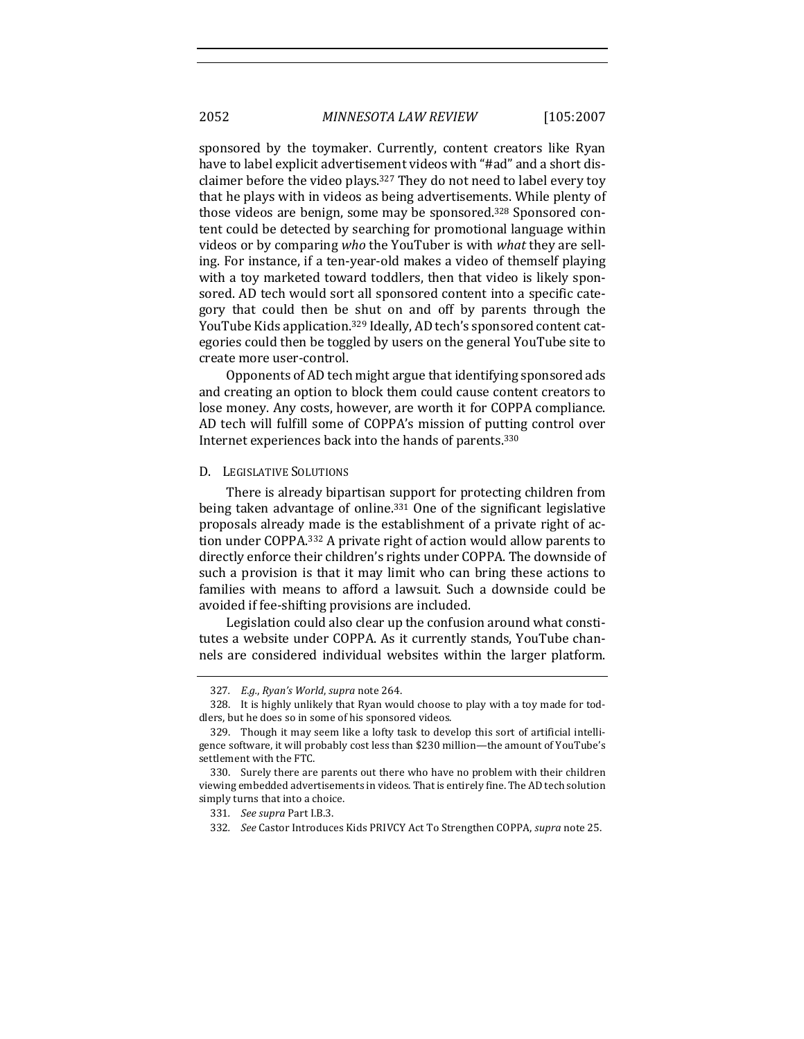sponsored by the toymaker. Currently, content creators like Ryan have to label explicit advertisement videos with "#ad" and a short disclaimer before the video plays.<sup>327</sup> They do not need to label every toy that he plays with in videos as being advertisements. While plenty of those videos are benign, some may be sponsored.<sup>328</sup> Sponsored content could be detected by searching for promotional language within videos or by comparing *who* the YouTuber is with *what* they are selling. For instance, if a ten-year-old makes a video of themself playing with a toy marketed toward toddlers, then that video is likely sponsored. AD tech would sort all sponsored content into a specific category that could then be shut on and off by parents through the YouTube Kids application.<sup>329</sup> Ideally, AD tech's sponsored content categories could then be toggled by users on the general YouTube site to create more user-control.

Opponents of AD tech might argue that identifying sponsored ads and creating an option to block them could cause content creators to lose money. Any costs, however, are worth it for COPPA compliance. AD tech will fulfill some of COPPA's mission of putting control over Internet experiences back into the hands of parents.<sup>330</sup>

### D. LEGISLATIVE SOLUTIONS

There is already bipartisan support for protecting children from being taken advantage of online.<sup>331</sup> One of the significant legislative proposals already made is the establishment of a private right of action under COPPA.<sup>332</sup> A private right of action would allow parents to directly enforce their children's rights under COPPA. The downside of such a provision is that it may limit who can bring these actions to families with means to afford a lawsuit. Such a downside could be avoided if fee-shifting provisions are included.

Legislation could also clear up the confusion around what constitutes a website under COPPA. As it currently stands, YouTube channels are considered individual websites within the larger platform.

<sup>327.</sup> E.g., Ryan's World, supra note 264.

<sup>328.</sup> It is highly unlikely that Ryan would choose to play with a toy made for toddlers, but he does so in some of his sponsored videos.

<sup>329.</sup> Though it may seem like a lofty task to develop this sort of artificial intelligence software, it will probably cost less than \$230 million—the amount of YouTube's settlement with the FTC.

<sup>330.</sup> Surely there are parents out there who have no problem with their children viewing embedded advertisements in videos. That is entirely fine. The AD tech solution simply turns that into a choice.

<sup>331</sup>*. See supra* Part I.B.3. 

<sup>332.</sup> *See* Castor Introduces Kids PRIVCY Act To Strengthen COPPA, *supra* note 25.